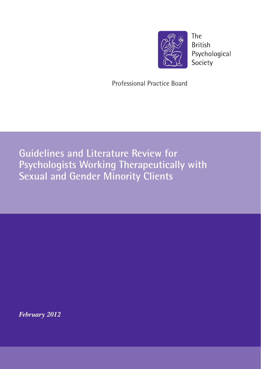

The **British** Psychological Society

Professional Practice Board

**Guidelines and Literature Review for Psychologists Working Therapeutically with Sexual and Gender Minority Clients**

*February 2012*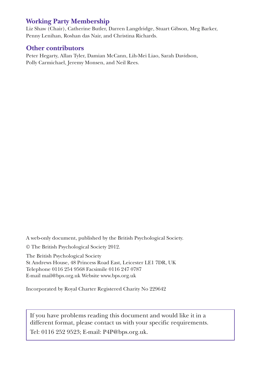## **Working Party Membership**

Liz Shaw (Chair), Catherine Butler, Darren Langdridge, Stuart Gibson, Meg Barker, Penny Lenihan, Roshan das Nair, and Christina Richards.

## **Other contributors**

Peter Hegarty, Allan Tyler, Damian McCann, Lih-Mei Liao, Sarah Davidson, Polly Carmichael, Jeremy Monsen, and Neil Rees.

A web-only document, published by the British Psychological Society.

© The British Psychological Society 2012.

The British Psychological Society St Andrews House, 48 Princess Road East, Leicester LE1 7DR, UK Telephone 0116 254 9568 Facsimile 0116 247 0787

E-mail mail@bps.org.uk Website www.bps.org.uk

Incorporated by Royal Charter Registered Charity No 229642

If you have problems reading this document and would like it in a different format, please contact us with your specific requirements.

Tel: 0116 252 9523; E-mail: P4P@bps.org.uk.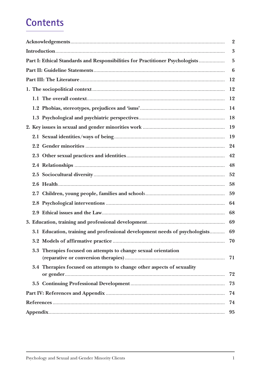# **Contents**

|                                                                               | $\overline{2}$ |
|-------------------------------------------------------------------------------|----------------|
|                                                                               | 3              |
| Part I: Ethical Standards and Responsibilities for Practitioner Psychologists | $\overline{5}$ |
|                                                                               | 6              |
|                                                                               | 12             |
|                                                                               | 12             |
|                                                                               | 12             |
|                                                                               | 14             |
|                                                                               | 18             |
|                                                                               | 19             |
|                                                                               | 19             |
|                                                                               | 24             |
|                                                                               | 42             |
|                                                                               | 48             |
|                                                                               | 52             |
|                                                                               | 58             |
|                                                                               | 59             |
|                                                                               | 64             |
|                                                                               | 68             |
|                                                                               | 69             |
| 3.1 Education, training and professional development needs of psychologists   | 69             |
|                                                                               | 70             |
| 3.3 Therapies focused on attempts to change sexual orientation                | 71             |
| 3.4 Therapies focused on attempts to change other aspects of sexuality        | 72             |
|                                                                               | 73             |
|                                                                               | 74             |
|                                                                               | 74             |
|                                                                               | 95             |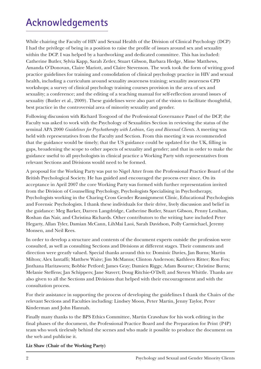# **Acknowledgements**

While chairing the Faculty of HIV and Sexual Health of the Division of Clinical Psychology (DCP) I had the privilege of being in a position to raise the profile of issues around sex and sexuality within the DCP. I was helped by a hardworking and dedicated committee. This has included: Catherine Butler, Sylvia Kapp, Sarah Zetler, Stuart Gibson, Barbara Hedge, Mime Matthews, Amanda O'Donovan, Claire Mariott, and Claire Stevenson. The work took the form of writing good practice guidelines for training and consolidation of clinical psychology practice in HIV and sexual health, including a curriculum around sexuality awareness training; sexuality awareness CPD workshops; a survey of clinical psychology training courses provision in the area of sex and sexuality; a conference; and the editing of a teaching manual for self-reflection around issues of sexuality (Butler et al., 2009). These guidelines were also part of the vision to facilitate thoughtful, best practice in the controversial area of minority sexuality and gender.

Following discussion with Richard Toogood of the Professional Governance Panel of the DCP, the Faculty was asked to work with the Psychology of Sexualities Section in reviewing the status of the seminal APA 2000 *Guidelines for Psychotherapy with Lesbian, Gay and Bisexual Clients*. A meeting was held with representatives from the Faculty and Section. From this meeting it was recommended that the guidance would be timely; that the US guidance could be updated for the UK, filling in gaps, broadening the scope to other aspects of sexuality and gender; and that in order to make the guidance useful to all psychologists in clinical practice a Working Party with representatives from relevant Sections and Divisions would need to be formed.

A proposal for the Working Party was put to Nigel Atter from the Professional Practice Board of the British Psychological Society. He has guided and encouraged the process ever since. On its acceptance in April 2007 the core Working Party was formed with further representation invited from the Division of Counselling Psychology, Psychologists Specialising in Psychotherapy, Psychologists working in the Charing Cross Gender Reassignment Clinic, Educational Psychologists and Forensic Psychologists. I thank these individuals for their drive, lively discussion and belief in the guidance: Meg Barker, Darren Langdridge, Catherine Butler, Stuart Gibson, Penny Lenihan, Roshan das Nair, and Christina Richards. Other contributors to the writing have included Peter Hegarty, Allan Tyler, Damian McCann, LihMai Laoi, Sarah Davidson, Polly Carmichael, Jeremy Monsen, and Neil Rees.

In order to develop a structure and contents of the document experts outside the profession were consulted, as well as consulting Sections and Divisions at different stages. Their comments and direction were greatly valued. Special thanks around this to: Dominic Davies, Jan Burns; Martin Milton; Alex Iantaffi; Matthew Waite; Jim McManus; Clinton Anderson; Kathleen Ritter; Ron Fox; Jinthana Haritaworn; Bobbie Petford; James Gray; Damien Riggs; Adam Bourne; Christine Burns; Melanie Steffens; Jan Schippers; Jane Stavert; Doug Ritchie-O'Dell; and Steven Whittle. Thanks are also given to all the Sections and Divisions that helped with their encouragement and with the consultation process.

For their assistance in supporting the process of developing the guidelines I thank the Chairs of the relevant Sections and Faculties including: Lindsey Moon, Peter Martin, Jenny Taylor, Peter Kinderman and John Hannah.

Finally many thanks to the BPS Ethics Committee, Martin Crawshaw for his work editing in the final phases of the document, the Professional Practice Board and the Preparation for Print (P4P) team who work tirelessly behind the scenes and who made it possible to produce the document on the web and publicise it.

**Liz Shaw (Chair of the Working Party)**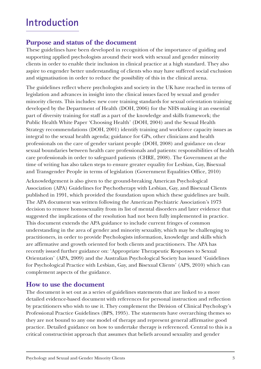## **Introduction**

## **Purpose and status of the document**

These guidelines have been developed in recognition of the importance of guiding and supporting applied psychologists around their work with sexual and gender minority clients in order to enable their inclusion in clinical practice at a high standard. They also aspire to engender better understanding of clients who may have suffered social exclusion and stigmatisation in order to reduce the possibility of this in the clinical arena.

The guidelines reflect where psychologists and society in the UK have reached in terms of legislation and advances in insight into the clinical issues faced by sexual and gender minority clients. This includes: new core training standards for sexual orientation training developed by the Department of Health (DOH, 2006) for the NHS making it an essential part of diversity training for staff as a part of the knowledge and skills framework; the Public Health White Paper 'Choosing Health' (DOH, 2004) and the Sexual Health Strategy recommendations (DOH, 2001) identify training and workforce capacity issues as integral to the sexual health agenda; guidance for GPs, other clinicians and health professionals on the care of gender variant people (DOH, 2008) and guidance on clear sexual boundaries between health care professionals and patients: responsibilities of health care professionals in order to safeguard patients (CHRE, 2008). The Government at the time of writing has also taken steps to ensure greater equality for Lesbian, Gay, Bisexual and Transgender People in terms of legislation (Government Equalities Office, 2010)

Acknowledgement is also given to the ground-breaking American Psychological Association (APA) Guidelines for Psychotherapy with Lesbian, Gay, and Bisexual Clients published in 1991, which provided the foundation upon which these guidelines are built. The APA document was written following the American Psychiatric Association's 1973 decision to remove homosexuality from its list of mental disorders and later evidence that suggested the implications of the resolution had not been fully implemented in practice. This document extends the APA guidance to include current fringes of common understanding in the area of gender and minority sexuality, which may be challenging to practitioners, in order to provide Psychologists information, knowledge and skills which are affirmative and growth oriented for both clients and practitioners. The APA has recently issued further guidance on: 'Appropriate Therapeutic Responses to Sexual Orientation' (APA, 2009) and the Australian Psychological Society has issued 'Guidelines for Psychological Practice with Lesbian, Gay, and Bisexual Clients' (APS, 2010) which can complement aspects of the guidance.

## **How to use the document**

The document is set out as a series of guidelines statements that are linked to a more detailed evidence-based document with references for personal instruction and reflection by practitioners who wish to use it. They complement the Division of Clinical Psychology's Professional Practice Guidelines (BPS, 1995). The statements have overarching themes so they are not bound to any one model of therapy and represent general affirmative good practice. Detailed guidance on how to undertake therapy is referenced. Central to this is a critical constructivist approach that assumes that beliefs around sexuality and gender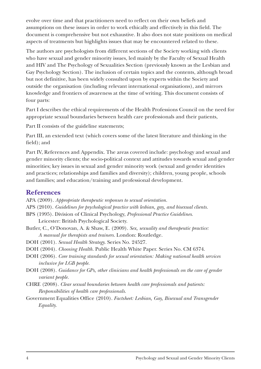evolve over time and that practitioners need to reflect on their own beliefs and assumptions on these issues in order to work ethically and effectively in this field. The document is comprehensive but not exhaustive. It also does not state positions on medical aspects of treatments but highlights issues that may be encountered related to these.

The authors are psychologists from different sections of the Society working with clients who have sexual and gender minority issues, led mainly by the Faculty of Sexual Health and HIV and The Psychology of Sexualities Section (previously known as the Lesbian and Gay Psychology Section). The inclusion of certain topics and the contents, although broad but not definitive, has been widely consulted upon by experts within the Society and outside the organisation (including relevant international organisations), and mirrors knowledge and frontiers of awareness at the time of writing. This document consists of four parts:

Part I describes the ethical requirements of the Health Professions Council on the need for appropriate sexual boundaries between health care professionals and their patients,

Part II consists of the guideline statements;

Part III, an extended text (which covers some of the latest literature and thinking in the field); and

Part IV, References and Appendix. The areas covered include: psychology and sexual and gender minority clients; the socio-political context and attitudes towards sexual and gender minorities; key issues in sexual and gender minority work (sexual and gender identities and practices; relationships and families and diversity); children, young people, schools and families; and education/training and professional development.

## **References**

- APA (2009). *Appropriate therapeutic responses to sexual orientation.*
- APS (2010). *Guidelines for psychological practice with lesbian, gay, and bisexual clients.*
- BPS (1995). Division of Clinical Psychology, *Professional Practice Guidelines*. Leicester: British Psychological Society.
- Butler, C., O'Donovan, A. & Shaw, E. (2009). *Sex, sexuality and therapeutic practice: A manual for therapists and trainers.* London: Routledge.
- DOH (2001). *Sexual Health Strategy.* Series No. 24527.
- DOH (2004). *Choosing Health.* Public Health White Paper. Series No. CM 6374.
- DOH (2006). *Core training standards for sexual orientation: Making national health services inclusive for LGB people.*
- DOH (2008). *Guidance for GPs, other clinicians and health professionals on the care of gender variant people.*
- CHRE (2008). *Clear sexual boundaries between health care professionals and patients: Responsibilities of health care professionals.*
- Government Equalities Office (2010). *Factsheet: Lesbian, Gay, Bisexual and Transgender Equality.*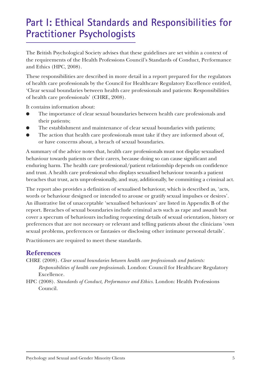## **Part I: Ethical Standards and Responsibilities for Practitioner Psychologists**

The British Psychological Society advises that these guidelines are set within a context of the requirements of the Health Professions Council's Standards of Conduct, Performance and Ethics (HPC, 2008).

These responsibilities are described in more detail in a report prepared for the regulators of health care professionals by the Council for Healthcare Regulatory Excellence entitled, 'Clear sexual boundaries between health care professionals and patients: Responsibilities of health care professionals' (CHRE, 2008).

It contains information about:

- The importance of clear sexual boundaries between health care professionals and their patients;
- The establishment and maintenance of clear sexual boundaries with patients;
- The action that health care professionals must take if they are informed about of, or have concerns about, a breach of sexual boundaries.

A summary of the advice notes that, health care professionals must not display sexualised behaviour towards patients or their carers, because doing so can cause significant and enduring harm. The health care professional/patient relationship depends on confidence and trust. A health care professional who displays sexualised behaviour towards a patient breaches that trust, acts unprofessionally, and may, additionally, be committing a criminal act.

The report also provides a definition of sexualised behaviour, which is described as, 'acts, words or behaviour designed or intended to arouse or gratify sexual impulses or desires'. An illustrative list of unacceptable 'sexualised behaviours' are listed in Appendix B of the report. Breaches of sexual boundaries include criminal acts such as rape and assault but cover a specrum of behaviours including requesting details of sexual orientation, history or preferences that are not necessary or relevant and telling patients about the clinicians 'own sexual problems, preferences or fantasies or disclosing other intimate personal details'.

Practitioners are required to meet these standards.

## **References**

CHRE (2008). *Clear sexual boundaries between health care professionals and patients: Responsibilities of health care professionals.* London: Council for Healthcare Regulatory Excellence.

HPC (2008). *Standards of Conduct, Performance and Ethics.* London: Health Professions Council.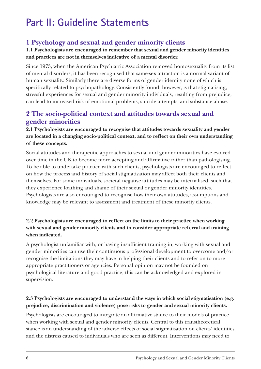## **1 Psychology and sexual and gender minority clients**

## **1.1 Psychologists are encouraged to remember that sexual and gender minority identities and practices are not in themselves indicative of a mental disorder.**

Since 1973, when the American Psychiatric Association removed homosexuality from its list of mental disorders, it has been recognised that same-sex attraction is a normal variant of human sexuality. Similarly there are diverse forms of gender identity none of which is specifically related to psychopathology. Consistently found, however, is that stigmatising, stressful experiences for sexual and gender minority individuals, resulting from prejudice, can lead to increased risk of emotional problems, suicide attempts, and substance abuse.

## **2 The socio-political context and attitudes towards sexual and gender minorities**

## **2.1 Psychologists are encouraged to recognise that attitudes towards sexuality and gender are located in a changing socio-political context, and to reflect on their own understanding of these concepts.**

Social attitudes and therapeutic approaches to sexual and gender minorities have evolved over time in the UK to become more accepting and affirmative rather than pathologising. To be able to undertake practice with such clients, psychologists are encouraged to reflect on how the process and history of social stigmatisation may affect both their clients and themselves. For some individuals, societal negative attitudes may be internalised, such that they experience loathing and shame of their sexual or gender minority identities. Psychologists are also encouraged to recognise how their own attitudes, assumptions and knowledge may be relevant to assessment and treatment of these minority clients.

## **2.2 Psychologists are encouraged to reflect on the limits to their practice when working with sexual and gender minority clients and to consider appropriate referral and training when indicated.**

A psychologist unfamiliar with, or having insufficient training in, working with sexual and gender minorities can use their continuous professional development to overcome and/or recognise the limitations they may have in helping their clients and to refer on to more appropriate practitioners or agencies. Personal opinion may not be founded on psychological literature and good practice; this can be acknowledged and explored in supervision.

## **2.3 Psychologists are encouraged to understand the ways in which social stigmatisation (e.g. prejudice, discrimination and violence) pose risks to gender and sexual minority clients.**

Psychologists are encouraged to integrate an affirmative stance to their models of practice when working with sexual and gender minority clients. Central to this transtheoretical stance is an understanding of the adverse effects of social stigmatisation on clients' identities and the distress caused to individuals who are seen as different. Interventions may need to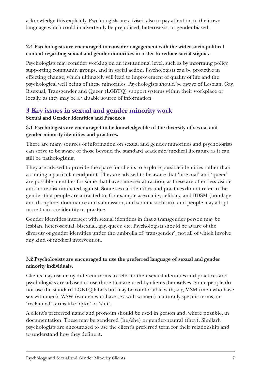acknowledge this explicitly. Psychologists are advised also to pay attention to their own language which could inadvertently be prejudiced, heterosexist or gender-biased.

## **2.4 Psychologists are encouraged to consider engagement with the wider socio-political context regarding sexual and gender minorities in order to reduce social stigma.**

Psychologists may consider working on an institutional level, such as by informing policy, supporting community groups, and in social action. Psychologists can be proactive in effecting change, which ultimately will lead to improvement of quality of life and the psychological well being of these minorities. Psychologists should be aware of Lesbian, Gay, Bisexual, Transgender and Queer (LGBTQ) support systems within their workplace or locally, as they may be a valuable source of information.

## **3 Key issues in sexual and gender minority work**

## **Sexual and Gender Identities and Practices**

## **3.1 Psychologists are encouraged to be knowledgeable of the diversity of sexual and gender minority identities and practices.**

There are many sources of information on sexual and gender minorities and psychologists can strive to be aware of those beyond the standard academic/medical literature as it can still be pathologising.

They are advised to provide the space for clients to explore possible identities rather than assuming a particular endpoint. They are advised to be aware that 'bisexual' and 'queer' are possible identities for some that have same-sex attraction, as these are often less visible and more discriminated against. Some sexual identities and practices do not refer to the gender that people are attracted to, for example asexuality, celibacy, and BDSM (bondage and discipline, dominance and submission, and sadomasochism), and people may adopt more than one identity or practice.

Gender identities intersect with sexual identities in that a transgender person may be lesbian, heterosexual, bisexual, gay, queer, etc. Psychologists should be aware of the diversity of gender identities under the umbrella of 'transgender', not all of which involve any kind of medical intervention.

## **3.2 Psychologists are encouraged to use the preferred language of sexual and gender minority individuals.**

Clients may use many different terms to refer to their sexual identities and practices and psychologists are advised to use those that are used by clients themselves. Some people do not use the standard LGBTQ labels but may be comfortable with, say, MSM (men who have sex with men), WSW (women who have sex with women), culturally specific terms, or 'reclaimed' terms like 'dyke' or 'slut'.

A client's preferred name and pronoun should be used in person and, where possible, in documentation. These may be gendered (he/she) or gender-neutral (they). Similarly psychologists are encouraged to use the client's preferred term for their relationship and to understand how they define it.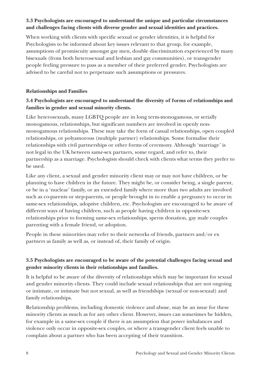## **3.3 Psychologists are encouraged to understand the unique and particular circumstances and challenges facing clients with diverse gender and sexual identities and practices.**

When working with clients with specific sexual or gender identities, it is helpful for Psychologists to be informed about key issues relevant to that group, for example, assumptions of promiscuity amongst gay men, double discrimination experienced by many bisexuals (from both heterosexual and lesbian and gay communities), or transgender people feeling pressure to pass as a member of their preferred gender. Psychologists are advised to be careful not to perpetuate such assumptions or pressures.

## **Relationships and Families**

## **3.4 Psychologists are encouraged to understand the diversity of forms of relationships and families in gender and sexual minority clients.**

Like heterosexuals, many LGBTQ people are in long term-monogamous, or serially monogamous, relationships, but significant numbers are involved in openly nonmonogamous relationships. These may take the form of casual relationships, open coupled relationships, or polyamorous (multiple partner) relationships. Some formalise their relationships with civil partnerships or other forms of ceremony. Although 'marriage' is not legal in the UK between same-sex partners, some regard, and refer to, their partnership as a marriage. Psychologists should check with clients what terms they prefer to be used.

Like any client, a sexual and gender minority client may or may not have children, or be planning to have children in the future. They might be, or consider being, a single parent, or be in a 'nuclear' family, or an extended family where more than two adults are involved such as co-parents or step-parents, or people brought in to enable a pregnancy to occur in same-sex relationships, adoptive children, etc. Psychologists are encouraged to be aware of different ways of having children, such as people having children in opposite-sex relationships prior to forming same-sex relationships, sperm donation, gay male couples parenting with a female friend, or adoption.

People in these minorities may refer to their networks of friends, partners and/or ex partners as family as well as, or instead of, their family of origin.

## **3.5 Psychologists are encouraged to be aware of the potential challenges facing sexual and gender minority clients in their relationships and families.**

It is helpful to be aware of the diversity of relationships which may be important for sexual and gender minority clients. They could include sexual relationships that are not ongoing or intimate, or intimate but not sexual, as well as friendships (sexual or non-sexual) and family relationships.

Relationship problems, including domestic violence and abuse, may be an issue for these minority clients as much as for any other client. However, issues can sometimes be hidden, for example in a same-sex couple if there is an assumption that power imbalances and violence only occur in opposite-sex couples, or where a transgender client feels unable to complain about a partner who has been accepting of their transition.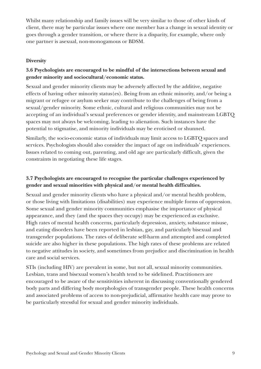Whilst many relationship and family issues will be very similar to those of other kinds of client, there may be particular issues where one member has a change in sexual identity or goes through a gender transition, or where there is a disparity, for example, where only one partner is asexual, non-monogamous or BDSM.

#### **Diversity**

## **3.6 Psychologists are encouraged to be mindful of the intersections between sexual and gender minority and sociocultural/economic status.**

Sexual and gender minority clients may be adversely affected by the additive, negative effects of having other minority status(es). Being from an ethnic minority, and/or being a migrant or refugee or asylum seeker may contribute to the challenges of being from a sexual/gender minority. Some ethnic, cultural and religious communities may not be accepting of an individual's sexual preferences or gender identity, and mainstream LGBTQ spaces may not always be welcoming, leading to alienation. Such instances have the potential to stigmatise, and minority individuals may be eroticised or shunned.

Similarly, the socio-economic status of individuals may limit access to LGBTQ spaces and services. Psychologists should also consider the impact of age on individuals' experiences. Issues related to coming out, parenting, and old age are particularly difficult, given the constraints in negotiating these life stages.

## **3.7 Psychologists are encouraged to recognise the particular challenges experienced by gender and sexual minorities with physical and/or mental health difficulties.**

Sexual and gender minority clients who have a physical and/or mental health problem, or those living with limitations (disabilities) may experience multiple forms of oppression. Some sexual and gender minority communities emphasise the importance of physical appearance, and they (and the spaces they occupy) may be experienced as exclusive. High rates of mental health concerns, particularly depression, anxiety, substance misuse, and eating disorders have been reported in lesbian, gay, and particularly bisexual and transgender populations. The rates of deliberate self-harm and attempted and completed suicide are also higher in these populations. The high rates of these problems are related to negative attitudes in society, and sometimes from prejudice and discrimination in health care and social services.

STIs (including HIV) are prevalent in some, but not all, sexual minority communities. Lesbian, trans and bisexual women's health tend to be sidelined. Practitioners are encouraged to be aware of the sensitivities inherent in discussing conventionally gendered body parts and differing body morphologies of transgender people. These health concerns and associated problems of access to non-prejudicial, affirmative health care may prove to be particularly stressful for sexual and gender minority individuals.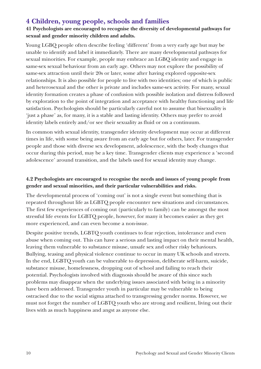## **4 Children, young people, schools and families**

## **41 Psychologists are encouraged to recognise the diversity of developmental pathways for sexual and gender minority children and adults.**

Young LGBQ people often describe feeling 'different' from a very early age but may be unable to identify and label it immediately. There are many developmental pathways for sexual minorities. For example, people may embrace an LGBQ identity and engage in same-sex sexual behaviour from an early age. Others may not explore the possibility of same-sex attraction until their 20s or later, some after having explored opposite-sex relationships. It is also possible for people to live with two identities; one of which is public and heterosexual and the other is private and includes same-sex activity. For many, sexual identity formation creates a phase of confusion with possible isolation and distress followed by exploration to the point of integration and acceptance with healthy functioning and life satisfaction. Psychologists should be particularly careful not to assume that bisexuality is 'just a phase' as, for many, it is a stable and lasting identity. Others may prefer to avoid identity labels entirely and/or see their sexuality as fluid or on a continuum.

In common with sexual identity, transgender identity development may occur at different times in life, with some being aware from an early age but for others, later. For transgender people and those with diverse sex development, adolescence, with the body changes that occur during this period, may be a key time. Transgender clients may experience a 'second adolescence' around transition, and the labels used for sexual identity may change.

## **4.2 Psychologists are encouraged to recognise the needs and issues of young people from gender and sexual minorities, and their particular vulnerabilities and risks.**

The developmental process of 'coming out' is not a single event but something that is repeated throughout life as LGBTQ people encounter new situations and circumstances. The first few experiences of coming out (particularly to family) can be amongst the most stressful life events for LGBTQ people, however, for many it becomes easier as they get more experienced, and can even become a non-issue.

Despite positive trends, LGBTQ youth continues to fear rejection, intolerance and even abuse when coming out. This can have a serious and lasting impact on their mental health, leaving them vulnerable to substance misuse, unsafe sex and other risky behaviours. Bullying, teasing and physical violence continue to occur in many UK schools and streets. In the end, LGBTQ youth can be vulnerable to depression, deliberate self-harm, suicide, substance misuse, homelessness, dropping out of school and failing to reach their potential. Psychologists involved with diagnosis should be aware of this since such problems may disappear when the underlying issues associated with being in a minority have been addressed. Transgender youth in particular may be vulnerable to being ostracised due to the social stigma attached to transgressing gender norms. However, we must not forget the number of LGBTQ youth who are strong and resilient, living out their lives with as much happiness and angst as anyone else.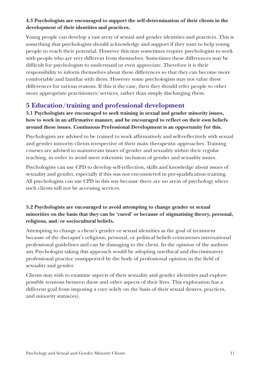## **4.3 Psychologists are encouraged to support the self-determination of their clients in the development of their identities and practices.**

Young people can develop a vast array of sexual and gender identities and practices. This is something that psychologists should acknowledge and support if they want to help young people to reach their potential. However this may sometimes require psychologists to work with people who are very different from themselves. Sometimes these differences may be difficult for psychologists to understand or even appreciate. Therefore it is their responsibility to inform themselves about these differences so that they can become more comfortable and familiar with them. However some psychologists may not value these differences for various reasons. If this is the case, then they should refer people to other more appropriate practitioners/services, rather than simply discharging them.

## **5 Education/training and professional development**

**5.1 Psychologists are encouraged to seek training in sexual and gender minority issues, how to work in an affirmative manner, and be encouraged to reflect on their own beliefs around these issues. Continuous Professional Development is an opportunity for this.**

Psychologists are advised to be trained to work affirmatively and self-reflectively with sexual and gender minority clients irrespective of their main therapeutic approaches. Training courses are advised to mainstream issues of gender and sexuality within their regular teaching, in order to avoid mere tokenistic inclusion of gender and sexuality issues.

Psychologists can use CPD to develop self-reflection, skills and knowledge about issues of sexuality and gender, especially if this was not encountered in pre-qualification training. All psychologists can use CPD in this way because there are no areas of psychology where such clients will not be accessing services.

## **5.2 Psychologists are encouraged to avoid attempting to change gender or sexual minorities on the basis that they can be 'cured' or because of stigmatising theory, personal, religious, and/or sociocultural beliefs.**

Attempting to change a client's gender or sexual identities as the goal of treatment because of the therapist's religious, personal, or political beliefs contravenes international professional guidelines and can be damaging to the client. In the opinion of the authors any Psychologist taking this approach would be adopting unethical and discriminatory professional practice unsupported by the body of professional opinion in the field of sexuality and gender.

Clients may wish to examine aspects of their sexuality and gender identities and explore possible tensions between these and other aspects of their lives. This exploration has a different goal from imposing a cure solely on the basis of their sexual desires, practices, and minority status(es).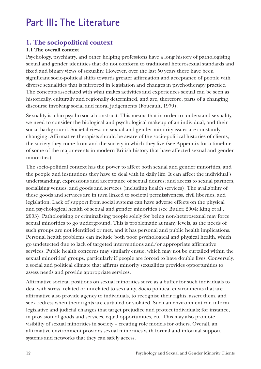## **Part III: The Literature**

## **1. The sociopolitical context**

## **1.1 The overall context**

Psychology, psychiatry, and other helping professions have a long history of pathologising sexual and gender identities that do not conform to traditional heterosexual standards and fixed and binary views of sexuality. However, over the last 50 years there have been significant socio-political shifts towards greater affirmation and acceptance of people with diverse sexualities that is mirrored in legislation and changes in psychotherapy practice. The concepts associated with what makes activities and experiences sexual can be seen as historically, culturally and regionally determined, and are, therefore, parts of a changing discourse involving social and moral judgements (Foucault, 1979).

Sexuality is a bio-psycho-social construct. This means that in order to understand sexuality, we need to consider the biological and psychological makeup of an individual, and their social background. Societal views on sexual and gender minority issues are constantly changing. Affirmative therapists should be aware of the socio-political histories of clients, the society they come from and the society in which they live (see Appendix for a timeline of some of the major events in modern British history that have affected sexual and gender minorities).

The socio-political context has the power to affect both sexual and gender minorities, and the people and institutions they have to deal with in daily life. It can affect the individual's understanding, expressions and acceptance of sexual desires; and access to sexual partners, socialising venues, and goods and services (including health services). The availability of these goods and services are in turn linked to societal permissiveness, civil liberties, and legislation. Lack of support from social systems can have adverse effects on the physical and psychological health of sexual and gender minorities (see Butler, 2004; King et al., 2003). Pathologising or criminalising people solely for being non-heterosexual may force sexual minorities to go underground. This is problematic at many levels, as the needs of such groups are not identified or met, and it has personal and public health implications. Personal health problems can include both poor psychological and physical health, which go undetected due to lack of targeted interventions and/or appropriate affirmative services. Public health concerns may similarly ensue, which may not be curtailed within the sexual minorities' groups, particularly if people are forced to have double lives. Conversely, a social and political climate that affirms minority sexualities provides opportunities to assess needs and provide appropriate services.

Affirmative societal positions on sexual minorities serve as a buffer for such individuals to deal with stress, related or unrelated to sexuality. Socio-political environments that are affirmative also provide agency to individuals, to recognise their rights, assert them, and seek redress when their rights are curtailed or violated. Such an environment can inform legislative and judicial changes that target prejudice and protect individuals; for instance, in provision of goods and services, equal opportunities, etc. This may also promote visibility of sexual minorities in society – creating role models for others. Overall, an affirmative environment provides sexual minorities with formal and informal support systems and networks that they can safely access.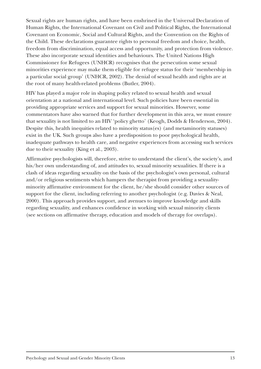Sexual rights are human rights, and have been enshrined in the Universal Declaration of Human Rights, the International Covenant on Civil and Political Rights, the International Covenant on Economic, Social and Cultural Rights, and the Convention on the Rights of the Child. These declarations guarantee rights to personal freedom and choice, health, freedom from discrimination, equal access and opportunity, and protection from violence. These also incorporate sexual identities and behaviours. The United Nations High Commissioner for Refugees (UNHCR) recognises that the persecution some sexual minorities experience may make them eligible for refugee status for their 'membership in a particular social group' (UNHCR, 2002). The denial of sexual health and rights are at the root of many health-related problems (Butler, 2004).

HIV has played a major role in shaping policy related to sexual health and sexual orientation at a national and international level. Such policies have been essential in providing appropriate services and support for sexual minorities. However, some commentators have also warned that for further development in this area, we must ensure that sexuality is not limited to an HIV 'policy ghetto' (Keogh, Dodds & Henderson, 2004). Despite this, health inequities related to minority status(es) (and metaminority statuses) exist in the UK. Such groups also have a predisposition to poor psychological health, inadequate pathways to health care, and negative experiences from accessing such services due to their sexuality (King et al., 2003).

Affirmative psychologists will, therefore, strive to understand the client's, the society's, and his/her own understanding of, and attitudes to, sexual minority sexualities. If there is a clash of ideas regarding sexuality on the basis of the psychologist's own personal, cultural and/or religious sentiments which hampers the therapist from providing a sexualityminority affirmative environment for the client, he/she should consider other sources of support for the client, including referring to another psychologist (e.g. Davies & Neal, 2000). This approach provides support, and avenues to improve knowledge and skills regarding sexuality, and enhances confidence in working with sexual minority clients (see sections on affirmative therapy, education and models of therapy for overlaps).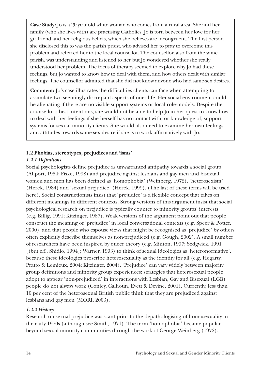**Case Study:** Jo is a 20-year-old white woman who comes from a rural area. She and her family (who she lives with) are practising Catholics. Jo is torn between her love for her girlfriend and her religious beliefs, which she believes are incongruent. The first person she disclosed this to was the parish priest, who advised her to pray to overcome this problem and referred her to the local counsellor. The counsellor, also from the same parish, was understanding and listened to her but Jo wondered whether she really understood her problem. The focus of therapy seemed to explore why Jo had these feelings, but Jo wanted to know how to deal with them, and how others dealt with similar feelings. The counsellor admitted that she did not know anyone who had same-sex desires.

**Comment:** Jo's case illustrates the difficulties clients can face when attempting to assimilate two seemingly discrepant aspects of ones life. Her social environment could be alienating if there are no visible support systems or local role-models. Despite the counsellor's best intentions, she would not be able to help Jo in her quest to know how to deal with her feelings if she herself has no contact with, or knowledge of, support systems for sexual minority clients. She would also need to examine her own feelings and attitudes towards same-sex desire if she is to work affirmatively with Jo.

### **1.2 Phobias, stereotypes, prejudices and 'isms'**

## *1.2.1 Definitions*

Social psychologists define prejudice as unwarranted antipathy towards a social group (Allport, 1954; Fiske, 1998) and prejudice against lesbians and gay men and bisexual women and men has been defined as 'homophobia' (Weinberg, 1972), 'heterosexism' (Herek, 1984) and 'sexual prejudice' (Herek, 1999). (The last of these terms will be used here). Social constructionists insist that 'prejudice' is a flexible concept that takes on different meanings in different contexts. Strong versions of this argument insist that social psychological research on prejudice is typically counter to minority groups' interests (e.g. Billig, 1991; Kitzinger, 1987). Weak versions of the argument point out that people construct the meaning of 'prejudice' in local conversational contexts (e.g. Speer & Potter, 2000), and that people who espouse views that might be recognised as 'prejudice' by others often explicitly describe themselves as non-prejudiced (e.g. Gough, 2002). A small number of researchers have been inspired by queer theory (e.g. Minton, 1997; Sedgwick, 1991 [(but c.f., Shidlo, 1994]; Warner, 1993) to think of sexual ideologies as 'heteronormative', because these ideologies proscribe heterosexuality as the identity for all (e.g. Hegarty, Pratto & Lemieux, 2004; Kitzinger, 2004). 'Prejudice' can vary widely between majority group definitions and minority group experiences; strategies that heterosexual people adopt to appear 'non-prejudiced' in interactions with Lesbian, Gay and Bisexual (LGB) people do not always work (Conley, Calhoun, Evett & Devine, 2001). Currently, less than 10 per cent of the heterosexual British public think that they are prejudiced against lesbians and gay men (MORI, 2003).

## *1.2.2 History*

Research on sexual prejudice was scant prior to the depathologising of homosexuality in the early 1970s (although see Smith, 1971). The term 'homophobia' became popular beyond sexual minority communities through the work of George Weinberg (1972).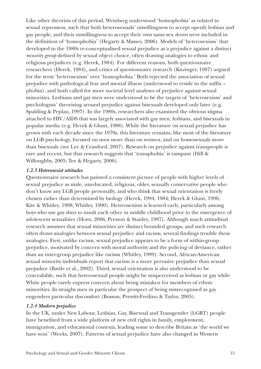Like other theorists of this period, Weinberg understood 'homophobia' as related to sexual repression, such that both heterosexuals' unwillingness to accept openly lesbian and gay people, and their unwillingness to accept their own same-sex *desires* were included in the definition of 'homophobia' (Hegarty & Massey, 2006). Models of 'heterosexism' that developed in the 1980s re-conceptualised sexual prejudice as a prejudice against a distinct *minority group* defined by sexual object choice, often drawing analogies to ethnic and religious prejudices (e.g. Herek, 1984). For different reasons, both questionnaire researchers (Herek, 1984), and critics of questionnaire research (Kitzinger, 1987) argued for the term 'heterosexism' over 'homophobia.' Both rejected the association of sexual prejudice with pathological fear and mental illness (understood to reside in the suffix – phobia), and both called for more societal level analyses of prejudice against sexual minorities. Lesbians and gay men were understood to be the targets of 'heterosexism' and psychologists' theorising around prejudice against bisexuals developed only later (e.g. Spalding & Peplau, 1997). In the 1980s, researchers also examined the obvious stigma attached to HIV/AIDS that was largely associated with gay men, lesbians, and bisexuals in popular media (e.g. Herek & Glunt, 1988). While the literature on sexual prejudice has grown with each decade since the 1970s, this literature remains, like most of the literature on LGB psychology, focused on men more than on women, and on homosexuals more than bisexuals (see Lee & Crawford, 2007). Research on prejudice against transpeople is rare and recent, but that research suggests that 'transphobia' is rampant (Hill & Willoughby, 2005; Tee & Hegarty, 2006).

### *1.2.3 Heterosexist attitudes*

Questionnaire research has painted a consistent picture of people with higher levels of sexual prejudice as male, uneducated, religious, older, sexually conservative people who don't know any LGB people personally, and who think that sexual orientation is freely chosen rather than determined by biology (Herek, 1994, 1984; Herek & Glunt, 1996; Kite & Whitley, 1998; Whitley, 1990). Heterosexism is learned early, particularly among boys who use gay slurs to insult each other in middle childhood prior to the emergence of adolescent sexualities (Horn, 2006, Preston & Stanley, 1987). Although much attitudinal research assumes that sexual minorities are distinct bounded groups, and such research often draws analogies between sexual prejudice and racism, several findings trouble these analogies. First, unlike racism, sexual prejudice appears to be a form of within-group prejudice, motivated by concern with moral authority and the policing of deviance, rather than an inter-group prejudice like racism (Whitley, 1999). Second, African-American sexual minority individuals report that racism is a more pervasive prejudice than sexual prejudice (Battle et al., 2002). Third, sexual orientation is also understood to be concealable, such that heterosexual people might be misperceived as lesbian or gay while White people rarely express concern about being mistaken for members of ethnic minorities. In straight men in particular the prospect of being misrecognised as gay engenders particular discomfort (Bosson, Prewitt-Freilino & Taylor, 2005).

## *1.2.4 Modern prejudice*

In the UK, under New Labour, Lesbian, Gay, Bisexual and Transgender (LGBT) people have benefited from a wide platform of new civil rights in family, employment, immigration, and educational contexts, leading some to describe Britain as 'the world we have won' (Weeks, 2007). Patterns of sexual prejudice have also changed in Western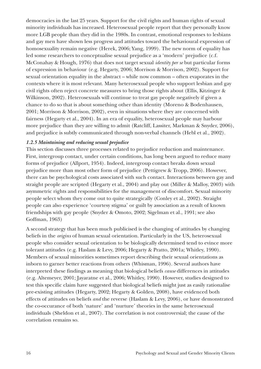democracies in the last 25 years. Support for the civil rights and human rights of sexual minority individuals has increased. Heterosexual people report that they personally know more LGB people than they did in the 1980s. In contrast, emotional responses to lesbians and gay men have shown less progress and attitudes toward the behavioural expression of homosexuality remain negative (Herek, 2006; Yang, 1999). The new norm of equality has led some researchers to conceptualise sexual prejudice as a 'modern' prejudice (c.f. McConahay & Hough, 1976) that does not target sexual *identity per se* but particular forms of expression in behaviour (e.g. Hegarty, 2006; Morrison & Morrison, 2002). Support for sexual orientation equality in the abstract – while now common – often evaporates in the contexts where it is most relevant. Many heterosexual people who support lesbian and gay civil rights often reject concrete measures to bring those rights about (Ellis, Kitzinger & Wilkinson, 2002). Heterosexuals will continue to treat gay people negatively if given a chance to do so that is about something other than identity (Moreno & Bodenhausen, 2001; Morrison & Morrison, 2002), even in situations where they are concerned with fairness (Hegarty et al., 2004). In an era of equality, heterosexual people may harbour more prejudice than they are willing to admit (Ratcliff, Lassiter, Markman & Snyder, 2006), and prejudice is subtly communicated through non-verbal channels (Hebl et al., 2002).

#### *1.2.5 Maintaining and reducing sexual prejudice*

This section discusses three processes related to prejudice reduction and maintenance. First, intergroup contact, under certain conditions, has long been argued to reduce many forms of prejudice (Allport, 1954). Indeed, intergroup contact breaks down sexual prejudice more than most other form of prejudice (Pettigrew & Tropp, 2006). However, there can be psychological costs associated with such contact. Interactions between gay and straight people are scripted (Hegarty et al., 2004) and play out (Miller & Malloy, 2003) with asymmetric rights and responsibilities for the management of discomfort. Sexual minority people select whom they come out to quite strategically (Conley et al., 2002). Straight people can also experience 'courtesy stigma' or guilt by association as a result of known friendships with gay people (Snyder & Omoto, 2002; Sigelman et al., 1991; see also Goffman, 1963)

A second strategy that has been much publicised is the changing of attitudes by changing beliefs in the *origins* of human sexual orientation. Particularly in the US, heterosexual people who consider sexual orientation to be biologically determined tend to evince more tolerant attitudes (e.g. Haslam & Levy, 2006; Hegarty & Pratto, 2001a; Whitley, 1990). Members of sexual minorities sometimes report describing their sexual orientations as inborn to garner better reactions from others (Whisman, 1996). Several authors have interpreted these findings as meaning that biological beliefs *cause* differences in attitudes (e.g. Altemeyer, 2001; Jayaratne et al., 2006; Whitley, 1990). However, studies designed to test this specific claim have suggested that biological beliefs might just as easily rationalise pre-existing attitudes (Hegarty, 2002; Hegarty & Golden, 2008), have evidenced both effects of attitudes on beliefs *and* the reverse (Haslam & Levy, 2006), or have demonstrated the co-occurance of both 'nature' and 'nurture' theories in the same heterosexual individuals (Sheldon et al., 2007). The correlation is not controversial; the cause of the correlation remains so.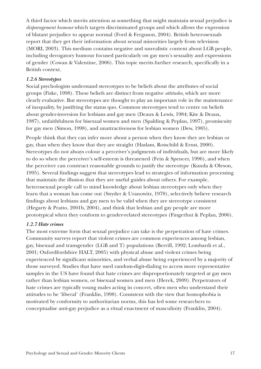A third factor which merits attention as something that might maintain sexual prejudice is *disparagement humour* which targets discriminated groups and which allows the expression of blatant prejudice to appear normal (Ford & Ferguson, 2004). British heterosexuals report that they get their information about sexual minorities largely from television (MORI, 2003). This medium contains negative and unrealistic content about LGB people, including derogatory humour focused particularly on gay men's sexuality and expressions of gender (Cowan & Valentine, 2006). This topic merits further research, specifically in a British context.

#### *1.2.6 Stereotypes*

Social psychologists understand stereotypes to be beliefs about the attributes of social groups (Fiske, 1998). These beliefs are distinct from negative *attitudes*, which are more clearly evaluative. But stereotypes are thought to play an important role in the maintenance of inequality, by justifying the status quo. Common stereotypes tend to centre on beliefs about gender-inversion for lesbians and gay men (Deaux & Lewis, 1984; Kite & Deaux, 1987), unfaithfulness for bisexual women and men (Spalding & Peplau, 1997), promiscuity for gay men (Simon, 1998), and unattractiveness for lesbian women (Dew, 1985).

People think that they can infer more about a person when they know they are lesbian or gay, than when they know that they are straight (Haslam, Rotschild & Ernst, 2000). Stereotypes do not always colour a perceiver's judgments of individuals, but are more likely to do so when the perceiver's self-esteem is threatened (Fein & Spencer, 1996), and when the perceiver can construct reasonable grounds to justify the stereotype (Kunda & Oleson, 1995). Several findings suggest that stereotypes lead to strategies of information processing that maintain the illusion that they are useful guides about others. For example, heterosexual people call to mind knowledge about lesbian stereotypes only when they learn that a woman has come out (Snyder & Uranowitz, 1978), selectively believe research findings about lesbians and gay men to be valid when they are stereotype consistent (Hegarty & Pratto, 2001b, 2004), and think that lesbian and gay people are more prototypical when they conform to gender-related stereotypes (Fingerhut & Peplau, 2006).

#### *1.2.7 Hate crimes*

The most extreme form that sexual prejudice can take is the perpetration of hate crimes. Community surveys report that violent crimes are common experiences among lesbian, gay, bisexual and transgender (LGB and T) populations (Berrill, 1992; Lombardi et al., 2001; Oxfordfordshire HALT, 2005) with physical abuse and violent crimes being experienced by significant minorities, and verbal abuse being experienced by a majority of those surveyed. Studies that have used random-digit-dialing to access more representative samples in the US have found that hate crimes are disproportionately targeted at gay men rather than lesbian women, or bisexual women and men (Herek, 2009). Perpetrators of hate crimes are typically young males acting in concert, often men who understand their attitudes to be 'liberal' (Franklin, 1998). Consistent with the view that homophobia is motivated by conformity to authoritarian norms, this has led some researchers to conceptualise anti-gay prejudice as a ritual enactment of masculinity (Franklin, 2004).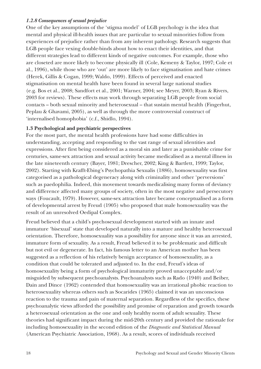### *1.2.8 Consequences of sexual prejudice*

One of the key assumptions of the 'stigma model' of LGB psychology is the idea that mental and physical ill-health issues that are particular to sexual minorities follow from experiences of prejudice rather than from any inherent pathology. Research suggests that LGB people face vexing double-binds about how to enact their identities, and that different strategies lead to different kinds of negative outcomes. For example, those who are closeted are more likely to become physically ill (Cole, Kemeny & Taylor, 1997; Cole et al., 1996), while those who are 'out' are more likely to face stigmatisation and hate crimes (Herek, Gillis & Cogan, 1999; Waldo, 1999). Effects of perceived and enacted stigmatisation on mental health have been found in several large national studies (e.g. Bos et al., 2008; Sandfort et al., 2001; Warner, 2004; see Meyer, 2003; Ryan & Rivers, 2003 for reviews). These effects may work through separating LGB people from social contacts – both sexual minority and heterosexual – that sustain mental health (Fingerhut, Peplau & Ghavami, 2005), as well as through the more controversial construct of 'internalised homophobia' (c.f., Shidlo, 1994).

### **1.3 Psychological and psychiatric perspectives**

For the most part, the mental health professions have had some difficulties in understanding, accepting and responding to the vast range of sexual identities and expressions. After first being considered as a moral sin and later as a punishable crime for centuries, same-sex attraction and sexual activity became medicalised as a mental illness in the late nineteenth century (Bayer, 1981; Drescher, 2002; King & Bartlett, 1999; Taylor, 2002). Starting with Krafft-Ebing's Psychopathia Sexualis (1886), homosexuality was first categorised as a pathological degeneracy along with criminality and other 'perversions' such as paedophilia. Indeed, this movement towards medicalising many forms of deviancy and difference affected many groups of society, often in the most negative and persecutory ways (Foucault, 1979). However, same-sex attraction later became conceptualised as a form of developmental arrest by Freud (1905) who proposed that male homosexuality was the result of an unresolved Oedipal Complex.

Freud believed that a child's psychosexual development started with an innate and immature 'bisexual' state that developed naturally into a mature and healthy heterosexual orientation. Therefore, homosexuality was a possibility for anyone since it was an arrested, immature form of sexuality. As a result, Freud believed it to be problematic and difficult but not evil or degenerate. In fact, his famous letter to an American mother has been suggested as a reflection of his relatively benign acceptance of homosexuality, as a condition that could be tolerated and adjusted to. In the end, Freud's ideas of homosexuality being a form of psychological immaturity proved unacceptable and/or misguided by subsequent psychoanalysts. Psychoanalysts such as Rado (1940) and Beiber, Dain and Dince (1962) contended that homosexuality was an irrational phobic reaction to heterosexuality whereas others such as Socarides (1965) claimed it was an unconscious reaction to the trauma and pain of maternal separation. Regardless of the specifics, these psychoanalytic views afforded the possibility and promise of reparation and growth towards a heterosexual orientation as the one and only healthy norm of adult sexuality. These theories had significant impact during the mid-20th century and provided the rationale for including homosexuality in the second edition of the *Diagnostic and Statistical Manual* (American Psychiatric Association, 1968). As a result, scores of individuals received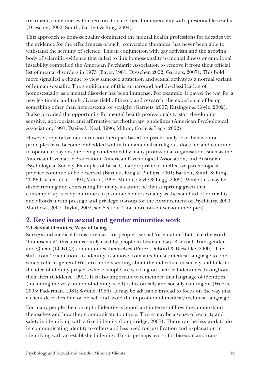treatment, sometimes with coercion, to cure their homosexuality with questionable results (Drescher, 2002; Smith, Bartlett & King, 2004).

This approach to homosexuality dominated the mental health professions for decades yet the evidence for the effectiveness of such 'conversion therapies' has never been able to withstand the scrutiny of science. This in conjunction with gay activism and the growing body of scientific evidence that failed to link homosexuality to mental illness or emotional instability compelled the American Psychiatric Association to remove it from their official list of mental disorders in 1973 (Bayer, 1981; Drescher, 2002; Garnets, 2007). This bold move signalled a change to view same-sex attraction and sexual activity as a normal variant of human sexuality. The significance of this turnaround and de-classification of homosexuality as a mental disorder has been immense. For example, it paved the way for a new legitimate and truly diverse field of theory and research: the experience of being something other than heterosexual or straight (Garnets, 2007; Kitzinger & Coyle, 2002). It also provided the opportunity for mental health professionals to start developing sensitive, appropriate and affirmative psychotherapy guidelines (American Psychological Association, 1991; Davies & Neal, 1996; Milton, Coyle & Legg, 2002).

However, reparative or conversion therapies based on psychoanalytic or behavioural principles have become embedded within fundamentalist religious doctrine and continue to operate today despite being condemned by many professional organisations such as the American Psychiatric Association, American Psychological Association, and Australian Psychological Society. Examples of biased, inappropriate or ineffective psychological practice continue to be observed (Bartlett, King & Phillips, 2001; Bartlett, Smith & King, 2009; Garnets et al., 1991; Milton, 1998; Milton, Coyle & Legg, 2005). While this may be disheartening and concerning for many, it cannot be that surprising given that contemporary society continues to promote heterosexuality as the standard of normality and affords it with prestige and privilege (Group for the Advancement of Psychiatry, 2000; Matthews, 2007; Taylor, 2002, see Section 4 for more on conversion therapies).

## **2. Key issued in sexual and gender minorities work**

## **2.1 Sexual identities/Ways of being**

Surveys and medical forms often ask for people's sexual 'orientation' but, like the word 'homosexual', this term is rarely used by people in Lesbian, Gay, Bisexual, Transgender and Queer (LGBTQ) communities themselves (Perez, DeBord & Bieschke, 2000). The shift from 'orientation' to 'identity' is a move from a technical/medical language to one which reflects general Western understanding about the individual in society and links to the idea of identity projects where people are working on their self-identities throughout their lives (Giddens, 1992). It is also important to remember that language of identities (including the very notion of identity itself) is historically and socially contingent (Weeks, 2003; Faderman, 1984; Sophie, 1986). It may be advisable instead to focus on the way that a client describes him or herself and avoid the imposition of medical/technical language.

For many people the concept of identity is important in terms of how they understand themselves and how they communicate to others. There may be a sense of security and safety in identifying with a fixed identity (Langdridge, 2007). There can be less work to do in communicating identity to others and less need for justification and explanation in identifying with an established identity. This is perhaps less so for bisexual and trans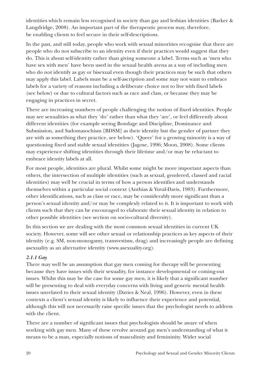identities which remain less recognised in society than gay and lesbian identities (Barker & Langdridge, 2008). An important part of the therapeutic process may, therefore, be enabling clients to feel secure in their self-descriptions.

In the past, and still today, people who work with sexual minorities recognise that there are people who do not subscribe to an identity even if their practices would suggest that they do. This is about self-identity rather than giving someone a label. Terms such as 'men who have sex with men' have been used in the sexual health arena as a way of including men who do not identify as gay or bisexual even though their practices may be such that others may apply this label. Labels must be a self-ascription and some may not want to embrace labels for a variety of reasons including a deliberate choice not to live with fixed labels (see below) or due to cultural factors such as race and class, or because they may be engaging in practices in secret.

There are increasing numbers of people challenging the notion of fixed identities. People may see sexualities as what they 'do' rather than what they 'are', or feel differently about different identities (for example seeing Bondage and Discipline, Dominance and Submission, and Sadomasochism [BDSM] as their identity but the gender of partner they are with as something they practice, see below). 'Queer' for a growing minority is a way of questioning fixed and stable sexual identities (Jagose, 1996; Moon, 2008). Some clients may experience shifting identities through their lifetime and/or may be reluctant to embrace identity labels at all.

For most people, identities are plural. Whilst some might be more important aspects than others, the intersection of multiple identities (such as sexual, gendered, classed and racial identities) may well be crucial in terms of how a person identifies and understands themselves within a particular social context (Anthias & Yuval-Davis, 1983). Furthermore, other identifications, such as class or race, may be considerably more significant than a person's sexual identity and/or may be complexly related to it. It is important to work with clients such that they can be encouraged to elaborate their sexual identity in relation to other possible identities (see section on socio-cultural diversity).

In this section we are dealing with the most common sexual identities in current UK society. However, some will see other sexual or relationship practices as key aspects of their identity (e.g. SM, non-monogamy, transvestism, drag) and increasingly people are defining asexuality as an alternative identity (www.asexuality.org).

## *2.1.1 Gay*

There may well be an assumption that gay men coming for therapy will be presenting because they have issues with their sexuality, for instance developmental or coming-out issues. Whilst this may be the case for some gay men, it is likely that a significant number will be presenting to deal with everyday concerns with living and generic mental health issues unrelated to their sexual identity (Davies & Neal, 1996). However, even in these contexts a client's sexual identity is likely to influence their experience and potential, although this will not necessarily raise specific issues that the psychologist needs to address with the client.

There are a number of significant issues that psychologists should be aware of when working with gay men. Many of these revolve around gay men's understanding of what it means to be a man, especially notions of masculinity and femininity. Wider social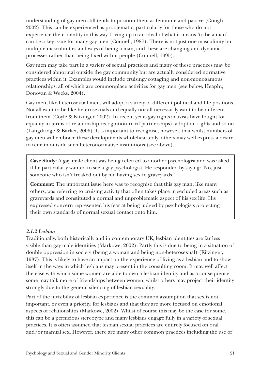understanding of gay men still tends to position them as feminine and passive (Gough, 2002). This can be experienced as problematic, particularly for those who do not experience their identity in this way. Living up to an ideal of what it means 'to be a man' can be a key issue for many gay men (Connell, 1987). There is not just one masculinity but multiple masculinities and ways of being a man, and these are changing and dynamic processes rather than being fixed within people (Connell, 1995).

Gay men may take part in a variety of sexual practices and many of these practices may be considered abnormal outside the gay community but are actually considered normative practices within it. Examples would include cruising/cottaging and non-monogamous relationships, all of which are commonplace activities for gay men (see below, Heaphy, Donovan & Weeks, 2004).

Gay men, like heterosexual men, will adopt a variety of different political and life positions. Not all want to be like heterosexuals and equally not all necessarily want to be different from them (Coyle & Kitzinger, 2002). In recent years gay rights activists have fought for equality in terms of relationship recognition (civil partnerships), adoption rights and so on (Langdridge & Barker, 2006). It is important to recognise, however, that whilst numbers of gay men will embrace these developments wholeheartedly, others may well express a desire to remain outside such heteronormative institutions (see above).

**Case Study:** A gay male client was being referred to another psychologist and was asked if he particularly wanted to see a gay psychologist. He responded by saying: 'No, just someone who isn't freaked out by me having sex in graveyards.'

**Comment:** The important issue here was to recognise that this gay man, like many others, was referring to cruising activity that often takes place in secluded areas such as graveyards and constituted a normal and unproblematic aspect of his sex life. His expressed concern represented his fear at being judged by psychologists projecting their own standards of normal sexual contact onto him.

#### *2.1.2 Lesbian*

Traditionally, both historically and in contemporary UK, lesbian identities are far less visible than gay male identities (Markowe, 2002). Partly this is due to being in a situation of double oppression in society (being a woman and being non-heterosexual) (Kitzinger, 1987). This is likely to have an impact on the experience of living as a lesbian and to show itself in the ways in which lesbians may present in the consulting room. It may well affect the ease with which some women are able to own a lesbian identity and as a consequence some may talk more of friendships between women, whilst others may project their identity strongly due to the general silencing of lesbian sexuality.

Part of the invisibility of lesbian experience is the common assumption that sex is not important, or even a priority, for lesbians and that they are more focused on emotional aspects of relationships (Markowe, 2002). Whilst of course this may be the case for some, this can be a pernicious stereotype and many lesbians engage fully in a variety of sexual practices. It is often assumed that lesbian sexual practices are entirely focused on oral and/or manual sex. However, there are many other common practices including the use of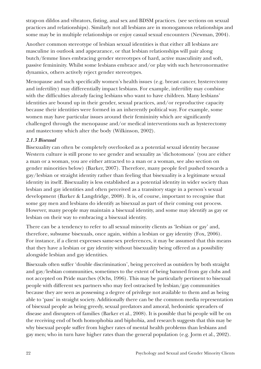strap-on dildos and vibrators, fisting, anal sex and BDSM practices. (see sections on sexual practices and relationships). Similarly not all lesbians are in monogamous relationships and some may be in multiple relationships or enjoy casual sexual encounters (Newman, 2004).

Another common stereotype of lesbian sexual identities is that either all lesbians are masculine in outlook and appearance, or that lesbian relationships will pair along butch/femme lines embracing gender stereotypes of hard, active masculinity and soft, passive femininity. Whilst some lesbians embrace and/or play with such heteronormative dynamics, others actively reject gender stereotypes.

Menopause and such specifically women's health issues (e.g. breast cancer, hysterectomy and infertility) may differentially impact lesbians. For example, infertility may combine with the difficulties already facing lesbians who want to have children. Many lesbians' identities are bound up in their gender, sexual practices, and/or reproductive capacity because their identities were formed in an inherently political way. For example, some women may have particular issues around their femininity which are significantly challenged through the menopause and/or medical interventions such as hysterectomy and mastectomy which alter the body (Wilkinson, 2002).

#### *2.1.3 Bisexual*

Bisexuality can often be completely overlooked as a potential sexual identity because Western culture is still prone to see gender and sexuality as 'dichotomous' (you are either a man or a woman, you are either attracted to a man or a woman, see also section on gender minorities below) (Barker, 2007). Therefore, many people feel pushed towards a gay/lesbian or straight identity rather than feeling that bisexuality is a legitimate sexual identity in itself. Bisexuality is less established as a potential identity in wider society than lesbian and gay identities and often perceived as a transitory stage in a person's sexual development (Barker & Langdridge, 2008). It is, of course, important to recognise that some gay men and lesbians do identify as bisexual as part of their coming out process. However, many people may maintain a bisexual identity, and some may identify as gay or lesbian on their way to embracing a bisexual identity.

There can be a tendency to refer to all sexual minority clients as 'lesbian or gay' and, therefore, subsume bisexuals, once again, within a lesbian or gay identity (Fox, 2006). For instance, if a client expresses same-sex preferences, it may be assumed that this means that they have a lesbian or gay identity without bisexuality being offered as a possibility alongside lesbian and gay identities.

Bisexuals often suffer 'double discrimination', being perceived as outsiders by both straight and gay/lesbian communities, sometimes to the extent of being banned from gay clubs and not accepted on Pride marches (Ochs, 1996). This may be particularly pertinent to bisexual people with different sex partners who may feel ostracised by lesbian/gay communities because they are seen as possessing a degree of privilege not available to them and as being able to 'pass' in straight society. Additionally there can be the common media representation of bisexual people as being greedy, sexual predators and amoral, hedonistic spreaders of disease and disrupters of families (Barker et al., 2008). It is possible that bi people will be on the receiving end of both homophobia and biphobia, and research suggests that this may be why bisexual people suffer from higher rates of mental health problems than lesbians and gay men; who in turn have higher rates than the general population (e.g. Jorm et al., 2002).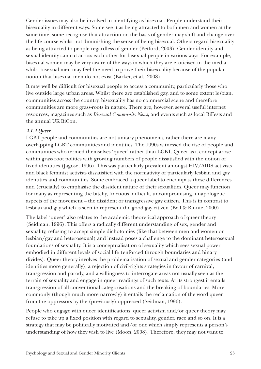Gender issues may also be involved in identifying as bisexual. People understand their bisexuality in different ways. Some see it as being attracted to both men and women at the same time, some recognise that attraction on the basis of gender may shift and change over the life course whilst not diminishing the sense of being bisexual. Others regard bisexuality as being attracted to people regardless of gender (Petford, 2003). Gender identity and sexual identity can cut across each other for bisexual people in various ways. For example, bisexual women may be very aware of the ways in which they are eroticised in the media whilst bisexual men may feel the need to prove their bisexuality because of the popular notion that bisexual men do not exist (Barker, et al., 2008).

It may well be difficult for bisexual people to access a community, particularly those who live outside large urban areas. Whilst there are established gay, and to some extent lesbian, communities across the country, bisexuality has no commercial scene and therefore communities are more grass-roots in nature. There are, however, several useful internet resources, magazines such as *Bisexual Community News*, and events such as local BiFests and the annual UK BiCon.

### *2.1.4 Queer*

LGBT people and communities are not unitary phenomena, rather there are many overlapping LGBT communities and identities. The 1990s witnessed the rise of people and communities who termed themselves 'queer' rather than LGBT. Queer as a concept arose within grass root politics with growing numbers of people dissatisfied with the notion of fixed identities (Jagose, 1996). This was particularly prevalent amongst HIV/AIDS activists and black feminist activists dissatisfied with the normativity of particularly lesbian and gay identities and communities. Some embraced a queer label to encompass these differences and (crucially) to emphasise the dissident nature of their sexualities. Queer may function for many as representing the bitchy, fractious, difficult, uncompromising, unapologetic aspects of the movement – the dissident or transgressive gay citizen. This is in contrast to lesbian and gay which is seen to represent the good gay citizen (Bell & Binnie, 2000).

The label 'queer' also relates to the academic theoretical approach of queer theory (Seidman, 1996). This offers a radically different understanding of sex, gender and sexuality, refusing to accept simple dichotomies (like that between men and women or lesbian/gay and heterosexual) and instead poses a challenge to the dominant heterosexual foundations of sexuality. It is a conceptualisation of sexuality which sees sexual power embodied in different levels of social life (enforced through boundaries and binary divides). Queer theory involves the problematisation of sexual and gender categories (and identities more generally), a rejection of civil-rights strategies in favour of carnival, transgression and parody, and a willingness to interrogate areas not usually seen as the terrain of sexuality and engage in queer readings of such texts. At its strongest it entails transgression of all conventional categorisations and the breaking of boundaries. More commonly (though much more narrowly) it entails the reclamation of the word queer from the oppressors by the (previously) oppressed (Seidman, 1996).

People who engage with queer identifications, queer activism and/or queer theory may refuse to take up a fixed position with regard to sexuality, gender, race and so on. It is a strategy that may be politically motivated and/or one which simply represents a person's understanding of how they wish to live (Moon, 2008). Therefore, they may not want to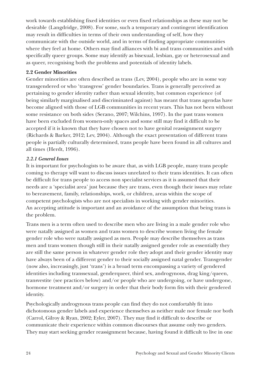work towards establishing fixed identities or even fixed relationships as these may not be desirable (Langdridge, 2008). For some, such a temporary and contingent identification may result in difficulties in terms of their own understanding of self, how they communicate with the outside world, and in terms of finding appropriate communities where they feel at home. Others may find alliances with bi and trans communities and with specifically queer groups. Some may identify as bisexual, lesbian, gay or heterosexual and as queer, recognising both the problems and potentials of identity labels.

## **2.2 Gender Minorities**

Gender minorities are often described as trans (Lev, 2004), people who are in some way transgendered or who 'transgress' gender boundaries. Trans is generally perceived as pertaining to gender identity rather than sexual identity, but common experience (of being similarly marginalised and discriminated against) has meant that trans agendas have become aligned with those of LGB communities in recent years. This has not been without some resistance on both sides (Serano, 2007; Wilchins, 1997). In the past trans women have been excluded from women-only spaces and some still may find it difficult to be accepted if it is known that they have chosen not to have genital reassignment surgery (Richards & Barker, 2012; Lev, 2004). Although the exact presentation of different trans people is partially culturally determined, trans people have been found in all cultures and all times (Herdt, 1996).

## *2.2.1 General Issues*

It is important for psychologists to be aware that, as with LGB people, many trans people coming to therapy will want to discuss issues unrelated to their trans identities. It can often be difficult for trans people to access non specialist services as it is assumed that their needs are a 'specialist area' just because they are trans, even though their issues may relate to bereavement, family, relationships, work, or children, areas within the scope of competent psychologists who are not specialists in working with gender minorities. An accepting attitude is important and an avoidance of the assumption that being trans is the problem.

Trans men is a term often used to describe men who are living in a male gender role who were natally assigned as women and trans women to describe women living the female gender role who were natally assigned as men. People may describe themselves as trans men and trans women though still in their natally assigned gender role as essentially they are still the same person in whatever gender role they adopt and their gender identity may have always been of a different gender to their socially assigned natal gender. Transgender (now also, increasingly, just 'trans') is a broad term encompassing a variety of gendered identities including transsexual, genderqueer, third sex, androgynous, drag king/queen, transvestite (see practices below) and/or people who are undergoing, or have undergone, hormone treatment and/or surgery in order that their body form fits with their gendered identity.

Psychologically androgynous trans people can find they do not comfortably fit into dichotomous gender labels and experience themselves as neither male nor female nor both (Carrol, Gilroy & Ryan, 2002; Eyler, 2007). They may find it difficult to describe or communicate their experience within common discourses that assume only two genders. They may start seeking gender reassignment because, having found it difficult to live in one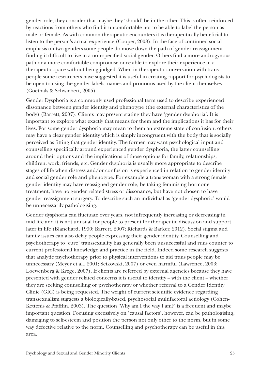gender role, they consider that maybe they 'should' be in the other. This is often reinforced by reactions from others who find it uncomfortable not to be able to label the person as male or female. As with common therapeutic encounters it is therapeutically beneficial to listen to the person's actual experience (Cooper, 2008). In the face of continued social emphasis on two genders some people do move down the path of gender reassignment finding it difficult to live in a non-specified social gender. Others find a more androgynous path or a more comfortable compromise once able to explore their experience in a therapeutic space without being judged. When in therapeutic conversation with trans people some researchers have suggested it is useful in creating rapport for psychologists to be open to using the gender labels, names and pronouns used by the client themselves (Goethals & Schwiebert, 2005).

Gender Dysphoria is a commonly used professional term used to describe experienced dissonance between gender identity and phenotype (the external characteristics of the body) (Barrett, 2007). Clients may present stating they have 'gender dysphoria'. It is important to explore what exactly that means for them and the implications it has for their lives. For some gender dysphoria may mean to them an extreme state of confusion, others may have a clear gender identity which is simply incongruent with the body that is socially perceived as fitting that gender identity. The former may want psychological input and counselling specifically around experienced gender dysphoria, the latter counselling around their options and the implications of those options for family, relationships, children, work, friends, etc. Gender dysphoria is usually more appropriate to describe stages of life when distress and/or confusion is experienced in relation to gender identity and social gender role and phenotype. For example a trans woman with a strong female gender identity may have reassigned gender role, be taking feminising hormone treatment, have no gender related stress or dissonance, but have not chosen to have gender reassignment surgery. To describe such an individual as 'gender dysphoric' would be unnecessarily pathologising.

Gender dysphoria can fluctuate over years, not infrequently increasing or decreasing in mid life and it is not unusual for people to present for therapeutic discussion and support later in life (Blanchard, 1990; Barrett, 2007; Richards & Barker, 2012). Social stigma and family issues can also delay people expressing their gender identity. Counselling and psychotherapy to 'cure' transsexuality has generally been unsuccessful and runs counter to current professional knowledge and practice in the field. Indeed some research suggests that analytic psychotherapy prior to physical interventions to aid trans people may be unnecessary (Meyer et al., 2001; Seikowski, 2007) or even harmful (Lawrence, 2003; Loewenberg & Krege, 2007). If clients are referred by external agencies because they have presented with gender related concerns it is useful to identify – with the client – whether they are seeking counselling or psychotherapy or whether referral to a Gender Identity Clinic (GIC) is being requested. The weight of current scientific evidence regarding transsexualism suggests a biologically-based, psychosocial multifactoral aetiology (Cohen-Kettenis & Pfafflin, 2003). The question 'Why am I the way I am?' is a frequent and maybe important question. Focusing excessively on 'causal factors', however, can be pathologising, damaging to self-esteem and position the person not only other to the norm, but in some way defective relative to the norm. Counselling and psychotherapy can be useful in this area.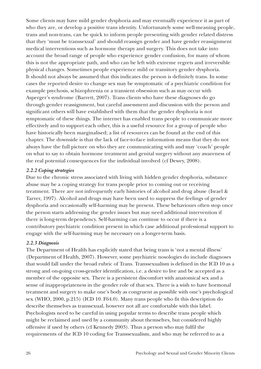Some clients may have mild gender dysphoria and may eventually experience it as part of who they are, or develop a positive trans identity. Unfortunately some well-meaning people, trans and non-trans, can be quick to inform people presenting with gender related distress that they 'must be transsexual' and should reassign gender and have gender reassignment medical interventions such as hormone therapy and surgery. This does not take into account the broad range of people who experience gender confusion, for many of whom this is not the appropriate path, and who can be left with extreme regrets and irreversible physical changes. Sometimes people experience mild or transitory gender dysphoria. It should not always be assumed that this indicates the person is definitely trans. In some cases the reported desire to change sex may be symptomatic of a psychiatric condition for example psychosis, schizophrenia or a transient obsession such as may occur with Asperger's syndrome (Barrett, 2007). Trans clients who have these diagnoses do go through gender reassignment, but careful assessment and discussion with the person and significant others will have established with them that the gender dysphoria is not symptomatic of these things. The internet has enabled trans people to communicate more effectively and to support each other, this is a useful resource for a group of people who have historically been marginalised; a list of resources can be found at the end of this chapter. The downside is that the lack of face-to-face information means that they do not always have the full picture on who they are communicating with and may 'coach' people on what to say to obtain hormone treatment and genital surgery without any awareness of the real potential consequences for the individual involved (cf Dewey, 2008).

### *2.2.2 Coping strategies*

Due to the chronic stress associated with living with hidden gender dysphoria, substance abuse may be a coping strategy for trans people prior to coming out or receiving treatment. There are not infrequently early histories of alcohol and drug abuse (Israel & Tarver, 1997). Alcohol and drugs may have been used to suppress the feelings of gender dysphoria and occasionally self-harming may be present. These behaviours often stop once the person starts addressing the gender issues but may need additional intervention if there is long-term dependency. Self-harming can continue to occur if there is a contributory psychiatric condition present in which case additional professional support to engage with the self-harming may be necessary on a longer-term basis.

## *2.2.3 Diagnosis*

The Department of Health has explicitly stated that being trans is 'not a mental illness' (Department of Health, 2007). However, some psychiatric nosologies do include diagnoses that would fall under the broad rubric of Trans. Transsexualism is defined in the ICD 10 as a strong and on-going cross-gender identification, i.e. a desire to live and be accepted as a member of the opposite sex. There is a persistent discomfort with anatomical sex and a sense of inappropriateness in the gender role of that sex. There is a wish to have hormonal treatment and surgery to make one's body as congruent as possible with one's psychological sex (WHO, 2000, p.215) (ICD 10. F64.0). Many trans people who fit this description do describe themselves as transsexual, however not all are comfortable with this label. Psychologists need to be careful in using popular terms to describe trans people which might be reclaimed and used by a community about themselves, but considered highly offensive if used by others (cf Kennedy 2003). Thus a person who may fulfil the requirements of the ICD 10 coding for Transsexualism, and who may be referred to as a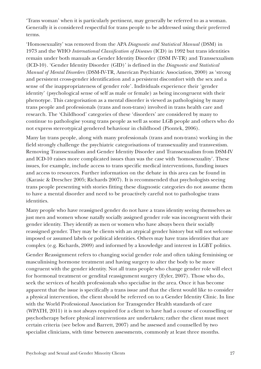'Trans woman' when it is particularly pertinent, may generally be referred to as a woman. Generally it is considered respectful for trans people to be addressed using their preferred terms.

'Homosexuality' was removed from the APA *Diagnostic and Statistical Manual* (DSM) in 1973 and the WHO *International Classification of Diseases* (ICD) in 1992 but trans identities remain under both manuals as Gender Identity Disorder (DSM IV-TR) and Transsexualism (ICD-10). 'Gender Identity Disorder (GID)' is defined in the *Diagnostic and Statistical Manual of Mental Disorders* (DSM-IV-TR, American Psychiatric Association, 2000) as 'strong and persistent cross-gender identification and a persistent discomfort with the sex and a sense of the inappropriateness of gender role'. Individuals experience their 'gender identity' (psychological sense of self as male or female) as being incongruent with their phenotype. This categorisation as a mental disorder is viewed as pathologising by many trans people and professionals (trans and non-trans) involved in trans health care and research. The 'Childhood' categories of these 'disorders' are considered by many to continue to pathologise young trans people as well as some LGB people and others who do not express stereotypical gendered behaviour in childhood (Piontek, 2006).

Many lay trans people, along with many professionals (trans and non-trans) working in the field strongly challenge the psychiatric categorisations of transsexuality and transvestism. Removing Transsexualism and Gender Identity Disorder and Transsexualism from DSM-IV and ICD-10 raises more complicated issues than was the case with 'homosexuality'. These issues, for example, include access to trans specific medical interventions, funding issues and access to resources. Further information on the debate in this area can be found in (Karasic & Drescher 2005; Richards 2007). It is recommended that psychologists seeing trans people presenting with stories fitting these diagnostic categories do not assume them to have a mental disorder and need to be proactively careful not to pathologise trans identities.

Many people who have reassigned gender do not have a trans identity seeing themselves as just men and women whose natally socially assigned gender role was incongruent with their gender identity. They identify as men or women who have always been their socially reassigned gender. They may be clients with an atypical gender history but will not welcome imposed or assumed labels or political identities. Others may have trans identities that are complex (e.g. Richards, 2009) and informed by a knowledge and interest in LGBT politics.

Gender Reassignment refers to changing social gender role and often taking feminising or masculinising hormone treatment and having surgery to alter the body to be more congruent with the gender identity. Not all trans people who change gender role will elect for hormonal treatment or gendital reassignment surgery (Eyler, 2007). Those who do, seek the services of health professionals who specialise in the area. Once it has become apparent that the issue is specifically a trans issue and that the client would like to consider a physical intervention, the client should be referred on to a Gender Identity Clinic. In line with the World Professional Association for Transgender Health standards of care (WPATH, 2011) it is not always required for a client to have had a course of counselling or psychotherapy before physical interventions are undertaken; rather the client must meet certain criteria (see below and Barrett, 2007) and be assessed and counselled by two specialist clinicians, with time between assessments, commonly at least three months.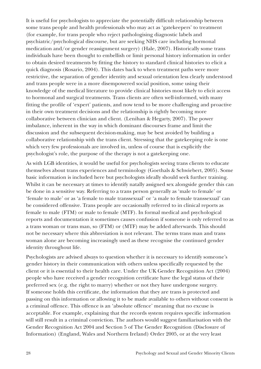It is useful for psychologists to appreciate the potentially difficult relationship between some trans people and health professionals who may act as 'gatekeepers' to treatment (for example, for trans people who reject pathologising diagnostic labels and psychiatric/psychological discourse, but are seeking NHS care including hormonal medication and/or gender reassignment surgery) (Hale, 2007). Historically some trans individuals have been thought to embellish or limit personal history information in order to obtain desired treatments by fitting the history to standard clinical histories to elicit a quick diagnosis (Rosario, 2004). This dates back to when treatment paths were more restrictive, the separation of gender identity and sexual orientation less clearly understood and trans people were in a more disempowered social position, some using their knowledge of the medical literature to provide clinical histories most likely to elicit access to hormonal and surgical treatments. Trans clients are often well-informed, with many fitting the profile of 'expert' patients, and now tend to be more challenging and proactive in their own treatment decisions and the relationship is rightly becoming more collaborative between clinician and client. (Lenihan & Hegarty, 2007). The power imbalance, inherent in the way in which dominant discourses frame and limit the discussion and the subsequent decision-making, may be best avoided by building a collaborative relationship with the trans client. Stressing that the gatekeeping role is one which very few professionals are involved in, unless of course that is explicitly the psychologist's role, the purpose of the therapy is not a gatekeeping one.

As with LGB identities, it would be useful for psychologists seeing trans clients to educate themselves about trans experiences and terminology (Goethals & Schwiebert, 2005). Some basic information is included here but psychologists ideally should seek further training. Whilst it can be necessary at times to identify natally assigned sex alongside gender this can be done in a sensitive way. Referring to a trans person generally as 'male to female' or 'female to male' or as 'a female to male transsexual' or 'a male to female transsexual' can be considered offensive. Trans people are occasionally referred to in clinical reports as female to male (FTM) or male to female (MTF). In formal medical and psychological reports and documentation it sometimes causes confusion if someone is only referred to as a trans woman or trans man, so (FTM) or (MTF) may be added afterwards. This should not be necessary where this abbreviation is not relevant. The terms trans man and trans woman alone are becoming increasingly used as these recognise the continued gender identity throughout life.

Psychologists are advised always to question whether it is necessary to identify someone's gender history in their communication with others unless specifically requested by the client or it is essential to their health care. Under the UK Gender Recognition Act (2004) people who have received a gender recognition certificate have the legal status of their preferred sex (e.g. the right to marry) whether or not they have undergone surgery. If someone holds this certificate, the information that they are trans is protected and passing on this information or allowing it to be made available to others without consent is a criminal offence. This offence is an 'absolute offence' meaning that no excuse is acceptable. For example, explaining that the records system requires specific information will still result in a criminal conviction. The authors would suggest familiarisation with the Gender Recognition Act 2004 and Section 5 of The Gender Recognition (Disclosure of Information) (England, Wales and Northern Ireland) Order 2005, or at the very least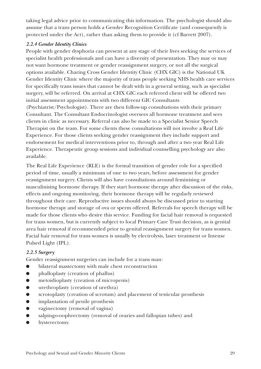taking legal advice prior to communicating this information. The psychologist should also assume that a trans person holds a Gender Recognition Certificate (and consequently is protected under the Act), rather than asking them to provide it (cf Barrett 2007).

### *2.2.4 Gender Identity Clinics*

People with gender dysphoria can present at any stage of their lives seeking the services of specialist health professionals and can have a diversity of presentation. They may or may not want hormone treatment or gender reassignment surgery, or not all the surgical options available. Charing Cross Gender Identity Clinic (CHX GIC) is the National UK Gender Identity Clinic where the majority of trans people seeking NHS health care services for specifically trans issues that cannot be dealt with in a general setting, such as specialist surgery, will be referred. On arrival at CHX GIC each referred client will be offered two initial assessment appointments with two different GIC Consultants

(Psychiatrist/Psychologist). There are then follow-up consultations with their primary Consultant. The Consultant Endocrinologist oversees all hormone treatment and sees clients in clinic as necessary. Referral can also be made to a Specialist Senior Speech Therapist on the team. For some clients these consultations will not involve a Real Life Experience. For those clients seeking gender reassignment they include support and endorsement for medical interventions prior to, through and after a two year Real Life Experience. Therapeutic group sessions and individual counselling psychology are also available.

The Real Life Experience (RLE) is the formal transition of gender role for a specified period of time, usually a minimum of one to two years, before assessment for gender reassignment surgery. Clients will also have consultations around feminising or masculinising hormone therapy. If they start hormone therapy after discussion of the risks, effects and ongoing monitoring, their hormone therapy will be regularly reviewed throughout their care. Reproductive issues should always be discussed prior to starting hormone therapy and storage of ova or sperm offered. Referrals for speech therapy will be made for those clients who desire this service. Funding for facial hair removal is requested for trans women, but is currently subject to local Primary Care Trust decision, as is genital area hair removal if recommended prior to genital reassignment surgery for trans women. Facial hair removal for trans women is usually by electrolysis, laser treatment or Intense Pulsed Light (IPL).

## *2.2.5 Surgery*

Gender reassignment surgeries can include for a trans man:

- bilateral mastectomy with male chest reconstruction
- phalloplasty (creation of phallus)
- metoidioplasty (creation of micropenis)
- urethroplasty (creation of urethra)
- scrotoplasty (creation of scrotum) and placement of testicular prosthesis
- **•** implantation of penile prosthesis
- vaginectomy (removal of vagina)
- salpingo-oophrectomy (removal of ovaries and fallopian tubes) and
- hysterectomy.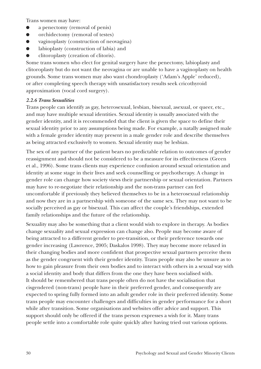Trans women may have:

- a penectomy (removal of penis)
- orchidectomy (removal of testes)
- vaginoplasty (construction of neovagina)
- labioplasty (construction of labia) and
- clitoroplasty (creation of clitoris).

Some trans women who elect for genital surgery have the penectomy, labioplasty and clitoroplasty but do not want the neovagina or are unable to have a vaginoplasty on health grounds. Some trans women may also want chondroplasty ('Adam's Apple' reduced), or after completing speech therapy with unsatisfactory results seek cricothyroid approximation (vocal cord surgery).

#### *2.2.6 Trans Sexualities*

Trans people can identify as gay, heterosexual, lesbian, bisexual, asexual, or queer, etc., and may have multiple sexual identities. Sexual identity is usually associated with the gender identity, and it is recommended that the client is given the space to define their sexual identity prior to any assumptions being made. For example, a natally assigned male with a female gender identity may present in a male gender role and describe themselves as being attracted exclusively to women. Sexual identity may be lesbian.

The sex of any partner of the patient bears no predictable relation to outcomes of gender reassignment and should not be considered to be a measure for its effectiveness (Green et al., 1996). Some trans clients may experience confusion around sexual orientation and identity at some stage in their lives and seek counselling or psychotherapy. A change in gender role can change how society views their partnership or sexual orientation. Partners may have to re-negotiate their relationship and the non-trans partner can feel uncomfortable if previously they believed themselves to be in a heterosexual relationship and now they are in a partnership with someone of the same sex. They may not want to be socially perceived as gay or bisexual. This can affect the couple's friendships, extended family relationships and the future of the relationship.

Sexuality may also be something that a client would wish to explore in therapy. As bodies change sexuality and sexual expression can change also. People may become aware of being attracted to a different gender to pre-transition, or their preference towards one gender increasing (Lawrence, 2005; Daskalos 1998). They may become more relaxed in their changing bodies and more confident that prospective sexual partners perceive them as the gender congruent with their gender identity. Trans people may also be unsure as to how to gain pleasure from their own bodies and to interact with others in a sexual way with a social identity and body that differs from the one they have been socialised with. It should be remembered that trans people often do not have the socialisation that cisgendered (non-trans) people have in their preferred gender, and consequently are expected to spring fully formed into an adult gender role in their preferred identity. Some trans people may encounter challenges and difficulties in gender performance for a short while after transition. Some organisations and websites offer advice and support. This support should only be offered if the trans person expresses a wish for it. Many trans people settle into a comfortable role quite quickly after having tried out various options.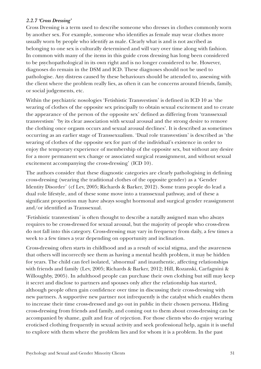#### *2.2.7 'Cross Dressing'*

Cross Dressing is a term used to describe someone who dresses in clothes commonly worn by another sex. For example, someone who identifies as female may wear clothes more usually worn by people who identify as male. Clearly what is and is not ascribed as belonging to one sex is culturally determined and will vary over time along with fashion. In common with many of the items in this guide cross dressing has long been considered to be psychopathological in its own right and is no longer considered to be. However, diagnoses do remain in the DSM and ICD. These diagnoses should not be used to pathologise. Any distress caused by these behaviours should be attended to, assessing with the client where the problem really lies, as often it can be concerns around friends, family, or social judgements, etc.

Within the psychiatric nosologies 'Fetishistic Transvestism' is defined in ICD 10 as 'the wearing of clothes of the opposite sex principally to obtain sexual excitement and to create the appearance of the person of the opposite sex' defined as differing from 'transsexual transvestism' 'by its clear association with sexual arousal and the strong desire to remove the clothing once orgasm occurs and sexual arousal declines'. It is described as sometimes occurring as an earlier stage of Transsexualism. 'Dual role transvestism' is described as 'the wearing of clothes of the opposite sex for part of the individual's existence in order to enjoy the temporary experience of membership of the opposite sex, but without any desire for a more permanent sex change or associated surgical reassignment, and without sexual excitement accompanying the cross-dressing' (ICD 10).

The authors consider that these diagnostic categories are clearly pathologising in defining cross-dressing (wearing the traditional clothes of the opposite gender) as a 'Gender Identity Disorder' (cf Lev, 2005; Richards & Barker, 2012). Some trans people do lead a dual role lifestyle, and of these some move into a transsexual pathway, and of these a significant proportion may have always sought hormonal and surgical gender reassignment and/or identified as Transsexual.

'Fetishistic transvestism' is often thought to describe a natally assigned man who always requires to be cross-dressed for sexual arousal, but the majority of people who cross-dress do not fall into this category. Cross-dressing may vary in frequency from daily, a few times a week to a few times a year depending on opportunity and inclination.

Cross-dressing often starts in childhood and as a result of social stigma, and the awareness that others will incorrectly see them as having a mental health problem, it may be hidden for years. The child can feel isolated, 'abnormal' and inauthentic, affecting relationships with friends and family (Lev, 2005; Richards & Barker, 2012; Hill, Rozanski, Carfagnini & Willoughby, 2005). In adulthood people can purchase their own clothing but still may keep it secret and disclose to partners and spouses only after the relationship has started, although people often gain confidence over time in discussing their cross-dressing with new partners. A supportive new partner not infrequently is the catalyst which enables them to increase their time cross-dressed and go out in public in their chosen persona. Hiding cross-dressing from friends and family, and coming out to them about cross-dressing can be accompanied by shame, guilt and fear of rejection. For those clients who do enjoy wearing eroticised clothing frequently in sexual activity and seek professional help, again it is useful to explore with them where the problem lies and for whom it is a problem. In the past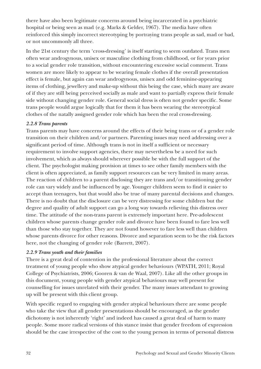there have also been legitimate concerns around being incarcerated in a psychiatric hospital or being seen as mad (e.g. Marks & Gelder, 1967). The media have often reinforced this simply incorrect stereotyping by portraying trans people as sad, mad or bad, or not uncommonly all three.

In the 21st century the term 'cross-dressing' is itself starting to seem outdated. Trans men often wear androgynous, unisex or masculine clothing from childhood, or for years prior to a social gender role transition, without encountering excessive social comment. Trans women are more likely to appear to be wearing female clothes if the overall presentation effect is female, but again can wear androgynous, unisex and odd feminine-appearing items of clothing, jewellery and make-up without this being the case, which many are aware of if they are still being perceived socially as male and want to partially express their female side without changing gender role. General social dress is often not gender specific. Some trans people would argue logically that for them it has been wearing the stereotypical clothes of the natally assigned gender role which has been the real cross-dressing.

## *2.2.8 Trans parents*

Trans parents may have concerns around the effects of their being trans or of a gender role transition on their children and/or partners. Parenting issues may need addressing over a significant period of time. Although trans is not in itself a sufficient or necessary requirement to involve support agencies, there may nevertheless be a need for such involvement, which as always should wherever possible be with the full support of the client. The psychologist making provision at times to see other family members with the client is often appreciated, as family support resources can be very limited in many areas. The reaction of children to a parent disclosing they are trans and/or transitioning gender role can vary widely and be influenced by age. Younger children seem to find it easier to accept than teenagers, but that would also be true of many parental decisions and changes. There is no doubt that the disclosure can be very distressing for some children but the degree and quality of adult support can go a long way towards relieving this distress over time. The attitude of the non-trans parent is extremely important here. Pre-adolescent children whose parents change gender role and divorce have been found to fare less well than those who stay together. They are not found however to fare less well than children whose parents divorce for other reasons. Divorce and separation seem to be the risk factors here, not the changing of gender role (Barrett, 2007).

## *2.2.9 Trans youth and their families*

There is a great deal of contention in the professional literature about the correct treatment of young people who show atypical gender behaviours (WPATH, 2011; Royal College of Psychiatrists, 2006; Gooren & van de Waal, 2007). Like all the other groups in this document, young people with gender atypical behaviours may well present for counselling for issues unrelated with their gender. The many issues attendant to growing up will be present with this client group.

With specific regard to engaging with gender atypical behaviours there are some people who take the view that all gender presentations should be encouraged, as the gender dichotomy is not inherently 'right' and indeed has caused a great deal of harm to many people. Some more radical versions of this stance insist that gender freedom of expression should be the case irrespective of the cost to the young person in terms of personal distress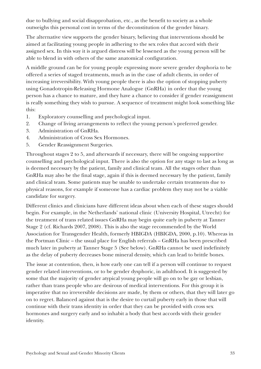due to bullying and social disapprobation, etc., as the benefit to society as a whole outweighs this personal cost in terms of the deconstitution of the gender binary.

The alternative view supports the gender binary, believing that interventions should be aimed at facilitating young people in adhering to the sex roles that accord with their assigned sex. In this way it is argued distress will be lessened as the young person will be able to blend in with others of the same anatomical configuration.

A middle ground can be for young people expressing more severe gender dysphoria to be offered a series of staged treatments, much as in the case of adult clients, in order of increasing irreversibility. With young people there is also the option of stopping puberty using Gonadotropin-Releasing Hormone Analogue (GnRHa) in order that the young person has a chance to mature, and they have a chance to consider if gender reassignment is really something they wish to pursue. A sequence of treatment might look something like this:

- 1. Exploratory counselling and psychological input.
- 2. Change of living arrangements to reflect the young person's preferred gender.
- 3. Administration of GnRHa.
- 4. Administration of Cross Sex Hormones.
- 5. Gender Reassignment Surgeries.

Throughout stages 2 to 5, and afterwards if necessary, there will be ongoing supportive counselling and psychological input. There is also the option for any stage to last as long as is deemed necessary by the patient, family and clinical team. All the stages other than GnRHa may also be the final stage, again if this is deemed necessary by the patient, family and clinical team. Some patients may be unable to undertake certain treatments due to physical reasons, for example if someone has a cardiac problem they may not be a viable candidate for surgery.

Different clinics and clinicians have different ideas about when each of these stages should begin. For example, in the Netherlands' national clinic (University Hospital, Utrecht) for the treatment of trans related issues GnRHa may begin quite early in puberty at Tanner Stage 2 (cf. Richards 2007, 2008). This is also the stage recommended by the World Association for Transgender Health, formerly HBIGDA (HBIGDA, 2000, p.10). Whereas in the Portman Clinic – the usual place for English referrals – GnRHa has been prescribed much later in puberty at Tanner Stage 5 (See below). GnRHa cannot be used indefinitely as the delay of puberty decreases bone mineral density, which can lead to brittle bones.

The issue at contention, then, is how early one can tell if a person will continue to request gender related interventions, or to be gender dysphoric, in adulthood. It is suggested by some that the majority of gender atypical young people will go on to be gay or lesbian, rather than trans people who are desirous of medical interventions. For this group it is imperative that no irreversible decisions are made, by them or others, that they will later go on to regret. Balanced against that is the desire to curtail puberty early in those that will continue with their trans identity in order that they can be provided with cross sex hormones and surgery early and so inhabit a body that best accords with their gender identity.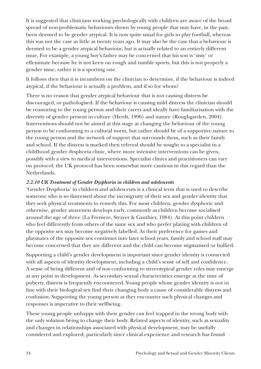It is suggested that clinicians working psychologically with children are aware of the broad spread of non-problematic behaviours shown by young people that may have, in the past, been deemed to be gender atypical. It is now quite usual for girls to play football, whereas this was not the case as little as twenty years ago. It may also be the case that a behaviour is deemed to be a gender atypical behaviour, but is actually related to an entirely different issue, For example, a young boy's father may be concerned that his son is 'sissy' or effeminate because he is not keen on rough and tumble sports, but this is not properly a gender issue, rather it is a sporting one.

It follows then that it is incumbent on the clinician to determine, if the behaviour is indeed atypical, if the behaviour is actually a problem, and if so for whom?

There is no reason that gender atypical behaviour that is not causing distress be discouraged, or pathologised. If the behaviour is causing mild distress the clinician should be reassuring to the young person and their carers and ideally have familiarisation with the diversity of gender present in culture (Herdt, 1996) and nature (Roughgarden, 2004). Interventions should not be aimed at this stage at changing the behaviour of the young person to be conforming to a cultural norm, but rather should be of a supportive nature to the young person and the network of support that surrounds them, such as their family and school. If the distress is marked then referral should be sought to a specialist in a childhood gender dysphoria clinic, where more intensive interventions can be given, possibly with a view to medical interventions. Specialist clinics and practitioners can vary on protocol, the UK protocol has been somewhat more cautious in this regard than the Netherlands.

### *2.2.10 UK Treatment of Gender Dysphoria in children and adolescents*

'Gender Dysphoria' in children and adolescents is a clinical term that is used to describe someone who is so distressed about the incongruity of their sex and gender identity that they seek physical treatments to remedy this. For most children, gender dysphoric and otherwise, gender awareness develops early, commonly as children become socialised around the age of three (La Freniere, Strayer & Gauthier, 1984). At this point children who feel differently from others of the same sex and who prefer playing with children of the opposite sex may become negatively labelled. As their preference for games and playmates of the opposite sex continues into later school years, family and school staff may become concerned that they are different and the child can become stigmatised or bullied.

Supporting a child's gender development is important since gender identity is connected with all aspects of identity development, including a child's sense of self and confidence. A sense of being different and of not conforming to stereotypical gender roles may emerge at any point in development. As secondary sexual characteristics emerge at the time of puberty, distress is frequently encountered. Young people whose gender identity is not in line with their biological sex find their changing body a cause of considerable distress and confusion. Supporting the young person as they encounter such physical changes and responses is imperative to their wellbeing.

These young people unhappy with their gender can feel trapped in the wrong body with the only solution being to change their body. Related aspects of identity, such as sexuality and changes in relationships associated with physical development, may be usefully considered and explored; particularly since clinical experience and research has found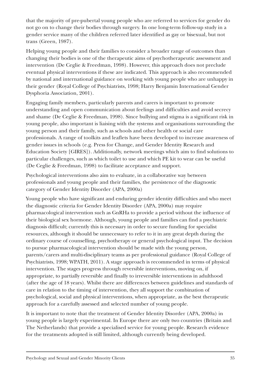that the majority of pre-pubertal young people who are referred to services for gender do not go on to change their bodies through surgery. In one long-term follow-up study in a gender service many of the children referred later identified as gay or bisexual, but not trans (Green, 1987).

Helping young people and their families to consider a broader range of outcomes than changing their bodies is one of the therapeutic aims of psychotherapeutic assessment and intervention (De Ceglie & Freedman, 1998). However, this approach does not preclude eventual physical interventions if these are indicated. This approach is also recommended by national and international guidance on working with young people who are unhappy in their gender (Royal College of Psychiatrists, 1998; Harry Benjamin International Gender Dysphoria Association, 2001).

Engaging family members, particularly parents and carers is important to promote understanding and open communication about feelings and difficulties and avoid secrecy and shame (De Ceglie & Freedman, 1998). Since bullying and stigma is a significant risk in young people, also important is liaising with the systems and organisations surrounding the young person and their family, such as schools and other health or social care professionals. A range of toolkits and leaflets have been developed to increase awareness of gender issues in schools (e.g. Press for Change, and Gender Identity Research and Education Society [GIRES]). Additionally, network meetings which aim to find solutions to particular challenges, such as which toilet to use and which PE kit to wear can be useful (De Ceglie & Freedman, 1998) to facilitate acceptance and support.

Psychological interventions also aim to evaluate, in a collaborative way between professionals and young people and their families, the persistence of the diagnostic category of Gender Identity Disorder (APA, 2000a)

Young people who have significant and enduring gender identity difficulties and who meet the diagnostic criteria for Gender Identity Disorder (APA, 2000a) may require pharmacological intervention such as GnRHa to provide a period without the influence of their biological sex hormone. Although, young people and families can find a psychiatric diagnosis difficult; currently this is necessary in order to secure funding for specialist resources, although it should be unnecessary to refer to it in any great depth during the ordinary course of counselling, psychotherapy or general psychological input. The decision to pursue pharmacological intervention should be made with the young person, parents/carers and multi-disciplinary teams as per professional guidance (Royal College of Psychiatrists, 1998; WPATH, 2011). A stage approach is recommended in terms of physical intervention. The stages progress through reversible interventions, moving on, if appropriate, to partially reversible and finally to irreversible interventions in adulthood (after the age of 18 years). Whilst there are differences between guidelines and standards of care in relation to the timing of intervention, they all support the combination of psychological, social and physical interventions, when appropriate, as the best therapeutic approach for a carefully assessed and selected number of young people.

It is important to note that the treatment of Gender Identity Disorder (APA, 2000a) in young people is largely experimental. In Europe there are only two countries (Britain and The Netherlands) that provide a specialised service for young people. Research evidence for the treatments adopted is still limited, although currently being developed.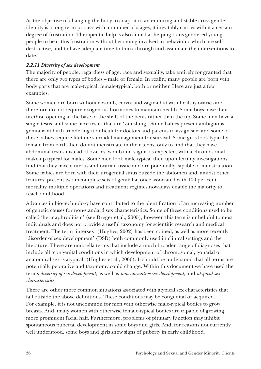As the objective of changing the body to adapt it to an enduring and stable cross gender identity is a long term process with a number of stages, it inevitably carries with it a certain degree of frustration. Therapeutic help is also aimed at helping trans-gendered young people to bear this frustration without becoming involved in behaviours which are selfdestructive, and to have adequate time to think through and assimilate the interventions to date.

#### *2.2.11 Diversity of sex development*

The majority of people, regardless of age, race and sexuality, take entirely for granted that there are only two types of bodies – male or female. In reality, many people are born with body parts that are male-typical, female-typical, both or neither. Here are just a few examples.

Some women are born without a womb, cervix and vagina but with healthy ovaries and therefore do not require exogenous hormones to maintain health. Some boys have their urethral opening at the base of the shaft of the penis rather than the tip. Some men have a single testis, and some have testes that are 'vanishing'. Some babies present ambiguous genitalia at birth, rendering it difficult for doctors and parents to assign sex; and some of these babies require lifetime steroidal management for survival. Some girls look typically female from birth then do not menstruate in their teens, only to find that they have abdominal testes instead of ovaries, womb and vagina as expected, with a chromosomal make-up typical for males. Some men look male-typical then upon fertility investigations find that they have a uterus and ovarian tissue and are potentially capable of menstruation. Some babies are born with their urogenital sinus outside the abdomen and, amidst other features, present two incomplete sets of genitalia; once associated with 100 per cent mortality, multiple operations and treatment regimes nowadays enable the majority to reach adulthood.

Advances in bio-technology have contributed to the identification of an increasing number of genetic causes for non-standard sex characteristics. Some of these conditions used to be called 'hermaphroditism' (see Dreger et al., 2005), however, this term is unhelpful to most individuals and does not provide a useful taxonomy for scientific research and medical treatment. The term 'intersex' (Hughes, 2002) has been coined, as well as more recently 'disorder of sex development' (DSD) both commonly used in clinical settings and the literature. These are umbrella terms that include a much broader range of diagnoses that include all 'congenital conditions in which development of chromosomal, gonadal or anatomical sex is atypical' (Hughes et al., 2006). It should be understood that all terms are potentially pejorative and taxonomy could change. Within this document we have used the terms *diversity of sex development*, as well as *non-normative sex development*, and *atypical sex characteristics*.

There are other more common situations associated with atypical sex characteristics that fall outside the above definitions. These conditions may be congenital or acquired. For example, it is not uncommon for men with otherwise male-typical bodies to grow breasts. And, many women with otherwise female-typical bodies are capable of growing more prominent facial hair. Furthermore, problems of pituitary function may inhibit spontaneous pubertal development in some boys and girls. And, for reasons not currently well understood, some boys and girls show signs of puberty in early childhood.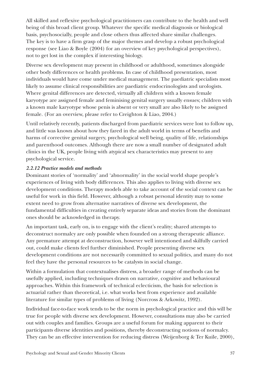All skilled and reflexive psychological practitioners can contribute to the health and well being of this broad client group. Whatever the specific medical diagnosis or biological basis, psychosocially, people and close others thus affected share similar challenges. The key is to have a firm grasp of the major themes and develop a robust psychological response (see Liao & Boyle (2004) for an overview of key psychological perspectives), not to get lost in the complex if interesting biology.

Diverse sex development may present in childhood or adulthood, sometimes alongside other body differences or health problems. In case of childhood presentation, most individuals would have come under medical management. The paediatric specialists most likely to assume clinical responsibilities are paediatric endocrinologists and urologists. Where genital differences are detected, virtually all children with a known female karyotype are assigned female and feminising genital surgery usually ensues; children with a known male karyotype whose penis is absent or very small are also likely to be assigned female. (For an overview, please refer to Creighton & Liao, 2004.)

Until relatively recently, patients discharged from paediatric services were lost to follow up, and little was known about how they fared in the adult world in terms of benefits and harms of corrective genital surgery, psychological well being, quality of life, relationships and parenthood outcomes. Although there are now a small number of designated adult clinics in the UK, people living with atypical sex characteristics may present to any psychological service.

## *2.2.12 Practice models and methods*

Dominant stories of 'normality' and 'abnormality' in the social world shape people's experiences of living with body differences. This also applies to living with diverse sex development conditions. Therapy models able to take account of the social context can be useful for work in this field. However, although a robust personal identity may to some extent need to grow from alternative narratives of diverse sex development, the fundamental difficulties in creating entirely separate ideas and stories from the dominant ones should be acknowledged in therapy.

An important task, early on, is to engage with the client's reality; shared attempts to deconstruct normalcy are only possible when founded on a strong therapeutic alliance. Any premature attempt at deconstruction, however well intentioned and skilfully carried out, could make clients feel further diminished. People presenting diverse sex development conditions are not necessarily committed to sexual politics, and many do not feel they have the personal resources to be catalysts in social change.

Within a formulation that contextualises distress, a broader range of methods can be usefully applied, including techniques drawn on narrative, cognitive and behavioural approaches. Within this framework of technical eclecticism, the basis for selection is actuarial rather than theoretical, i.e. what works best from experience and available literature for similar types of problems of living (Norcross & Arkowitz, 1992).

Individual face-to-face work tends to be the norm in psychological practice and this will be true for people with diverse sex development. However, consultations may also be carried out with couples and families. Groups are a useful forum for making apparent to their participants diverse identities and positions, thereby deconstructing notions of normalcy. They can be an effective intervention for reducing distress (Weijenborg & Ter Kuile, 2000),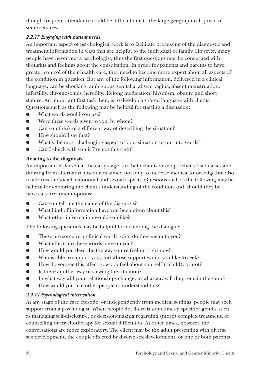though frequent attendance could be difficult due to the large geographical spread of some services.

# *2.2.13 Engaging with patient needs*

An important aspect of psychological work is to facilitate processing of the diagnostic and treatment information in ways that are helpful to the individual or family. However, many people have never met a psychologist, thus the first questions may be concerned with thoughts and feelings about the consultation. In order for patients and parents to have greater control of their health care, they need to become more expert about all aspects of the condition in question. But any of the following information, delivered in a clinical language, can be shocking: ambiguous genitalia, absent vagina, absent menstruation, infertility, chromosomes, heredity, lifelong medication, hirsutism, obesity, and short stature. An important first task then, is to develop a shared language with clients. Questions such as the following may be helpful for starting a discussion:

- What words would you use?
- Were these words given to you, by whom?
- Can you think of a different way of describing the situation?
- How should I say that?
- What's the most challenging aspect of your situation to put into words?
- Can I check with you if I've got this right?

## **Relating to the diagnosis**

An important task even at the early stage is to help clients develop richer vocabularies and drawing from alternative discourses aimed not only to increase medical knowledge but also to address the social, emotional and sexual aspects. Questions such as the following may be helpful for exploring the client's understanding of the condition and, should they be necessary, treatment options:

- Can you tell me the name of the diagnosis?
- What kind of information have you been given about this?
- What other information would you like?

The following questions may be helpful for extending the dialogue:

- These are some very clinical words, what do they mean to you?
- What effects do these words have on you?
- How would you describe the way you're feeling right now?
- Who is able to support you, and whose support would you like to seek?
- How do you see this affect how you feel about yourself  $(\/$ child), or not?
- Is there another way of viewing the situation?
- In what way will your relationships change, in what way will they remain the same?
- How would you like other people to understand this?

# *2.2.14 Psychological intervention*

At any stage of the care episode, or independently from medical settings, people may seek support from a psychologist. When people do, there is sometimes a specific agenda, such as managing self-disclosure, or decision-making regarding (more) complex treatment, or counselling or psychotherapy for sexual difficulties. At other times, however, the conversations are more exploratory. The client may be the adult presenting with diverse sex development, the couple affected by diverse sex development, or one or both parents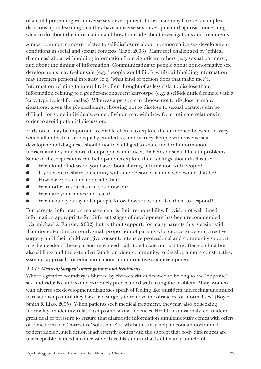of a child presenting with diverse sex development. Individuals may face very complex decisions upon learning that they have a diverse sex development diagnosis concerning what to do about the information and how to decide about investigations and treatments.

A most common concern relates to self-disclosure about non-normative sex development conditions in social and sexual contexts (Liao, 2003). Many feel challenged by 'ethical dilemmas' about withholding information from significant others (e.g. sexual partners), and about the timing of information. Communicating to people about non-normative sex developments may feel unsafe (e.g. 'people would flip'), whilst withholding information may threaten personal integrity (e.g. 'what kind of person does that make me?'). Information relating to infertility is often thought of as less risky to disclose than information relating to a gender-incongruent karyotype (e.g. a self-identified female with a karyotype typical for males). Whereas a person can choose not to disclose in many situations, given the physical signs, choosing not to disclose to sexual partners can be difficult for some individuals, some of whom may withdraw from intimate relations in order to avoid potential discussion.

Early on, it may be important to enable clients to explore the difference between privacy, which all individuals are equally entitled to, and secrecy. People with diverse sex developmental diagnoses should not feel obliged to share medical information indiscriminately, any more than people with cancer, diabetes or sexual health problems. Some of these questions can help patients explore their feelings about disclosure:

- What kind of ideas do you have about sharing information with people?
- If you were to share something with one person, what and who would that be?
- How have you come to decide that?
- What other resources can you draw on?
- What are your hopes and fears?
- What could you say to let people know how you would like them to respond?

For parents, information management is their responsibility. Provision of well timed information appropriate for different stages of development has been recommended (Carmichael & Ransley, 2002) but, without support, for many parents this is easier said than done. For the currently small proportion of parents who decide to defer corrective surgery until their child can give consent, intensive professional and community support may be needed. These parents may need skills to educate not just the affected child but also siblings and the extended family or wider community, to develop a more constructive, systemic approach for education about non-normative sex development.

## *2.2.15 Medical/Surgical investigations and treatments*

Where a gender boundary is blurred by characteristics deemed to belong to the 'opposite' sex, individuals can become extremely preoccupied with fixing the problem. Many women with diverse sex development diagnoses speak of feeling like outsiders and feeling unentitled to relationships until they have had surgery to remove the obstacles for 'normal sex' (Boyle, Smith & Liao, 2005). When patients seek medical treatment, they may also be seeking 'normality' in identity, relationships and sexual practices. Health professionals feel under a great deal of pressure to ensure that diagnostic information simultaneously comes with offers of some form of a 'corrective' solution. But, whilst this may help to contain doctor and patient anxiety, such action inadvertently comes with the subtext that body differences are unacceptable, indeed inconceivable. It is this subtext that is ultimately unhelpful.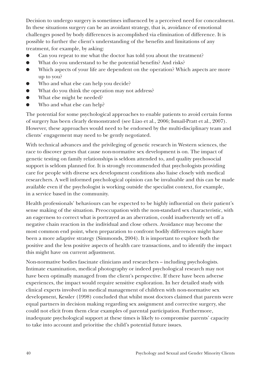Decision to undergo surgery is sometimes influenced by a perceived need for concealment. In these situations surgery can be an avoidant strategy, that is, avoidance of emotional challenges posed by body differences is accomplished via elimination of difference. It is possible to further the client's understanding of the benefits and limitations of any treatment, for example, by asking:

- Can you repeat to me what the doctor has told you about the treatment?
- What do you understand to be the potential benefits? And risks?
- Which aspects of your life are dependent on the operation? Which aspects are more up to you?
- Who and what else can help you decide?
- What do you think the operation may not address?
- What else might be needed?
- Who and what else can help?

The potential for some psychological approaches to enable patients to avoid certain forms of surgery has been clearly demonstrated (see Liao et al., 2006; Ismail-Pratt et al., 2007). However, these approaches would need to be endorsed by the multi-disciplinary team and clients' engagement may need to be gently negotiated.

With technical advances and the privileging of genetic research in Western sciences, the race to discover genes that cause non-normative sex development is on. The impact of genetic testing on family relationships is seldom attended to, and quality psychosocial support is seldom planned for. It is strongly recommended that psychologists providing care for people with diverse sex development conditions also liaise closely with medical researchers. A well informed psychological opinion can be invaluable and this can be made available even if the psychologist is working outside the specialist context, for example, in a service based in the community.

Health professionals' behaviours can be expected to be highly influential on their patient's sense making of the situation. Preoccupation with the non-standard sex characteristic, with an eagerness to correct what is portrayed as an aberration, could inadvertently set off a negative chain reaction in the individual and close others. Avoidance may become the most common end point, when preparation to confront bodily differences might have been a more adaptive strategy (Simmonds, 2004). It is important to explore both the positive and the less positive aspects of health care transactions, and to identify the impact this might have on current adjustment.

Non-normative bodies fascinate clinicians and researchers – including psychologists. Intimate examination, medical photography or indeed psychological research may not have been optimally managed from the client's perspective. If there have been adverse experiences, the impact would require sensitive exploration. In her detailed study with clinical experts involved in medical management of children with non-normative sex development, Kessler (1998) concluded that whilst most doctors claimed that parents were equal partners in decision making regarding sex assignment and corrective surgery, she could not elicit from them clear examples of parental participation. Furthermore, inadequate psychological support at these times is likely to compromise parents' capacity to take into account and prioritise the child's potential future issues.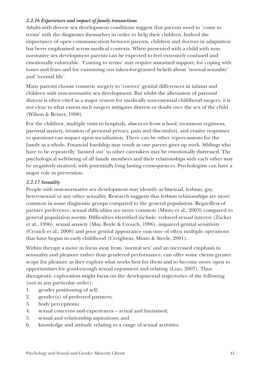## *2.2.16 Experiences and impact of family transactions*

Adults with diverse sex development conditions suggest that parents need to 'come to terms' with the diagnoses themselves in order to help their children. Indeed the importance of open communication between parents, children and doctors in adaptation has been emphasised across medical contexts. When presented with a child with nonnormative sex development parents can be expected to feel extremely confused and emotionally vulnerable. 'Coming to terms' may require sustained support, for coping with losses and fears and for examining our taken-for-granted beliefs about 'normal sexuality' and 'normal life'.

Many parents choose cosmetic surgery to 'correct' genital differences in infants and children with non-normative sex development. But whilst the alleviation of parental distress is often cited as a major reason for medically non-essential childhood surgery, it is not clear to what extent such surgery mitigates distress or doubt over the sex of the child (Wilson & Reiner, 1998).

For the children, multiple visits to hospitals, absences from school, treatment regimens, parental anxiety, invasion of personal privacy, pain and discomfort, and evasive responses to questions can impact upon socialisation. There can be other repercussions for the family as a whole. Financial hardship may result as one parent gives up work. Siblings who have to be repeatedly 'farmed out' to other caretakers may be emotionally distressed. The psychological well-being of all family members and their relationships with each other may be negatively strained, with potentially long lasting consequences. Psychologists can have a major role in prevention.

#### *2.2.17 Sexuality*

People with non-normative sex development may identify as bisexual, lesbian, gay, heterosexual or any other sexuality. Research suggests that lesbian relationships are more common in some diagnostic groups compared to the general population. Regardless of partner preference, sexual difficulties are more common (Minto et al., 2003) compared to general population norms. Difficulties identified include: reduced sexual interest (Zucker et al., 1996), sexual anxiety (May, Boyle & Crouch, 1996), impaired genital sensitivity (Crouch et al., 2008) and poor genital appearance outcome of often multiple operations that have begun in early childhood (Creighton, Minto & Steele, 2001).

Within therapy a move in focus away from 'normal sex' and an increased emphasis in sensuality and pleasure rather than gendered performance, can offer some clients greater scope for pleasure as they explore what works best for them and to become more open to opportunities for good-enough sexual enjoyment and relating (Liao, 2007). Thus therapeutic exploration might focus on the developmental trajectories of the following (not in any particular order):

- 1. gender positioning of self;
- 2. gender(s) of preferred partners;
- 3. body perceptions;
- 4. sexual concerns and experiences actual and fantasised;
- 5. sexual and relationship aspirations; and
- 6. knowledge and attitude relating to a range of sexual activities.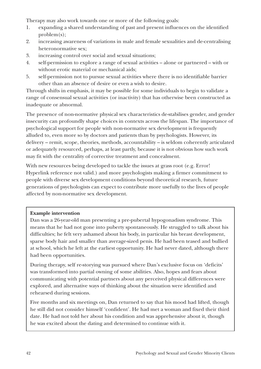Therapy may also work towards one or more of the following goals:

- 1. expanding a shared understanding of past and present influences on the identified problem(s);
- 2. increasing awareness of variations in male and female sexualities and de-centralising heteronormative sex;
- 3. increasing control over social and sexual situations;
- 4. self-permission to explore a range of sexual activities alone or partnered with or without erotic material or mechanical aids;
- 5. self-permission not to pursue sexual activities where there is no identifiable barrier other than an absence of desire or even a wish to desire.

Through shifts in emphasis, it may be possible for some individuals to begin to validate a range of consensual sexual activities (or inactivity) that has otherwise been constructed as inadequate or abnormal.

The presence of non-normative physical sex characteristics de-stabilises gender, and gender insecurity can profoundly shape choices in contexts across the lifespan. The importance of psychological support for people with non-normative sex development is frequently alluded to, even more so by doctors and patients than by psychologists. However, its delivery – remit, scope, theories, methods, accountability – is seldom coherently articulated or adequately resourced, perhaps, at least partly, because it is not obvious how such work may fit with the centrality of corrective treatment and concealment.

With new resources being developed to tackle the issues at grass root (e.g. Error! Hyperlink reference not valid.) and more psychologists making a firmer commitment to people with diverse sex development conditions beyond theoretical research, future generations of psychologists can expect to contribute more usefully to the lives of people affected by non-normative sex development.

## **Example intervention**

Dan was a 26-year-old man presenting a pre-pubertal hypogonadism syndrome. This means that he had not gone into puberty spontaneously. He struggled to talk about his difficulties; he felt very ashamed about his body, in particular his breast development, sparse body hair and smaller than average-sized penis. He had been teased and bullied at school, which he left at the earliest opportunity. He had never dated, although there had been opportunities.

During therapy, self re-storying was pursued where Dan's exclusive focus on 'deficits' was transformed into partial owning of some abilities. Also, hopes and fears about communicating with potential partners about any perceived physical differences were explored, and alternative ways of thinking about the situation were identified and rehearsed during sessions.

Five months and six meetings on, Dan returned to say that his mood had lifted, though he still did not consider himself 'confident'. He had met a woman and fixed their third date. He had not told her about his condition and was apprehensive about it, though he was excited about the dating and determined to continue with it.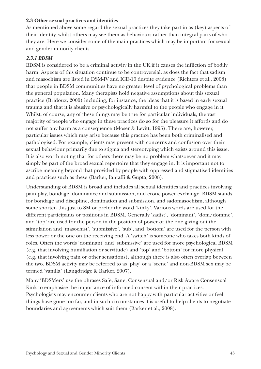#### **2.3 Other sexual practices and identities**

As mentioned above some regard the sexual practices they take part in as (key) aspects of their identity, whilst others may see them as behaviours rather than integral parts of who they are. Here we consider some of the main practices which may be important for sexual and gender minority clients.

#### *2.3.1 BDSM*

BDSM is considered to be a criminal activity in the UK if it causes the infliction of bodily harm. Aspects of this situation continue to be controversial, as does the fact that sadism and masochism are listed in DSM-IV and ICD-10 despite evidence (Richters et al., 2008) that people in BDSM communities have no greater level of psychological problems than the general population. Many therapists hold negative assumptions about this sexual practice (Bridoux, 2000) including, for instance, the ideas that it is based in early sexual trauma and that it is abusive or psychologically harmful to the people who engage in it. Whilst, of course, any of these things may be true for particular individuals, the vast majority of people who engage in these practices do so for the pleasure it affords and do not suffer any harm as a consequence (Moser & Levitt, 1995). There are, however, particular issues which may arise because this practice has been both criminalised and pathologised. For example, clients may present with concerns and confusion over their sexual behaviour primarily due to stigma and stereotyping which exists around this issue. It is also worth noting that for others there may be no problem whatsoever and it may simply be part of the broad sexual repertoire that they engage in. It is important not to ascribe meaning beyond that provided by people with oppressed and stigmatised identities and practices such as these (Barker, Iantaffi & Gupta, 2008).

Understanding of BDSM is broad and includes all sexual identities and practices involving pain play, bondage, dominance and submission, and erotic power exchange. BDSM stands for bondage and discipline, domination and submission, and sadomasochism, although some shorten this just to SM or prefer the word 'kinky'. Various words are used for the different participants or positions in BDSM. Generally 'sadist', 'dominant', 'dom/domme', and 'top' are used for the person in the position of power or the one giving out the stimulation and 'masochist', 'submissive', 'sub', and 'bottom' are used for the person with less power or the one on the receiving end. A 'switch' is someone who takes both kinds of roles. Often the words 'dominant' and 'submissive' are used for more psychological BDSM (e.g. that involving humiliation or servitude) and 'top' and 'bottom' for more physical (e.g. that involving pain or other sensations), although there is also often overlap between the two. BDSM activity may be referred to as 'play' or a 'scene' and non-BDSM sex may be termed 'vanilla' (Langdridge & Barker, 2007).

Many 'BDSMers' use the phrases Safe, Sane, Consensual and/or Risk Aware Consensual Kink to emphasise the importance of informed consent within their practices. Psychologists may encounter clients who are not happy with particular activities or feel things have gone too far, and in such circumstances it is useful to help clients to negotiate boundaries and agreements which suit them (Barker et al., 2008).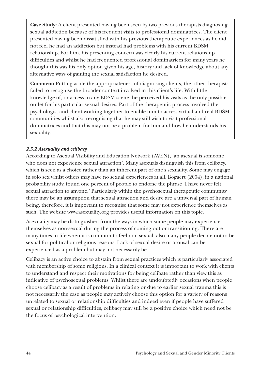**Case Study:** A client presented having been seen by two previous therapists diagnosing sexual addiction because of his frequent visits to professional dominatrices. The client presented having been dissatisfied with his previous therapeutic experiences as he did not feel he had an addiction but instead had problems with his current BDSM relationship. For him, his presenting concern was clearly his current relationship difficulties and whilst he had frequented professional dominatrices for many years he thought this was his only option given his age, history and lack of knowledge about any alternative ways of gaining the sexual satisfaction he desired.

**Comment:** Putting aside the appropriateness of diagnosing clients, the other therapists failed to recognise the broader context involved in this client's life. With little knowledge of, or access to any BDSM scene, he perceived his visits as the only possible outlet for his particular sexual desires. Part of the therapeutic process involved the psychologist and client working together to enable him to access virtual and real BDSM communities whilst also recognising that he may still wish to visit professional dominatrices and that this may not be a problem for him and how he understands his sexuality.

## *2.3.2 Asexuality and celibacy*

According to Asexual Visibility and Education Network (AVEN), 'an asexual is someone who does not experience sexual attraction'. Many asexuals distinguish this from celibacy, which is seen as a choice rather than an inherent part of one's sexuality. Some may engage in solo sex whilst others may have no sexual experiences at all. Bogaert (2004), in a national probability study, found one percent of people to endorse the phrase 'I have never felt sexual attraction to anyone.' Particularly within the psychosexual therapeutic community there may be an assumption that sexual attraction and desire are a universal part of human being, therefore, it is important to recognise that some may not experience themselves as such. The website www.asexuality.org provides useful information on this topic.

Asexuality may be distinguished from the ways in which some people may experience themselves as non-sexual during the process of coming out or transitioning. There are many times in life when it is common to feel non-sexual, also many people decide not to be sexual for political or religious reasons. Lack of sexual desire or arousal can be experienced as a problem but may not necessarily be.

Celibacy is an active choice to abstain from sexual practices which is particularly associated with membership of some religions. In a clinical context it is important to work with clients to understand and respect their motivations for being celibate rather than view this as indicative of psychosexual problems. Whilst there are undoubtedly occasions when people choose celibacy as a result of problems in relating or due to earlier sexual trauma this is not necessarily the case as people may actively choose this option for a variety of reasons unrelated to sexual or relationship difficulties and indeed even if people have suffered sexual or relationship difficulties, celibacy may still be a positive choice which need not be the focus of psychological intervention.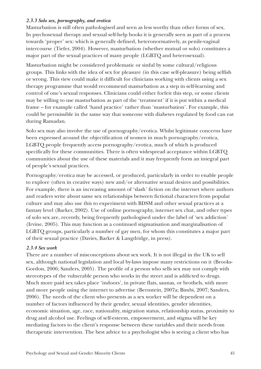#### *2.3.3 Solo sex, pornography, and erotica*

Masturbation is still often pathologised and seen as less worthy than other forms of sex. In psychosexual therapy and sexual self-help books it is generally seen as part of a process towards 'proper' sex: which is generally defined, heteronormatively, as penile-vaginal intercourse (Tiefer, 2004). However, masturbation (whether mutual or solo) constitutes a major part of the sexual practices of many people (LGBTQ and heterosexual).

Masturbation might be considered problematic or sinful by some cultural/religious groups. This links with the idea of sex for pleasure (in this case self-pleasure) being selfish or wrong. This view could make it difficult for clinicians working with clients using a sex therapy programme that would recommend masturbation as a step in self-learning and control of one's sexual responses. Clinicians could either forfeit this step, or some clients may be willing to use masturbation as part of the 'treatment' if it is put within a medical frame – for example called 'hand practice' rather than 'masturbation'. For example, this could be permissible in the same way that someone with diabetes regulated by food can eat during Ramadan.

Solo sex may also involve the use of pornography/erotica. Whilst legitimate concerns have been expressed around the objectification of women in much pornography/erotica, LGBTQ people frequently access pornography/erotica, much of which is produced specifically for these communities. There is often widespread acceptance within LGBTQ communities about the use of these materials and it may frequently form an integral part of people's sexual practices.

Pornography/erotica may be accessed, or produced, particularly in order to enable people to explore (often in creative ways) new and/or alternative sexual desires and possibilities. For example, there is an increasing amount of 'slash' fiction on the internet where authors and readers write about same sex relationships between fictional characters from popular culture and may also use this to experiment with BDSM and other sexual practices at a fantasy level (Barker, 2002). Use of online pornography, internet sex chat, and other types of solo sex are, recently, being frequently pathologised under the label of 'sex addiction' (Irvine, 2005). This may function as a continued stigmatisation and marginalisation of LGBTQ groups, particularly a number of gay men, for whom this constitutes a major part of their sexual practice (Davies, Barker & Langdridge, in press).

## *2.3.4 Sex work*

There are a number of misconceptions about sex work. It is not illegal in the UK to sell sex, although national legislation and local by-laws impose many restrictions on it (Brooks-Gordon, 2006; Sanders, 2005). The profile of a person who sells sex may not comply with stereotypes of the vulnerable person who works in the street and is addicted to drugs. Much more paid sex takes place 'indoors', in private flats, saunas, or brothels, with more and more people using the internet to advertise (Bernstein, 2007a; Bimbi, 2007; Sanders, 2006). The needs of the client who presents as a sex worker will be dependent on a number of factors influenced by their gender, sexual identities, gender identities, economic situation, age, race, nationality, migration status, relationship status, proximity to drug and alcohol use. Feelings of self-esteem, empowerment, and stigma will be key mediating factors to the client's response between these variables and their needs from therapeutic intervention. The best advice to a psychologist who is seeing a client who has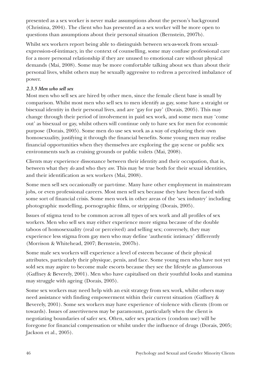presented as a sex worker is never make assumptions about the person's background (Christina, 2004). The client who has presented as a sex worker will be more open to questions than assumptions about their personal situation (Bernstein, 2007b).

Whilst sex workers report being able to distinguish between sex-as-work from sexualexpression-of-intimacy, in the context of counselling, some may confuse professional care for a more personal relationship if they are unused to emotional care without physical demands (Mai, 2008). Some may be more comfortable talking about sex than about their personal lives, whilst others may be sexually aggressive to redress a perceived imbalance of power.

## *2.3.5 Men who sell sex*

Most men who sell sex are hired by other men, since the female client base is small by comparison. Whilst most men who sell sex to men identify as gay, some have a straight or bisexual identity in their personal lives, and are 'gay for pay' (Dorais, 2005). This may change through their period of involvement in paid sex work, and some men may 'come out' as bisexual or gay, whilst others will continue only to have sex for men for economic purpose (Dorais, 2005). Some men do use sex work as a way of exploring their own homosexuality, justifying it through the financial benefits. Some young men may realise financial opportunities when they themselves are exploring the gay scene or public sex environments such as cruising grounds or public toilets (Mai, 2008).

Clients may experience dissonance between their identity and their occupation, that is, between what they *do* and who they *are*. This may be true both for their sexual identities, and their identification as sex workers (Mai, 2008).

Some men sell sex occasionally or part-time. Many have other employment in mainstream jobs, or even professional careers. Most men sell sex because they have been faced with some sort of financial crisis. Some men work in other areas of the 'sex industry' including photographic modelling, pornographic films, or stripping (Dorais, 2005).

Issues of stigma tend to be common across all types of sex work and all profiles of sex workers. Men who sell sex may either experience more stigma because of the double taboos of homosexuality (real or perceived) and selling sex; conversely, they may experience less stigma from gay men who may define 'authentic intimacy' differently (Morrison & Whitehead, 2007; Bernstein, 2007b).

Some male sex workers will experience a level of esteem because of their physical attributes, particularly their physique, penis, and face. Some young men who have not yet sold sex may aspire to become male escorts because they see the lifestyle as glamorous (Gaffney & Beverely, 2001). Men who have capitalised on their youthful looks and stamina may struggle with ageing (Dorais, 2005).

Some sex workers may need help with an exit strategy from sex work, whilst others may need assistance with finding empowerment within their current situation (Gaffney & Beverely, 2001). Some sex workers may have experience of violence with clients (from or towards). Issues of assertiveness may be paramount, particularly when the client is negotiating boundaries of safer sex. Often, safer sex practices (condom use) will be foregone for financial compensation or whilst under the influence of drugs (Dorais, 2005; Jackson et al., 2005).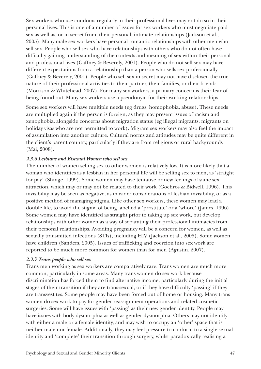Sex workers who use condoms regularly in their professional lives may not do so in their personal lives. This is one of a number of issues for sex workers who must negotiate paid sex as well as, or in secret from, their personal, intimate relationships (Jackson et al., 2005). Many male sex workers have personal romantic relationships with other men who sell sex. People who sell sex who have relationships with others who do not often have difficulty gaining understanding of the contexts and meaning of sex within their personal and professional lives (Gaffney & Beverely, 2001). People who do not sell sex may have different expectations from a relationship than a person who sells sex professionally (Gaffney & Beverely, 2001). People who sell sex in secret may not have disclosed the true nature of their professional activities to their partner, their families, or their friends (Morrison & Whitehead, 2007). For many sex workers, a primary concern is their fear of being found out. Many sex workers use a pseudonym for their working relationships.

Some sex workers will have multiple needs (eg drugs, homophobia, abuse). These needs are multiplied again if the person is foreign, as they may present issues of racism and xenophobia, alongside concerns about migration status (eg illegal migrants, migrants on holiday visas who are not permitted to work). Migrant sex workers may also feel the impact of assimilation into another culture. Cultural norms and attitudes may be quite different in the client's parent country, particularly if they are from religious or rural backgrounds (Mai, 2008).

#### *2.3.6 Lesbians and Bisexual Women who sell sex*

The number of women selling sex to other women is relatively low. It is more likely that a woman who identifies as a lesbian in her personal life will be selling sex to men, as 'straight for pay' (Shrage, 1999). Some women may have tentative or new feelings of same-sex attraction, which may or may not be related to their work (Gochros & Bidwell, 1996). This invisibility may be seen as negative, as in wider considerations of lesbian invisibility, or as a positive method of managing stigma. Like other sex workers, these women may lead a double life, to avoid the stigma of being labelled a 'prostitute' or a 'whore' (James, 1996). Some women may have identified as straight prior to taking up sex work, but develop relationships with other women as a way of separating their professional intimacies from their personal relationships. Avoiding pregnancy will be a concern for women, as well as sexually transmitted infections (STIs), including HIV (Jackson et al., 2005). Some women have children (Sanders, 2005). Issues of trafficking and coercion into sex work are reported to be much more common for women than for men (Agustin, 2007).

## *2.3.7 Trans people who sell sex*

Trans men working as sex workers are comparatively rare. Trans women are much more common, particularly in some areas. Many trans women do sex work because discrimination has forced them to find alternative income, particularly during the initial stages of their transition if they are trans-sexual, or if they have difficulty 'passing' if they are transvestites. Some people may have been forced out of home or housing. Many trans women do sex work to pay for gender reassignment operations and related cosmetic surgeries. Some will have issues with 'passing' as their new gender identity. People may have issues with body dysmorphia as well as gender dysmorphia. Others may not identify with either a male or a female identity, and may wish to occupy an 'other' space that is neither male nor female. Additionally, they may feel pressure to conform to a single sexual identity and 'complete' their transition through surgery, whilst paradoxically realising a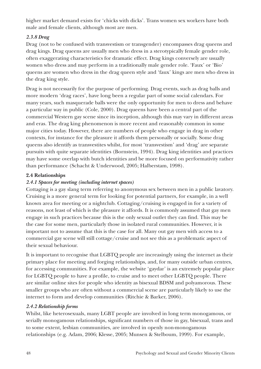higher market demand exists for 'chicks with dicks'. Trans women sex workers have both male and female clients, although most are men.

# *2.3.8 Drag*

Drag (not to be confused with transvestism or transgender) encompasses drag queens and drag kings. Drag queens are usually men who dress in a sterotypically female gender role, often exaggerating characteristics for dramatic effect. Drag kings conversely are usually women who dress and may perform in a traditionally male gender role. 'Faux' or 'Bio' queens are women who dress in the drag queen style and 'faux' kings are men who dress in the drag king style.

Drag is not necessarily for the purpose of performing. Drag events, such as drag balls and more modern 'drag races', have long been a regular part of some social calendars. For many years, such masquerade balls were the only opportunity for men to dress and behave a particular way in public (Cole, 2000). Drag queens have been a central part of the commercial Western gay scene since its inception, although this may vary in different areas and eras. The drag king phenomenon is more recent and reasonably common in some major cities today. However, there are numbers of people who engage in drag in other contexts, for instance for the pleasure it affords them personally or socially. Some drag queens also identify as transvestites whilst, for most 'transvestism' and 'drag' are separate pursuits with quite separate identities (Bornstein, 1994). Drag king identities and practices may have some overlap with butch identities and be more focused on performativity rather than performance (Schacht & Underwood, 2005; Halberstam, 1998).

## **2.4 Relationships**

## *2.4.1 Spaces for meeting (including internet spaces)*

Cottaging is a gay slang term referring to anonymous sex between men in a public lavatory. Cruising is a more general term for looking for potential partners, for example, in a well known area for meeting or a nightclub. Cottaging/cruising is engaged in for a variety of reasons, not least of which is the pleasure it affords. It is commonly assumed that gay men engage in such practices because this is the only sexual outlet they can find. This may be the case for some men, particularly those in isolated rural communities. However, it is important not to assume that this is the case for all. Many out gay men with access to a commercial gay scene will still cottage/cruise and not see this as a problematic aspect of their sexual behaviour.

It is important to recognise that LGBTQ people are increasingly using the internet as their primary place for meeting and forging relationships, and, for many outside urban centres, for accessing communities. For example, the website 'gaydar' is an extremely popular place for LGBTQ people to have a profile, to cruise and to meet other LGBTQ people. There are similar online sites for people who identity as bisexual BDSM and polyamorous. These smaller groups who are often without a commercial scene are particularly likely to use the internet to form and develop communities (Ritchie & Barker, 2006).

## *2.4.2 Relationship forms*

Whilst, like heterosexuals, many LGBT people are involved in long term monogamous, or serially monogamous relationships, significant numbers of those in gay, bisexual, trans and to some extent, lesbian communities, are involved in openly non-monogamous relationships (e.g. Adam, 2006; Klesse, 2005; Munsen & Stelboum, 1999). For example,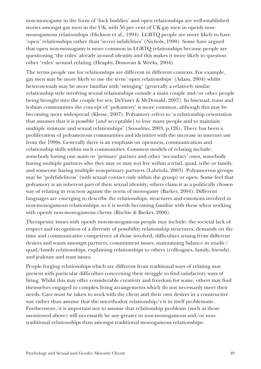non-monogamy in the form of 'fuck buddies' and open relationships are well-established stories amongst gay men in the UK, with 56 per cent of UK gay men in openly nonmonogamous relationships (Hickson et al., 1994). LGBTQ people are more likely to have 'open' relationships rather than 'secret infidelities' (Nichols, 1990). Some have argued that open non-monogamy is more common in LGBTQ relationships because people are questioning 'the rules' already around identity and this makes it more likely to question other 'rules' around relating (Heaphy, Donovan & Weeks, 2004).

The terms people use for relationships are different in different contexts. For example, gay men may be more likely to use the term 'open relationships' (Adam, 2004) whilst heterosexuals may be more familiar with 'swinging' (generally a relatively similar relationship style involving sexual relationships outside a main couple and/or other people being brought into the couple for sex; DeVisser & McDonald, 2007). In bisexual, trans and lesbian communities the concept of 'polyamory' is more common, although this may be becoming more widespread (Klesse, 2007). Polyamory refers to 'a relationship orientation that assumes that it is possible [and acceptable] to love many people and to maintain multiple intimate and sexual relationships' (*Sexualities*, 2003, p.126). There has been a proliferation of polyamorous communities and identities with the increase in internet use from the 1990s. Generally there is an emphasis on openness, communication and relationship skills within such communities. Common models of relating include: somebody having one main or 'primary' partner and other 'secondary' ones, somebody having multiple partners who they may or may not live within a triad, quad, tribe or family, and someone having multiple non-primary partners (Labriola, 2003). Polyamorous groups may be 'polyfidelitous' (with sexual contact only within the group) or open. Some feel that polyamory is an inherent part of their sexual identity; others claim it as a politically chosen way of relating in reaction against the norm of monogamy (Barker, 2004). Different languages are emerging to describe the relationships, structures and emotions involved in non-monogamous relationships, so it is worth becoming familiar with these when working with openly non-monogamous clients (Ritchie & Barker, 2006).

Therapeutic issues with openly non-monogamous people may include: the societal lack of respect and recognition of a diversity of possibility relationship structures, demands on the time and communicative competence of those involved, difficulties arising from different desires and wants amongst partners, commitment issues, maintaining balance in triadic/ quad/family relationships, explaining relationships to others (colleagues, family, friends), and jealousy and trust issues.

People forging relationships which are different from traditional ways of relating may present with particular difficulties concerning their struggle to find satisfactory ways of living. Whilst this may offer considerable creativity and freedom for some, others may find themselves engaged in complex living arrangements which do not necessarily meet their needs. Care must be taken to work with the client and their own desires in a constructive way rather than assume that the unorthodox relationship/s is in itself problematic. Furthermore, it is important not to assume that relationship problems (such as those mentioned above) will necessarily be any greater in non-monogamous and/or nontraditional relationships than amongst traditional monogamous relationships.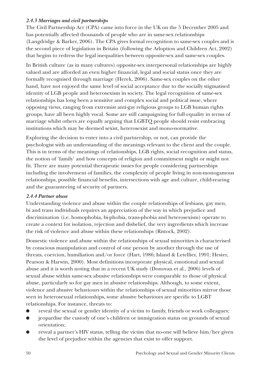## *2.4.3 Marriages and civil partnerships*

The Civil Partnership Act (CPA) came into force in the UK on the 5 December 2005 and has potentially affected thousands of people who are in same-sex relationships (Langdridge & Barker, 2006). The CPA gives formal recognition to same-sex couples and is the second piece of legislation in Britain (following the Adoption and Children Act, 2002) that begins to redress the legal inequalities between opposite-sex and same-sex couples.

In British culture (as in many cultures) opposite-sex interpersonal relationships are highly valued and are afforded an even higher financial, legal and social status once they are formally recognised through marriage (Herek, 2006). Same-sex couples on the other hand, have not enjoyed the same level of social acceptance due to the socially stigmatised identity of LGB people and heterosexism in society. The legal recognition of same-sex relationships has long been a sensitive and complex social and political issue, where opposing views, ranging from extremist anti-gay religious groups to LGB human rights groups, have all been highly vocal. Some are still campaigning for full equality in terms of marriage whilst others are equally arguing that LGBTQ people should resist embracing institutions which may be deemed sexist, heterosexist and mono-normative.

Exploring the decision to enter into a civil partnership, or not, can provide the psychologist with an understanding of the meanings relevant to the client and the couple. This is in terms of the meanings of relationships, LGB rights, social recognition and status, the notion of 'family' and how concepts of religion and commitment might or might not fit. There are many potential therapeutic issues for people considering partnerships including the involvement of families, the complexity of people living in non-monogamous relationships, possible financial benefits, intersections with age and culture, child-rearing and the guaranteeing of security of partners.

## *2.4.4 Partner abuse*

Understanding violence and abuse within the couple relationships of lesbians, gay men, bi and trans individuals requires an appreciation of the way in which prejudice and discrimination (i.e. homophobia, bi-phobia, trans-phobia and heterosexism) operate to create a context for isolation, rejection and disbelief, the very ingredients which increase the risk of violence and abuse within these relationships (Ristock, 2002).

Domestic violence and abuse within the relationships of sexual minorities is characterised by conscious manipulation and control of one person by another through the use of threats, coercion, humiliation and/or force (Hart, 1986; Island & Letellier, 1991; Hester, Pearson & Harwin, 2000). Most definitions incorporate physical, emotional and sexual abuse and it is worth noting that in a recent UK study (Donovan et al., 2006) levels of sexual abuse within same-sex abusive relationships were comparable to those of physical abuse, particularly so for gay men in abusive relationships. Although, to some extent, violence and abusive behaviours within the relationships of sexual minorities mirror those seen in heterosexual relationships, some abusive behaviours are specific to LGBT relationships. For instance, threats to:

- reveal the sexual or gender identity of a victim to family, friends or work colleagues;
- jeopardise the custody of one's children or immigration status on grounds of sexual orientation;
- reveal a partner's HIV status, telling the victim that no-one will believe him/her given the level of prejudice within the agencies that exist to offer support.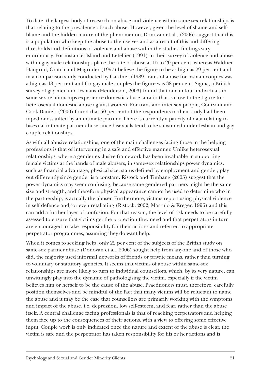To date, the largest body of research on abuse and violence within same-sex relationships is that relating to the prevalence of such abuse. However, given the level of shame and selfblame and the hidden nature of the phenomenon, Donovan et al., (2006) suggest that this is a population who keep the abuse to themselves and as a result of this and differing thresholds and definitions of violence and abuse within the studies, findings vary enormously. For instance, Island and Letellier (1991) in their survey of violence and abuse within gay male relationships place the rate of abuse at 15 to 20 per cent, whereas Waldner-Haugrud, Gratch and Magruder (1997) believe the figure to be as high as 29 per cent and in a comparison study conducted by Gardner (1989) rates of abuse for lesbian couples was a high as 48 per cent and for gay male couples the figure was 38 per cent. Sigma, a British survey of gay men and lesbians (Henderson, 2003) found that one-in-four individuals in same-sex relationships experience domestic abuse, a ratio that is close to the figure for heterosexual domestic abuse against women. For trans and inter-sex people, Courvant and Cook-Daniels (2000) found that 50 per cent of the respondents in their study had been raped or assaulted by an intimate partner. There is currently a paucity of data relating to bisexual intimate partner abuse since bisexuals tend to be subsumed under lesbian and gay couple relationships.

As with all abusive relationships, one of the main challenges facing those in the helping professions is that of intervening in a safe and effective manner. Unlike heterosexual relationships, where a gender exclusive framework has been invaluable in supporting female victims at the hands of male abusers, in same-sex relationships power dynamics, such as financial advantage, physical size, status defined by employment and gender, play out differently since gender is a constant. Ristock and Timbang (2005) suggest that the power dynamics may seem confusing, because same gendered partners might be the same size and strength, and therefore physical appearance cannot be used to determine who in the partnership, is actually the abuser. Furthermore, victims report using physical violence in self defence and/or even retaliating (Ristock, 2002; Marrujo & Kreger, 1996) and this can add a further layer of confusion. For that reason, the level of risk needs to be carefully assessed to ensure that victims get the protection they need and that perpetrators in turn are encouraged to take responsibility for their actions and referred to appropriate perpetrator programmes, assuming they do want help.

When it comes to seeking help, only 22 per cent of the subjects of the British study on same-sex partner abuse (Donovan et al., 2006) sought help from anyone and of those who did, the majority used informal networks of friends or private means, rather than turning to voluntary or statutory agencies. It seems that victims of abuse within same-sex relationships are more likely to turn to individual counsellors, which, by its very nature, can unwittingly play into the dynamic of pathologising the victim, especially if the victim believes him or herself to be the cause of the abuse. Practitioners must, therefore, carefully position themselves and be mindful of the fact that many victims will be reluctant to name the abuse and it may be the case that counsellors are primarily working with the symptoms and impact of the abuse, i.e. depression, low self-esteem, and fear, rather than the abuse itself. A central challenge facing professionals is that of reaching perpetrators and helping them face up to the consequences of their actions, with a view to offering some effective input. Couple work is only indicated once the nature and extent of the abuse is clear, the victim is safe and the perpetrator has taken responsibility for his or her actions and is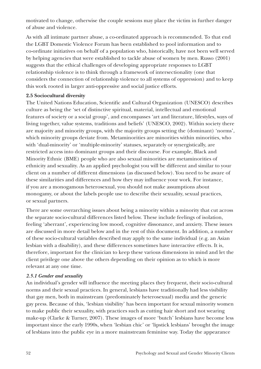motivated to change, otherwise the couple sessions may place the victim in further danger of abuse and violence.

As with all intimate partner abuse, a co-ordinated approach is recommended. To that end the LGBT Domestic Violence Forum has been established to pool information and to co-ordinate initiatives on behalf of a population who, historically, have not been well served by helping agencies that were established to tackle abuse of women by men. Russo (2001) suggests that the ethical challenges of developing appropriate responses to LGBT relationship violence is to think through a framework of intersectionality (one that considers the connection of relationship violence to all systems of oppression) and to keep this work rooted in larger anti-oppressive and social justice efforts.

#### **2.5 Sociocultural diversity**

The United Nations Education, Scientific and Cultural Organization (UNESCO) describes culture as being the 'set of distinctive spiritual, material, intellectual and emotional features of society or a social group', and encompasses 'art and literature, lifestyles, ways of living together, value systems, traditions and beliefs' (UNESCO, 2002). Within society there are majority and minority groups, with the majority groups setting the (dominant) 'norms', which minority groups deviate from. Metaminorities are minorities within minorities, who with 'dual-minority' or 'multiple-minority' statuses, separately or synergistically, are restricted access into dominant groups and their discourse. For example, Black and Minority Ethnic (BME) people who are also sexual minorities are metaminorities of ethnicity and sexuality. As an applied psychologist you will be different and similar to your client on a number of different dimensions (as discussed below). You need to be aware of these similarities and differences and how they may influence your work. For instance, if you are a monogamous heterosexual, you should not make assumptions about monogamy, or about the labels people use to describe their sexuality, sexual practices, or sexual partners.

There are some overarching issues about being a minority within a minority that cut across the separate socio-cultural differences listed below. These include feelings of isolation, feeling 'aberrant', experiencing low mood, cognitive dissonance, and anxiety. These issues are discussed in more detail below and in the rest of this document. In addition, a number of these socio-cultural variables described may apply to the same individual (e.g. an Asian lesbian with a disability), and these differences sometimes have interactive effects. It is, therefore, important for the clinician to keep these various dimensions in mind and let the client privilege one above the others depending on their opinion as to which is more relevant at any one time.

## *2.5.1 Gender and sexuality*

An individual's gender will influence the meeting places they frequent, their socio-cultural norms and their sexual practices. In general, lesbians have traditionally had less visibility that gay men, both in mainstream (predominately heterosexual) media and the generic gay press. Because of this, 'lesbian visibility' has been important for sexual minority women to make public their sexuality, with practices such as cutting hair short and not wearing make-up (Clarke & Turner, 2007). These images of more 'butch' lesbians have become less important since the early 1990s, when 'lesbian chic' or 'lipstick lesbians' brought the image of lesbians into the public eye in a more mainstream feminine way. Today the appearance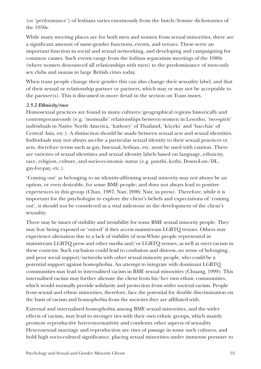(or 'performance') of lesbians varies enormously from the butch/femme dichotomies of the 1950s.

While many meeting places are for both men and women from sexual minorities, there are a significant amount of same-gender functions, events, and venues. These serve an important function in social and sexual networking, and developing and campaigning for common causes. Such events range from the lesbian separatism meetings of the 1980s (where women denounced all relationships with men) to the predominance of men-only sex clubs and saunas in large British cities today.

When trans people change their gender this can also change their sexuality label, and that of their sexual or relationship partner or partners, which may or may not be acceptable to the partner(s). This is discussed in more detail in the section on Trans issues.

## *2.5.2 Ethnicity/race*

Homosexual practices are found in many cultures/geographical regions historically and contemporaneously (e.g. 'motsoalle' relationships between women in Lesotho, 'two-spirit' individuals in Native North America, 'kathoey' of Thailand, 'köçeks' and 'bacchás' of Central Asia, etc.). A distinction should be made between sexual acts and sexual identities. Individuals may not always ascribe a particular sexual identity to their sexual practices or acts, therefore terms such as gay, bisexual, lesbian, etc. must be used with caution. There are varieties of sexual identities and sexual identity labels based on language, ethnicity, race, religion, culture, and socio-economic status (e.g. panthi, kothi, Down-Low/DL, gay-for-pay, etc.).

'Coming out' as belonging to an identity-affirming sexual minority may not always be an option, or even desirable, for some BME people; and does not always lead to positive experiences in this group (Chan, 1987; Nair, 2006; Nair, in press). Therefore, while it is important for the psychologist to explore the client's beliefs and expectations of 'coming out', it should not be considered as a vital milestone in the development of the client's sexuality.

There may be issues of visibility and invisibility for some BME sexual minority people. They may fear being exposed or 'out-ed' if they access mainstream LGBTQ venues. Others may experience alienation due to a lack of visibility of non-White people represented in mainstream LGBTQ press and other media and/or LGBTQ venues, as well as overt racism in these contexts. Such exclusion could lead to confusion and distress, no sense of belonging, and poor social support/networks with other sexual minority people, who could be a potential support against homophobia. An attempt to integrate with dominant LGBTQ communities may lead to internalised racism in BME sexual minorities (Chuang, 1999). This internalised racism may further alienate the client from his/her own ethnic communities, which would normally provide solidarity and protection from wider societal racism. People from sexual and ethnic minorities, therefore, face the potential for double discrimination on the basis of racism and homophobia from the societies they are affiliated with.

External and internalised homophobia among BME sexual minorities, and the wider effects of racism, may lead to stronger ties with their own ethnic groups, which mainly promote reproductive heteronormativity and condemn other aspects of sexuality. Heterosexual marriage and reproduction are rites of passage in some such cultures, and hold high socio-cultural significance, placing sexual minorities under immense pressure to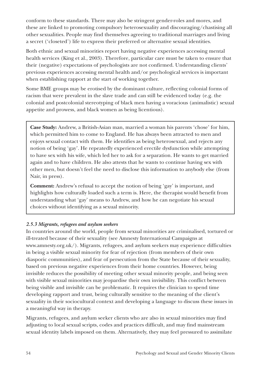conform to these standards. There may also be stringent gender-roles and mores, and these are linked to promoting compulsory heterosexuality and discouraging/chastising all other sexualities. People may find themselves agreeing to traditional marriages and living a secret ('closeted') life to express their preferred or alternative sexual identities.

Both ethnic and sexual minorities report having negative experiences accessing mental health services (King et al., 2003). Therefore, particular care must be taken to ensure that their (negative) expectations of psychologists are not confirmed. Understanding clients' previous experiences accessing mental health and/or psychological services is important when establishing rapport at the start of working together.

Some BME groups may be erotised by the dominant culture, reflecting colonial forms of racism that were prevalent in the slave trade and can still be evidenced today (e.g. the colonial and postcolonial stereotyping of black men having a voracious (animalistic) sexual appetite and prowess, and black women as being licentious).

**Case Study:** Andrew, a British-Asian man, married a woman his parents 'chose' for him, which permitted him to come to England. He has always been attracted to men and enjoys sexual contact with them. He identifies as being heterosexual, and rejects any notion of being 'gay'. He repeatedly experienced erectile dysfunction while attempting to have sex with his wife, which led her to ask for a separation. He wants to get married again and to have children. He also attests that he wants to continue having sex with other men, but doesn't feel the need to disclose this information to anybody else (from Nair, in press).

**Comment:** Andrew's refusal to accept the notion of being 'gay' is important, and highlights how culturally loaded such a term is. Here, the therapist would benefit from understanding what 'gay' means to Andrew, and how he can negotiate his sexual choices without identifying as a sexual minority.

## *2.5.3 Migrants, refugees and asylum seekers*

In countries around the world, people from sexual minorities are criminalised, tortured or ill-treated because of their sexuality (see Amnesty International Campaigns at www.amnesty.org.uk/). Migrants, refugees, and asylum seekers may experience difficulties in being a visible sexual minority for fear of rejection (from members of their own diasporic communities), and fear of persecution from the State because of their sexuality, based on previous negative experiences from their home countries. However, being invisible reduces the possibility of meeting other sexual minority people, and being seen with visible sexual minorities may jeopardise their own invisibility. This conflict between being visible and invisible can be problematic. It requires the clinician to spend time developing rapport and trust, being culturally sensitive to the meaning of the client's sexuality in their sociocultural context and developing a language to discuss these issues in a meaningful way in therapy.

Migrants, refugees, and asylum seeker clients who are also in sexual minorities may find adjusting to local sexual scripts, codes and practices difficult, and may find mainstream sexual identity labels imposed on them. Alternatively, they may feel pressured to assimilate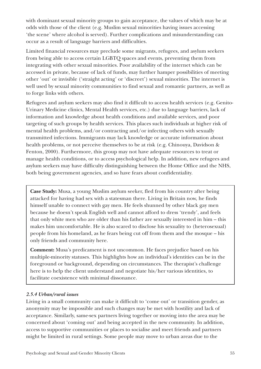with dominant sexual minority groups to gain acceptance, the values of which may be at odds with those of the client (e.g. Muslim sexual minorities having issues accessing 'the scene' where alcohol is served). Further complications and misunderstanding can occur as a result of language barriers and difficulties.

Limited financial resources may preclude some migrants, refugees, and asylum seekers from being able to access certain LGBTQ spaces and events, preventing them from integrating with other sexual minorities. Poor availability of the internet which can be accessed in private, because of lack of funds, may further hamper possibilities of meeting other 'out' or invisible ('straight acting' or 'discreet') sexual minorities. The internet is well used by sexual minority communities to find sexual and romantic partners, as well as to forge links with others.

Refugees and asylum seekers may also find it difficult to access health services (e.g. Genito-Urinary Medicine clinics, Mental Health services, etc.) due to language barriers, lack of information and knowledge about health conditions and available services, and poor targeting of such groups by health services. This places such individuals at higher risk of mental health problems, and/or contracting and/or infecting others with sexually transmitted infections. Immigrants may lack knowledge or accurate information about health problems, or not perceive themselves to be at risk (e.g. Chinouya, Davidson & Fenton, 2000). Furthermore, this group may not have adequate resources to treat or manage health conditions, or to access psychological help. In addition, new refugees and asylum seekers may have difficulty distinguishing between the Home Office and the NHS, both being government agencies, and so have fears about confidentiality.

**Case Study:** Musa, a young Muslim asylum seeker, fled from his country after being attacked for having had sex with a statesman there. Living in Britain now, he finds himself unable to connect with gay men. He feels shunned by other black gay men because he doesn't speak English well and cannot afford to dress 'trendy', and feels that only white men who are older than his father are sexually interested in him – this makes him uncomfortable. He is also scared to disclose his sexuality to (heterosexual) people from his homeland, as he fears being cut off from them and the mosque – his only friends and community here.

**Comment:** Musa's predicament is not uncommon. He faces prejudice based on his multiple-minority statuses. This highlights how an individual's identities can be in the foreground or background, depending on circumstances. The therapist's challenge here is to help the client understand and negotiate his/her various identities, to facilitate coexistence with minimal dissonance.

#### *2.5.4 Urban/rural issues*

Living in a small community can make it difficult to 'come out' or transition gender, as anonymity may be impossible and such changes may be met with hostility and lack of acceptance. Similarly, same-sex partners living together or moving into the area may be concerned about 'coming out' and being accepted in the new community. In addition, access to supportive communities or places to socialise and meet friends and partners might be limited in rural settings. Some people may move to urban areas due to the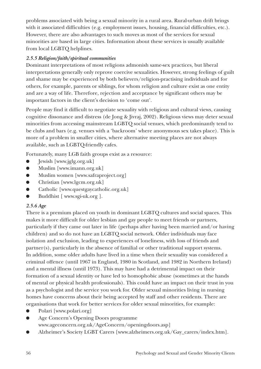problems associated with being a sexual minority in a rural area. Rural-urban drift brings with it associated difficulties (e.g. employment issues, housing, financial difficulties, etc.). However, there are also advantages to such moves as most of the services for sexual minorities are based in large cities. Information about these services is usually available from local LGBTQ helplines.

# *2.5.5 Religion/faith/spiritual communities*

Dominant interpretations of most religions admonish same-sex practices, but liberal interpretations generally only reprove coercive sexualities. However, strong feelings of guilt and shame may be experienced by both believers/religion-practising individuals and for others, for example, parents or siblings, for whom religion and culture exist as one entity and are a way of life. Therefore, rejection and acceptance by significant others may be important factors in the client's decision to 'come out'.

People may find it difficult to negotiate sexuality with religious and cultural views, causing cognitive dissonance and distress (de Jong & Jivraj, 2002). Religious views may deter sexual minorities from accessing mainstream LGBTQ social venues, which predominantly tend to be clubs and bars (e.g. venues with a 'backroom' where anonymous sex takes place). This is more of a problem in smaller cities, where alternative meeting places are not always available, such as LGBTQ-friendly cafes.

Fortunately, many LGB faith groups exist as a resource:

- **Jewish [www.jglg.org.uk]**
- Muslim [www.imann.org.uk]
- Muslim women [www.safraproject.org]
- Christian [www.lgcm.org.uk]
- Catholic [www.questgaycatholic.org.uk]
- Buddhist [ www.sgi-uk.org ].

## *2.5.6 Age*

There is a premium placed on youth in dominant LGBTQ cultures and social spaces. This makes it more difficult for older lesbian and gay people to meet friends or partners, particularly if they came out later in life (perhaps after having been married and/or having children) and so do not have an LGBTQ social network. Older individuals may face isolation and exclusion, leading to experiences of loneliness, with loss of friends and partner(s), particularly in the absence of familial or other traditional support systems. In addition, some older adults have lived in a time when their sexuality was considered a criminal offence (until 1967 in England, 1980 in Scotland, and 1982 in Northern Ireland) and a mental illness (until 1973). This may have had a detrimental impact on their formation of a sexual identity or have led to homophobic abuse (sometimes at the hands of mental or physical health professionals). This could have an impact on their trust in you as a psychologist and the service you work for. Older sexual minorities living in nursing homes have concerns about their being accepted by staff and other residents. There are organisations that work for better services for older sexual minorities, for example:

- Polari [www.polari.org]
- Age Concern's Opening Doors programme www.ageconcern.org.uk/AgeConcern/openingdoors.asp]
- Alzheimer's Society LGBT Carers [www.alzheimers.org.uk/Gay\_carers/index.htm].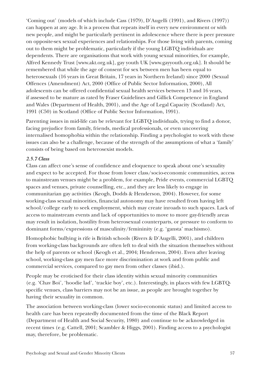'Coming out' (models of which include Cass (1979), D'Augelli (1991), and Rivers (1997)) can happen at any age. It is a process that repeats itself in every new environment or with new people, and might be particularly pertinent in adolescence where there is peer pressure on opposite-sex sexual experiences and relationships. For those living with parents, coming out to them might be problematic, particularly if the young LGBTQ individuals are dependents. There are organisations that work with young sexual minorities, for example, Alfred Kennedy Trust [www.akt.org.uk], gay youth UK [www.gayyouth.org.uk]. It should be remembered that while the age of consent for sex between men has been equal to heterosexuals (16 years in Great Britain, 17 years in Northern Ireland) since 2000 (Sexual Offences (Amendment) Act, 2000 (Office of Public Sector Information, 2000), All adolescents can be offered confidential sexual health services between 13 and 16 years, if assessed to be mature as rated by Fraser Guidelines and Gillick Competence in England and Wales (Department of Health, 2001), and the Age of Legal Capacity (Scotland) Act, 1991 (C50) in Scotland (Office of Public Sector Information, 1991).

Parenting issues in mid-life can be relevant for LGBTQ individuals, trying to find a donor, facing prejudice from family, friends, medical professionals, or even uncovering internalised homophobia within the relationship. Finding a psychologist to work with these issues can also be a challenge, because of the strength of the assumptions of what a 'family' consists of being based on heterosexist models.

## *2.5.7 Class*

Class can affect one's sense of confidence and eloquence to speak about one's sexuality and expect to be accepted. For those from lower class/socio-economic communities, access to mainstream venues might be a problem, for example, Pride events, commercial LGBTQ spaces and venues, private counselling, etc., and they are less likely to engage in communitarian gay activities (Keogh, Dodds & Henderson, 2004). However, for some working-class sexual minorities, financial autonomy may have resulted from having left school/college early to seek employment, which may create inroads to such spaces. Lack of access to mainstream events and lack of opportunities to move to more gay-friendly areas may result in isolation, hostility from heterosexual counterparts, or pressure to conform to dominant forms/expressions of masculinity/femininity (e.g. 'gansta' machismo).

Homophobic bullying is rife is British schools (Rivers & D'Augelli, 2001), and children from working-class backgrounds are often left to deal with the situation themselves without the help of parents or school (Keogh et al., 2004; Henderson, 2004). Even after leaving school, working-class gay men face more discrimination at work and from public and commercial services, compared to gay men from other classes (ibid.).

People may be eroticised for their class identity within sexual minority communities (e.g. 'Chav Boi', 'hoodie lad', 'trackie boy', etc.). Interestingly, in places with few LGBTQspecific venues, class barriers may not be an issue, as people are brought together by having their sexuality in common.

The association between working-class (lower socio-economic status) and limited access to health care has been repeatedly documented from the time of the Black Report (Department of Health and Social Security, 1980) and continue to be acknowledged in recent times (e.g. Cattell, 2001; Scambler & Higgs, 2001). Finding access to a psychologist may, therefore, be problematic.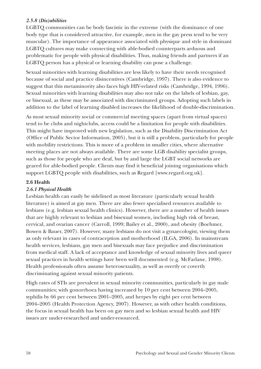## *2.5.8 (Dis)abilities*

LGBTQ communities can be body fascistic in the extreme (with the dominance of one body type that is considered attractive, for example, men in the gay press tend to be very muscular). The importance of appearance associated with physique and style in dominant LGBTQ cultures may make connecting with able-bodied counterparts arduous and problematic for people with physical disabilities. Thus, making friends and partners if an LGBTQ person has a physical or learning disability can pose a challenge.

Sexual minorities with learning disabilities are less likely to have their needs recognised because of social and practice disincentives (Cambridge, 1997). There is also evidence to suggest that this metaminority also faces high HIV-related risks (Cambridge, 1994, 1996). Sexual minorities with learning disabilities may also not take on the labels of lesbian, gay, or bisexual, as these may be associated with discriminated groups. Adopting such labels in addition to the label of learning disabled increases the likelihood of double-discrimination.

As most sexual minority social or commercial meeting spaces (apart from virtual spaces) tend to be clubs and nightclubs, access could be a limitation for people with disabilities. This might have improved with new legislation, such as the Disability Discrimination Act (Office of Public Sector Information, 2005), but it is still a problem, particularly for people with mobility restrictions. This is more of a problem in smaller cities, where alternative meeting places are not always available. There are some LGB disability specialist groups, such as those for people who are deaf, but by and large the LGBT social networks are geared for able-bodied people. Clients may find it beneficial joining organisations which support LGBTQ people with disabilities, such as Regard [www.regard.org.uk].

## **2.6 Health**

## *2.6.1 Physical Health*

Lesbian health can easily be sidelined as most literature (particularly sexual health literature) is aimed at gay men. There are also fewer specialised resources available to lesbians (e.g. lesbian sexual health clinics). However, there are a number of health issues that are highly relevant to lesbian and bisexual women, including high risk of breast, cervical, and ovarian cancer (Carroll, 1999; Bailey et al., 2000), and obesity (Boehmer, Bowen & Bauer, 2007). However, many lesbians do not visit a gynaecologist, viewing them as only relevant in cases of contraception and motherhood (ILGA, 2006). In mainstream health services, lesbians, gay men and bisexuals may face prejudice and discrimination from medical staff. A lack of acceptance and knowledge of sexual minority lives and queer sexual practices in health settings have been well documented (e.g. McFarlane, 1998). Health professionals often assume heterosexuality, as well as overtly or covertly discriminating against sexual minority patients.

High rates of STIs are prevalent in sexual minority communities, particularly in gay male communities; with gonorrhoea having increased by 10 per cent between 2004–2005, syphilis by 66 per cent between 2001–2005, and herpes by eight per cent between 2004–2005 (Health Protection Agency, 2007). However, as with other health conditions, the focus in sexual health has been on gay men and so lesbian sexual health and HIV issues are under-researched and under-resourced.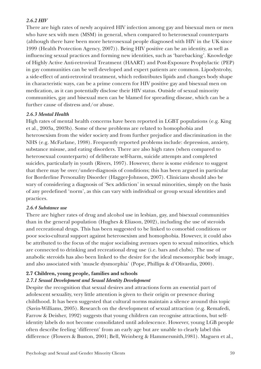## *2.6.2 HIV*

There are high rates of newly acquired HIV infection among gay and bisexual men or men who have sex with men (MSM) in general, when compared to heterosexual counterparts (although there have been more heterosexual people diagnosed with HIV in the UK since 1999 (Health Protection Agency, 2007)). Being HIV positive can be an identity, as well as influencing sexual practices and forming new identities, such as 'barebacking'. Knowledge of Highly Active Anti-retroviral Treatment (HAART) and Post-Exposure Prophylactic (PEP) in gay communities can be well developed and expert patients are common. Lipodystrohy, a side-effect of anti-retroviral treatment, which redistributes lipids and changes body shape in characteristic ways, can be a prime concern for HIV positive gay and bisexual men on medication, as it can potentially disclose their HIV status. Outside of sexual minority communities, gay and bisexual men can be blamed for spreading disease, which can be a further cause of distress and/or abuse.

## *2.6.3 Mental Health*

High rates of mental health concerns have been reported in LGBT populations (e.g. King et al., 2003a, 2003b). Some of these problems are related to homophobia and heterosexism from the wider society and from further prejudice and discrimination in the NHS (e.g. McFarlane, 1998). Frequently reported problems include: depression, anxiety, substance misuse, and eating disorders. There are also high rates (when compared to heterosexual counterparts) of deliberate self-harm, suicide attempts and completed suicides, particularly in youth (Rivers, 1997). However, there is some evidence to suggest that there may be over/under-diagnosis of conditions; this has been argued in particular for Borderline Personality Disorder (Hagger-Johnson, 2007). Clinicians should also be wary of considering a diagnosis of 'Sex addiction' in sexual minorities, simply on the basis of any predefined 'norm', as this can vary with individual or group sexual identities and practices.

## *2.6.4 Substance use*

There are higher rates of drug and alcohol use in lesbian, gay, and bisexual communities than in the general population (Hughes & Eliason, 2002), including the use of steroids and recreational drugs. This has been suggested to be linked to comorbid conditions or poor socio-cultural support against heterosexism and homophobia. However, it could also be attributed to the focus of the major socialising avenues open to sexual minorities, which are connected to drinking and recreational drug use (i.e. bars and clubs). The use of anabolic steroids has also been linked to the desire for the ideal mesomorphic body image, and also associated with 'muscle dysmorphia' (Pope, Phillips & d'Olivardia, 2000).

## **2.7 Children, young people, families and schools**

## *2.7.1 Sexual Development and Sexual Identity Development*

Despite the recognition that sexual desires and attractions form an essential part of adolescent sexuality, very little attention is given to their origin or presence during childhood. It has been suggested that cultural norms maintain a silence around this topic (Savin-Williams, 2005). Research on the development of sexual attraction (e.g. Remafedi, Farrow & Deisher, 1992) suggests that young children can recognise attractions, but selfidentity labels do not become consolidated until adolescence. However, young LGB people often describe feeling 'different' from an early age but are unable to clearly label this difference (Flowers & Buston, 2001; Bell, Weinberg & Hammersmith,1981). Maguen et al.,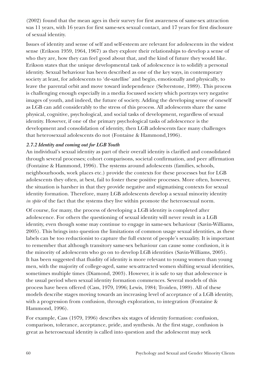(2002) found that the mean ages in their survey for first awareness of same-sex attraction was 11 years, with 16 years for first same-sex sexual contact, and 17 years for first disclosure of sexual identity.

Issues of identity and sense of self and self-esteem are relevant for adolescents in the widest sense (Erikson 1959, 1964, 1967) as they explore their relationships to develop a sense of who they are, how they can feel good about that, and the kind of future they would like. Erikson states that the unique developmental task of adolescence is to solidify a personal identity. Sexual behaviour has been described as one of the key ways, in contemporary society at least, for adolescents to 'de-satellise' and begin, emotionally and physically, to leave the parental orbit and move toward independence (Selverstone, 1989). This process is challenging enough especially in a media focussed society which portrays very negative images of youth, and indeed, the future of society. Adding the developing sense of oneself as LGB can add considerably to the stress of this process. All adolescents share the same physical, cognitive, psychological, and social tasks of development, regardless of sexual identity. However, if one of the primary psychological tasks of adolescence is the development and consolidation of identity, then LGB adolescents face many challenges that heterosexual adolescents do not (Fontaine & Hammond,1996).

#### *2.7.2 Identity and coming out for LGB Youth*

An individual's sexual identity as part of their overall identity is clarified and consolidated through several processes; cohort comparisons, societal confirmation, and peer affirmation (Fontaine & Hammond, 1996). The systems around adolescents (families, schools, neighbourhoods, work places etc.) provide the contexts for these processes but for LGB adolescents they often, at best, fail to foster these positive processes. More often, however, the situation is harsher in that they provide negative and stigmatising contexts for sexual identity formation. Therefore, many LGB adolescents develop a sexual minority identity *in spite* of the fact that the systems they live within promote the heterosexual norm.

Of course, for many, the process of developing a LGB identity is completed after adolescence. For others the questioning of sexual identity will never result in a LGB identity, even though some may continue to engage in same-sex behaviour (Savin-Williams, 2005). This brings into question the limitations of common usage sexual identities, as these labels can be too reductionist to capture the full extent of people's sexuality. It is important to remember that although transitory same-sex behaviour can cause some confusion, it is the minority of adolescents who go on to develop LGB identities (Savin-Williams, 2005). It has been suggested that fluidity of identity is more relevant to young women than young men, with the majority of college-aged, same sex-attracted women shifting sexual identities, sometimes multiple times (Diamond, 2003). However, it is safe to say that adolescence is the usual period when sexual identity formation commences. Several models of this process have been offered (Cass, 1979, 1996; Lewis, 1984; Troiden, 1989). All of these models describe stages moving towards an increasing level of acceptance of a LGB identity, with a progression from confusion, through exploration, to integration (Fontaine & Hammond, 1996).

For example, Cass (1979, 1996) describes six stages of identity formation: confusion, comparison, tolerance, acceptance, pride, and synthesis. At the first stage, confusion is great as heterosexual identity is called into question and the adolescent may seek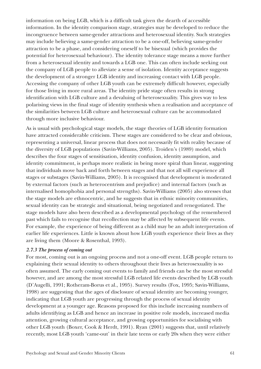information on being LGB, which is a difficult task given the dearth of accessible information. In the identity comparison stage, strategies may be developed to reduce the incongruence between same-gender attractions and heterosexual identity. Such strategies may include believing a same-gender attraction to be a one-off, believing same-gender attraction to be a phase, and considering oneself to be bisexual (which provides the potential for heterosexual behaviour). The identity tolerance stage means a move further from a heterosexual identity and towards a LGB one. This can often include seeking out the company of LGB people to alleviate a sense of isolation. Identity acceptance suggests the development of a stronger LGB identity and increasing contact with LGB people. Accessing the company of other LGB youth can be extremely difficult however, especially for those living in more rural areas. The identity pride stage often results in strong identification with LGB culture and a devaluing of heterosexuality. This gives way to less polarising views in the final stage of identity synthesis when a realisation and acceptance of the similarities between LGB culture and heterosexual culture can be accommodated through more inclusive behaviour.

As is usual with psychological stage models, the stage theories of LGB identity formation have attracted considerable criticism. These stages are considered to be clear and obvious, representing a universal, linear process that does not necessarily fit with reality because of the diversity of LGB populations (Savin-Williams, 2005). Troiden's (1989) model, which describes the four stages of sensitisation, identity confusion, identity assumption, and identity commitment, is perhaps more realistic in being more spiral than linear, suggesting that individuals move back and forth between stages and that not all will experience all stages or substages (Savin-Williams, 2005). It is recognised that development is moderated by external factors (such as heterocentrism and prejudice) and internal factors (such as internalised homophobia and personal strengths). Savin-Williams (2005) also stresses that the stage models are ethnocentric, and he suggests that in ethnic minority communities, sexual identity can be strategic and situational, being negotiated and renegotiated. The stage models have also been described as a developmental psychology of the remembered past which fails to recognise that recollection may be affected by subsequent life events. For example, the experience of being different as a child may be an adult interpretation of earlier life experiences. Little is known about how LGB youth experience their lives as they are living them (Moore & Rosenthal, 1993).

#### *2.7.3 The process of coming out*

For most, coming out is an ongoing process and not a one-off event. LGB people return to explaining their sexual identity to others throughout their lives as heterosexuality is so often assumed. The early coming out events to family and friends can be the most stressful however, and are among the most stressful LGB related life events described by LGB youth (D'Augelli, 1991; Rotheram-Borus et al., 1995). Survey results (Fox, 1995; Savin-Williams, 1998) are suggesting that the ages of disclosure of sexual identity are becoming younger, indicating that LGB youth are progressing through the process of sexual identity development at a younger age. Reasons proposed for this include increasing numbers of adults identifying as LGB and hence an increase in positive role models, increased media attention, growing cultural acceptance, and growing opportunities for socialising with other LGB youth (Boxer, Cook & Herdt, 1991). Ryan (2001) suggests that, until relatively recently, most LGB youth 'came-out' in their late teens or early 20s when they were either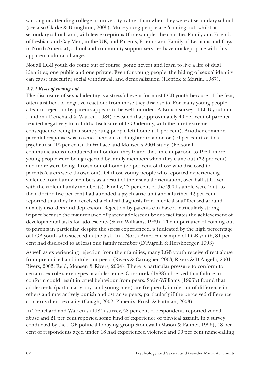working or attending college or university, rather than when they were at secondary school (see also Clarke & Broughton, 2005). More young people are 'coming-out' whilst at secondary school, and, with few exceptions (for example, the charities Family and Friends of Lesbian and Gay Men, in the UK, and Parents, Friends and Family of Lesbians and Gays, in North America), school and community support services have not kept pace with this apparent cultural change.

Not all LGB youth do come out of course (some never) and learn to live a life of dual identities; one public and one private. Even for young people, the hiding of sexual identity can cause insecurity, social withdrawal, and demoralisation (Hetrick & Martin, 1987).

#### *2.7.4 Risks of coming out*

The disclosure of sexual identity is a stressful event for most LGB youth because of the fear, often justified, of negative reactions from those they disclose to. For many young people, a fear of rejection by parents appears to be well founded. A British survey of LGB youth in London (Trenchard & Warren, 1984) revealed that approximately 40 per cent of parents reacted negatively to a child's disclosure of LGB identity, with the most extreme consequence being that some young people left home (11 per cent). Another common parental response was to send their son or daughter to a doctor (10 per cent) or to a psychiatrist (15 per cent). In Wallace and Monsen's 2004 study, (Personal communications) conducted in London, they found that, in comparison to 1984, more young people were being rejected by family members when they came out (32 per cent) and more were being thrown out of home (27 per cent of those who disclosed to parents/carers were thrown out). Of those young people who reported experiencing violence from family members as a result of their sexual orientation, over half still lived with the violent family member(s). Finally, 23 per cent of the 2004 sample were 'out' to their doctor, five per cent had attended a psychiatric unit and a further 42 per cent reported that they had received a clinical diagnosis from medical staff focused around anxiety disorders and depression. Rejection by parents can have a particularly strong impact because the maintenance of parent-adolescent bonds facilitates the achievement of developmental tasks for adolescents (Savin-Williams, 1989). The importance of coming out to parents in particular, despite the stress experienced, is indicated by the high percentage of LGB youth who succeed in the task. In a North American sample of LGB youth, 81 per cent had disclosed to at least one family member (D'Augelli & Hershberger, 1993).

As well as experiencing rejection from their families, many LGB youth receive direct abuse from prejudiced and intolerant peers (Rivers & Carragher, 2003; Rivers & D'Augelli, 2001; Rivers, 2003; Reid, Monsen & Rivers, 2004). There is particular pressure to conform to certain sex-role stereotypes in adolescence. Gonsiorek (1988) observed that failure to conform could result in cruel behaviour from peers. Savin-Williams (1995b) found that adolescents (particularly boys and young men) are frequently intolerant of difference in others and may actively punish and ostracise peers, particularly if the perceived difference concerns their sexuality (Gough, 2002; Phoenix, Frosh & Pattman, 2003).

In Trenchard and Warren's (1984) survey, 58 per cent of respondents reported verbal abuse and 21 per cent reported some kind of experience of physical assault. In a survey conducted by the LGB political lobbying group Stonewall (Mason & Palmer, 1996), 48 per cent of respondents aged under 18 had experienced violence and 90 per cent name-calling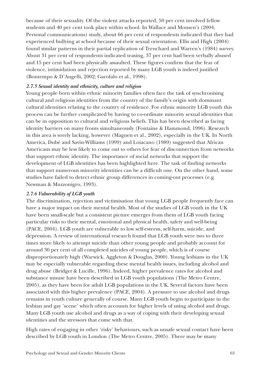because of their sexuality. Of the violent attacks reported, 50 per cent involved fellow students and 40 per cent took place within school. In Wallace and Monsen's (2004, Personal communications) study, about 66 per cent of respondents indicated that they had experienced bullying at school because of their sexual orientation. Ellis and High (2004) found similar patterns in their partial replication of Trenchard and Warren's (1984) survey. About 31 per cent of respondents indicated teasing, 37 per cent had been verbally abused and 15 per cent had been physically assaulted. These figures confirm that the fear of violence, intimidation and rejection reported by many LGB youth is indeed justified (Bontempo & D'Augelli, 2002; Garofalo et al., 1998).

#### *2.7.5 Sexual identity and ethnicity, culture and religion*

Young people born within ethnic minority families often face the task of synchronising cultural and religious identities from the country of the family's origin with dominant cultural identities relating to the country of residence. For ethnic minority LGB youth this process can be further complicated by having to co-ordinate minority sexual identities that can be in opposition to cultural and religious beliefs. This has been described as facing identity barriers on many fronts simultaneously (Fontaine & Hammond, 1996). Research in this area is sorely lacking, however (Maguen et al., 2002), especially in the UK. In North America, Dubé and Savin-Williams (1999) and Loiacano (1989) suggested that African Americans may be less likely to come out to others for fear of disconnection from networks that support ethnic identity. The importance of social networks that support the development of LGB identities has been highlighted here. The task of finding networks that support numerous minority identities can be a difficult one. On the other hand, some studies have failed to detect ethnic group differences in coming-out processes (e.g. Newman & Muzzonigro, 1993).

#### *2.7.6 Vulnerability of LGB youth*

The discrimination, rejection and victimisation that young LGB people frequently face can have a major impact on their mental health. Most of the studies of LGB youth in the UK have been small-scale but a consistent picture emerges from them of LGB youth facing particular risks to their mental, emotional and physical health, safety and well-being (PACE, 2004). LGB youth are vulnerable to low self-esteem, self-harm, suicide, and depression. A review of international research found that LGB youth were two to three times more likely to attempt suicide than other young people and probably account for around 30 per cent of all completed suicides of young people, which is of course disproportionately high (Warwick, Aggleton & Douglas, 2000). Young lesbians in the UK may be especially vulnerable regarding these mental health issues, including alcohol and drug abuse (Bridget & Lucille, 1996). Indeed, higher prevalence rates for alcohol and substance misuse have been described in LGB youth populations (The Metro Centre, 2005), as they have been for adult LGB populations in the UK. Several factors have been associated with this higher prevalence (PACE, 2004). A pressure to use alcohol and drugs remains in youth culture generally of course. Many LGB youth begin to participate in the lesbian and gay 'scene' which often accounts for higher levels of using alcohol and drugs. Many LGB youth use alcohol and drugs as a way of coping with their developing sexual identities and the stressors that come with that.

High rates of engaging in other 'risky' behaviours, such as unsafe sexual contact have been described by LGB youth in London (The Metro Centre, 2005). There may be many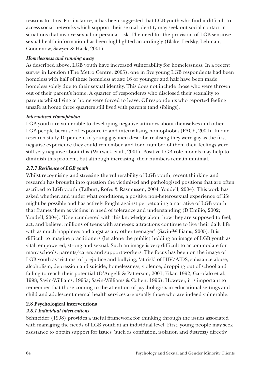reasons for this. For instance, it has been suggested that LGB youth who find it difficult to access social networks which support their sexual identity may seek out social contact in situations that involve sexual or personal risk. The need for the provision of LGB-sensitive sexual health information has been highlighted accordingly (Blake, Ledsky, Lehman, Goodenow, Sawyer & Hack, 2001).

#### *Homelessness and running away*

As described above, LGB youth have increased vulnerability for homelessness. In a recent survey in London (The Metro Centre, 2005), one in five young LGB respondents had been homeless with half of these homeless at age 16 or younger and half have been made homeless solely due to their sexual identity. This does not include those who were thrown out of their parent's home. A quarter of respondents who disclosed their sexuality to parents whilst living at home were forced to leave. Of respondents who reported feeling unsafe at home three quarters still lived with parents (and siblings).

#### *Internalised Homophobia*

LGB youth are vulnerable to developing negative attitudes about themselves and other LGB people because of exposure to and internalising homophobia (PACE, 2004). In one research study 10 per cent of young gay men describe realising they were gay as the first negative experience they could remember, and for a number of them their feelings were still very negative about this (Warwick et al., 2001). Positive LGB role models may help to diminish this problem, but although increasing, their numbers remain minimal.

## *2.7.7 Resilience of LGB youth*

Whilst recognising and stressing the vulnerability of LGB youth, recent thinking and research has brought into question the victimised and pathologised positions that are often ascribed to LGB youth (Talburt, Rofes & Rasmussen, 2004; Youdell, 2004). This work has asked whether, and under what conditions, a positive non-heterosexual experience of life might be possible and has actively fought against perpetuating a narrative of LGB youth that frames them as victims in need of tolerance and understanding (D'Emilio, 2002; Youdell, 2004). 'Unencumbered with this knowledge about how they are supposed to feel, act, and believe, millions of teens with same-sex attractions continue to live their daily life with as much happiness and angst as any other teenager' (Savin-Williams, 2005). It is difficult to imagine practitioners (let alone the public) holding an image of LGB youth as vital, empowered, strong and sexual. Such an image is very difficult to accommodate for many schools, parents/carers and support workers. The focus has been on the image of LGB youth as 'victims' of prejudice and bullying, 'at risk' of HIV/AIDS, substance abuse, alcoholism, depression and suicide, homelessness, violence, dropping out of school and failing to reach their potential (D'Augelli & Patterson, 2001; Fikar, 1992; Garofalo et al., 1998; Savin-Williams, 1995a; Savin-Williams & Cohen, 1996). However, it is important to remember that those coming to the attention of psychologists in educational settings and child and adolescent mental health services are usually those who are indeed vulnerable.

## **2.8 Psychological interventions**

## *2.8.1 Individual interventions*

Schneider (1998) provides a useful framework for thinking through the issues associated with managing the needs of LGB youth at an individual level. First, young people may seek assistance to obtain support for issues (such as confusion, isolation and distress) directly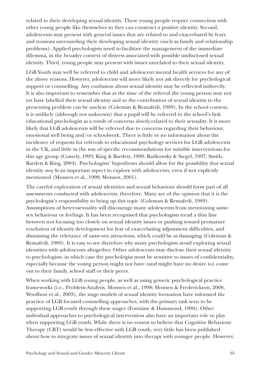related to their developing sexual identity. These young people require connection with other young people like themselves so they can construct a positive identity. Second, adolescents may present with general issues that are related to and exacerbated by fears and tensions surrounding their developing sexual identity (such as family and relationship problems). Applied psychologists need to facilitate the management of the immediate dilemma, in the broader context of distress associated with possible undisclosed sexual identity. Third, young people may present with issues unrelated to their sexual identity.

LGB Youth may well be referred to child and adolescent mental health services for any of the above reasons. However, adolescents will more likely not ask directly for psychological support or counselling. Any confusion about sexual identity may be reflected indirectly. It is also important to remember that at the time of the referral the young person may not yet have labelled their sexual identity and so the contribution of sexual identity to the presenting problem can be unclear (Coleman & Remafedi, 1989). In the school context, it is unlikely (although not unknown) that a pupil will be referred to the school's link educational psychologist as a result of concerns *directly* related to their sexuality. It is more likely that LGB adolescents will be referred due to concerns regarding their behaviour, emotional well being and/or schoolwork. There is little or no information about the incidence of requests for referrals to educational psychology services for LGB adolescents in the UK, and little in the way of specific recommendations for suitable interventions for this age group (Comely, 1993; King & Bartlett, 1999; Radkowsky & Siegel, 1997; Smith, Bartlett & King, 2004). Psychologists' hypotheses should allow for the possibility that sexual identity *may be* an important aspect to explore with adolescents, even if not explicitly mentioned (Monsen et al., 1998; Monsen, 2001).

The careful exploration of sexual identities and sexual behaviour should form part of all assessments conducted with adolescents, therefore. Many are of the opinion that it is the psychologist's responsibility to bring up this topic (Coleman & Remafedi, 1989). Assumptions of heterosexuality will discourage many adolescents from mentioning samesex behaviour or feelings. It has been recognised that psychologists tread a thin line between not focusing too closely on sexual identity issues or pushing toward premature resolution of identity development for fear of exacerbating adjustment difficulties, and dismissing the relevance of same-sex attractions, which could be as damaging (Coleman & Remafedi, 1989). It is easy to see therefore why many psychologists avoid exploring sexual identities with adolescents altogether. Other adolescents may disclose their sexual identity to psychologists, in which case the psychologist must be sensitive to issues of confidentiality, especially because the young person might not have (and might have no desire to) come out to their family, school staff or their peers.

When working with LGB young people, as well as using generic psychological practice frameworks (i.e., Problem-Analysis, Monsen et al., 1998; Monsen & Frederickson, 2008; Woolfson et al., 2003), the stage models of sexual identity formation have informed the practice of LGB focused counselling approaches, with the primary task seen to be supporting LGB youth through these stages (Fontaine & Hammond, 1996). Other individual approaches to psychological intervention also have an important role to play when supporting LGB youth. While there is no reason to believe that Cognitive Behaviour Therapy (CBT) would be less effective with LGB youth, very little has been published about how to integrate issues of sexual identity into therapy with younger people. However,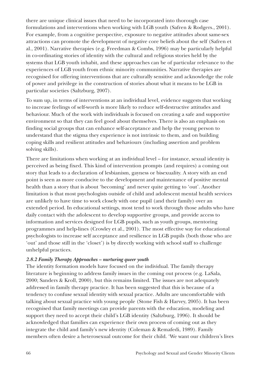there are unique clinical issues that need to be incorporated into thorough case formulations and interventions when working with LGB youth (Safren & Rodgers., 2001). For example, from a cognitive perspective, exposure to negative attitudes about same-sex attractions can promote the development of negative core beliefs about the self (Safren et al., 2001). Narrative therapies (e.g. Freedman & Combs, 1996) may be particularly helpful in co-ordinating stories of identity with the cultural and religious stories held by the systems that LGB youth inhabit, and these approaches can be of particular relevance to the experiences of LGB youth from ethnic minority communities. Narrative therapies are recognised for offering interventions that are culturally sensitive and acknowledge the role of power and privilege in the construction of stories about what it means to be LGB in particular societies (Saltzburg, 2007).

To sum up, in terms of interventions at an individual level, evidence suggests that working to increase feelings of self-worth is more likely to reduce self-destructive attitudes and behaviour. Much of the work with individuals is focused on creating a safe and supportive environment so that they can feel good about themselves. There is also an emphasis on finding social groups that can enhance self-acceptance and help the young person to understand that the stigma they experience is not intrinsic to them, and on building coping skills and resilient attitudes and behaviours (including assertion and problem solving skills).

There are limitations when working at an individual level – for instance, sexual identity is perceived as being fixed. This kind of intervention prompts (and requires) a coming out story that leads to a declaration of lesbianism, gayness or bisexuality. A story with an end point is seen as more conducive to the development and maintenance of positive mental health than a story that is about 'becoming' and never quite getting to 'out'. Another limitation is that most psychologists outside of child and adolescent mental health services are unlikely to have time to work closely with one pupil (and their family) over an extended period. In educational settings, most tend to work through those adults who have daily contact with the adolescent to develop supportive groups, and provide access to information and services designed for LGB pupils, such as youth groups, mentoring programmes and help-lines (Crowley et al., 2001). The most effective way for educational psychologists to increase self acceptance and resilience in LGB pupils (both those who are 'out' and those still in the 'closet') is by directly working with school staff to challenge unhelpful practices.

#### *2.8.2 Family Therapy Approaches – nurturing queer youth*

The identity formation models have focused on the individual. The family therapy literature is beginning to address family issues in the coming out process (e.g. LaSala, 2000; Sanders & Kroll, 2000), but this remains limited. The issues are not adequately addressed in family therapy practice. It has been suggested that this is because of a tendency to confuse sexual identity with sexual practice. Adults are uncomfortable with talking about sexual practice with young people (Stone Fish & Harvey, 2005). It has been recognised that family meetings can provide parents with the education, modeling and support they need to accept their child's LGB identity (Saltzburg, 1996). It should be acknowledged that families can experience their own process of coming out as they integrate the child and family's new identity (Coleman & Remafedi, 1989). Family members often desire a heterosexual outcome for their child. 'We want our children's lives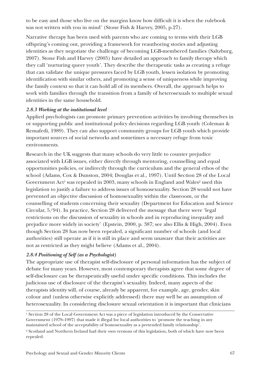to be easy and those who live on the margins know how difficult it is when the rulebook was not written with you in mind' (Stone Fish & Harvey, 2005, p.27).

Narrative therapy has been used with parents who are coming to terms with their LGB offspring's coming out, providing a framework for reauthoring stories and adjusting identities as they negotiate the challenge of becoming LGB-membered families (Saltzburg, 2007). Stone Fish and Harvey (2005) have detailed an approach to family therapy which they call 'nurturing queer youth'. They describe the therapeutic tasks as creating a refuge that can validate the unique pressures faced by LGB youth, lessen isolation by promoting identification with similar others, and promoting a sense of uniqueness while improving the family context so that it can hold all of its members. Overall, the approach helps to work with families through the transition from a family of heterosexuals to multiple sexual identities in the same household.

#### *2.8.3 Working at the institutional level*

Applied psychologists can promote primary prevention activities by involving themselves in or supporting public and institutional policy decisions regarding LGB youth (Coleman & Remafedi, 1989). They can also support community groups for LGB youth which provide important sources of social networks and sometimes a necessary refuge from toxic environments.

Research in the UK suggests that many schools do very little to counter prejudice associated with LGB issues, either directly through mentoring, counselling and equal opportunities policies, or indirectly through the curriculum and the general ethos of the school (Adams, Cox & Dunston, 2004; Douglas et al., 1997). Until Section 28 of the Local Government Act<sup>1</sup> was repealed in 2003, many schools in England and Wales<sup>2</sup> used this legislation to justify a failure to address issues of homosexuality. Section 28 would not have prevented an objective discussion of homosexuality within the classroom, or the counselling of students concerning their sexuality (Department for Education and Science Circular, 5/94). In practice, Section 28 delivered the message that there were 'legal restrictions on the discussion of sexuality in schools and in reproducing inequality and prejudice more widely in society' (Epstein, 2000, p. 387; see also Ellis & High, 2004). Even though Section 28 has now been repealed, a significant number of schools (and local authorities) still operate as if it is still in place and seem unaware that their activities are not as restricted as they might believe (Adams et al., 2004).

## *2.8.4 Positioning of Self (as a Psychologist)*

The appropriate use of therapist self-disclosure of personal information has the subject of debate for many years. However, most contemporary therapists agree that some degree of self-disclosure can be therapeutically useful under specific conditions. This includes the judicious use of disclosure of the therapist's sexuality. Indeed, many aspects of the therapists identity will, of course, already be apparent, for example, age, gender, skin colour and (unless otherwise explicitly addressed) there may well be an assumption of heterosexuality. In considering disclosure sexual orientation it is important that clinicians

<sup>&</sup>lt;sup>1</sup> Section 28 of the Local Government Act was a piece of legislation introduced by the Conservative Government (1979–1997) that made it illegal for local authorities to 'promote the teaching in any maintained school of the acceptability of homosexuality as a pretended family relationship'.

<sup>2</sup> Scotland and Northern Ireland had their own versions of this legislation, both of which have now been repealed.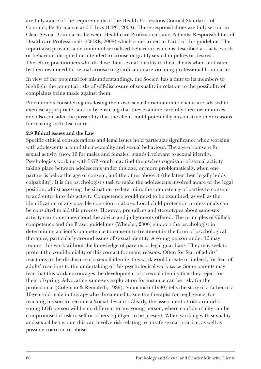are fully aware of the requirements of the Health Professions Council Standards of Conduct, Performance and Ethics (HPC, 2008). These responsibilities are fully set out in Clear Sexual Boundaries between Healthcare Professionals and Patients: Responsibilities of Healthcare Professionals (CHRE, 2008) which is described in Part I of this guideline. The report also provides a definition of sexualised behaviour, which is described as, 'acts, words or behaviour designed or intended to arouse or gratify sexual impulses or desires'. Therefore practitioners who disclose their sexual identity to their clients when motivated by their own need for sexual arousal or gratification are violating professional boundaries.

In view of the potential for misunderstandings, the Society has a duty to its members to highlight the potential risks of self-disclosure of sexuality in relation to the possibility of complaints being made against them.

Practitioners considering disclosing their own sexual orientation to clients are advised to exercise appropriate caution by ensuring that they examine carefully their own motives and also consider the possibility that the client could potentially misconstrue their reasons for making such disclosure.

#### **2.9 Ethical issues and the Law**

Specific ethical considerations and legal issues hold particular significance when working with adolescents around their sexuality and sexual behaviour. The age of consent for sexual activity (now 16 for males and females) stands irrelevant to sexual identity. Psychologists working with LGB youth may find themselves cognizant of sexual activity taking place between adolescents under this age, or more problematically, when one partner is below the age of consent, and the other above it (the latter then legally holds culpability). It is the psychologist's task to make the adolescents involved aware of the legal position, whilst assessing the situation to determine the competency of parties to consent to and enter into this activity. Competence would need to be examined, as well as the identification of any possible coercion or abuse. Local child protection professionals can be consulted to aid this process. However, prejudices and stereotypes about same-sex activity can sometimes cloud the advice and judgements offered. The principles of Gillick competence and the Fraser guidelines (Wheeler, 2006) support the psychologist in determining a client's competence to consent to treatment in the form of psychological therapies, particularly around issues of sexual identity. A young person under 16 may request this work without the knowledge of parents or legal guardians. They may seek to protect the confidentiality of this contact for many reasons. Often for fear of adults' reactions to the disclosure of a sexual identity this work would create or indeed, for fear of adults' reactions to the undertaking of this psychological work *per se*. Some parents may fear that this work encourages the development of a sexual identity that they reject for their offspring. Advocating same-sex exploration for instance can be risky for the professional (Coleman & Remafedi, 1989). Sobocinski (1990) tells the story of a father of a 16-year-old male in therapy who threatened to sue the therapist for negligence, for teaching his son to become a 'social deviant'. Clearly, the assessment of risk around a young LGB person will be no different to any young person, where confidentiality can be compromised if risk to self or others is judged to be present. When working with sexuality and sexual behaviour, this can involve risk relating to unsafe sexual practice, as well as possible coercion or abuse.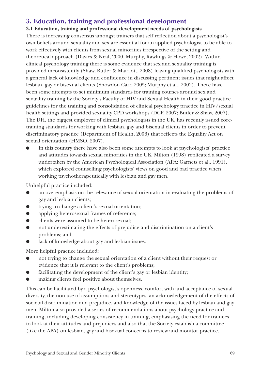# **3. Education, training and professional development**

**3.1 Education, training and professional development needs of psychologists** There is increasing consensus amongst trainers that self reflection about a psychologist's own beliefs around sexuality and sex are essential for an applied psychologist to be able to work effectively with clients from sexual minorities irrespective of the setting and theoretical approach (Davies & Neal, 2000, Murphy, Rawlings & Howe, 2002). Within clinical psychology training there is some evidence that sex and sexuality training is provided inconsistently (Shaw, Butler & Marriott, 2008) leaving qualified psychologists with a general lack of knowledge and confidence in discussing pertinent issues that might affect lesbian, gay or bisexual clients (Snowdon-Carr, 2005; Murphy et al., 2002). There have been some attempts to set minimum standards for training courses around sex and sexuality training by the Society's Faculty of HIV and Sexual Health in their good practice guidelines for the training and consolidation of clinical psychology practice in HIV/sexual health settings and provided sexuality CPD workshops (DCP, 2007; Butler & Shaw, 2007). The DH, the biggest employer of clinical psychologists in the UK, has recently issued coretraining standards for working with lesbian, gay and bisexual clients in order to prevent discriminatory practice (Department of Health, 2006) that reflects the Equality Act on sexual orientation (HMSO, 2007).

In this country there have also been some attempts to look at psychologists' practice and attitudes towards sexual minorities in the UK. Milton (1998) replicated a survey undertaken by the American Psychological Association (APA; Garnets et al., 1991), which explored counselling psychologists' views on good and bad practice when working psychotherapeutically with lesbian and gay men.

Unhelpful practice included:

- an overemphasis on the relevance of sexual orientation in evaluating the problems of gay and lesbian clients;
- trying to change a client's sexual orientation;
- applying heterosexual frames of reference;
- clients were assumed to be heterosexual;
- not underestimating the effects of prejudice and discrimination on a client's problems; and
- lack of knowledge about gay and lesbian issues.

More helpful practice included:

- not trying to change the sexual orientation of a client without their request or evidence that it is relevant to the client's problems;
- facilitating the development of the client's gay or lesbian identity;
- making clients feel positive about themselves.

This can be facilitated by a psychologist's openness, comfort with and acceptance of sexual diversity, the non-use of assumptions and stereotypes, an acknowledgement of the effects of societal discrimination and prejudice, and knowledge of the issues faced by lesbian and gay men. Milton also provided a series of recommendations about psychology practice and training, including developing consistency in training, emphasising the need for trainees to look at their attitudes and prejudices and also that the Society establish a committee (like the APA) on lesbian, gay and bisexual concerns to review and monitor practice.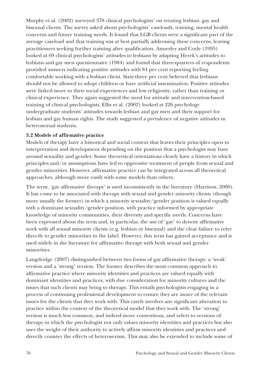Murphy et al. (2002) surveyed 378 clinical psychologists' on treating lesbian, gay and bisexual clients. The survey asked about psychologists' caseloads, training, mental health concerns and future training needs. It found that LGB clients were a significant part of the average caseload and that training was at best partially addressing these concerns, leaving practitioners seeking further training after qualification. Annesley and Coyle (1995) looked at 69 clinical psychologists' attitudes to lesbians by adapting Herek's attitudes to lesbians and gay men questionnaire (1984) and found that three-quarters of respondents provided answers indicating positive attitudes with 84 per cent reporting feeling comfortable working with a lesbian client. Sixty-three per cent believed that lesbians should not be allowed to adopt children or have artificial insemination. Positive attitudes were linked more to their social experiences and low religiosity, rather than training or clinical experience. They again suggested the need for attitude and intervention-based training of clinical psychologists. Ellis et al. (2002) looked at 226 psychology undergraduate students' attitudes towards lesbian and gay men and their support for lesbian and gay human rights. The study suggested a prevalence of negative attitudes in heterosexual students.

#### **3.2 Models of affirmative practice**

Models of therapy have a historical and social context that leaves their principles open to interpretation and development depending on the position that a psychologist may have around sexuality and gender. Some theoretical orientations clearly have a history in which principles and/or assumptions have led to oppressive treatment of people from sexual and gender minorities. However, affirmative practice can be integrated across all theoretical approaches, although more easily with some models than others.

The term, 'gay affirmative therapy' is used inconsistently in the literature (Harrison, 2000). It has come to be associated with therapy with sexual and gender minority clients (though more usually the former) in which a minority sexuality/gender position is valued equally with a dominant sexuality/gender position, with practice informed by appropriate knowledge of minority communities, their diversity and specific needs. Concerns have been expressed about the term and, in particular, the use of 'gay' to denote affirmative work with all sexual minority clients (e.g. lesbian or bisexual) and the clear failure to refer directly to gender minorities in the label. However, this term has gained acceptance and is used widely in the literature for affirmative therapy with both sexual and gender minorities.

Langdridge (2007) distinguished between two forms of gay affirmative therapy: a 'weak' version and a 'strong' version. The former describes the most common approach to affirmative practice where minority identities and practices are valued equally with dominant identities and practices, with due consideration for minority cultures and the issues that such clients may bring to therapy. This entails psychologists engaging in a process of continuing professional development to ensure they are aware of the relevant issues for the clients that they work with. This rarely involves any significant alteration to practice within the context of the theoretical model that they work with. The 'strong' version is much less common, and indeed more contentious, and refers to versions of therapy in which the psychologist not only values minority identities and practices but also uses the weight of their authority to actively affirm minority identities and practices and directly counter the effects of heterosexism. This may also be extended to include some of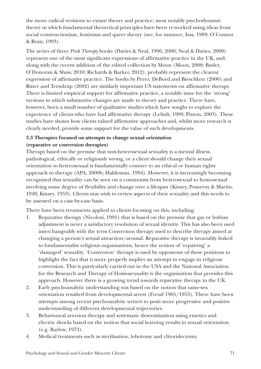the more radical revisions to extant theory and practice, most notably psychodynamic theory in which fundamental theoretical principles have been re-worked using ideas from social constructionism, feminism and queer theory (see, for instance, Isay, 1989; O'Connor & Ryan, 1993).

The series of three *Pink Therapy* books (Davies & Neal, 1996, 2000; Neal & Davies, 2000) represent one of the most significant expressions of affirmative practice in the UK, and, along with the recent addition of the edited collection by Moon (Moon, 2008; Butler, O'Donovan & Shaw, 2010; Richards & Barker, 2012), probably represent the clearest expression of affirmative practice. The books by Perez, DeBord and Bieschken (2000) and Ritter and Terndrup (2002) are similarly important US statements on affirmative therapy. There is limited empirical support for affirmative practice, a notable issue for the 'strong' versions in which substantive changes are made to theory and practice. There have, however, been a small number of qualitative studies which have sought to explore the experience of clients who have had affirmative therapy (Lebolt, 1999; Pixton, 2003). These studies have shown how clients valued affirmative approaches and, whilst more research is clearly needed, provide some support for the value of such developments.

### **3.3 Therapies focused on attempts to change sexual orientation (reparative or conversion therapies)**

Therapy based on the premise that non-heterosexual sexuality is a mental illness, pathological, ethically or religiously wrong, or a client should change their sexual orientation to heterosexual is fundamentally counter to an ethical or human rights approach to therapy (APA, 2000b; Haldeman, 1994). However, it is increasingly becoming recognised that sexuality can be seen on a continuum from heterosexual to homosexual involving some degree of flexibility and change over a lifespan (Kinsey, Pomeroy & Martin, 1948; Kinsey, 1953). Clients may wish to review aspects of their sexuality and this needs to be assessed on a case-by-case basis.

There have been treatments applied to clients focusing on this, including:

- 1. Reparative therapy (Nicolosi, 1991) that is based on the premise that gay or lesbian adjustment is never a satisfactory resolution of sexual identity. This has also been used interchangeably with the term Conversion therapy used to describe therapy aimed at changing a person's sexual attraction/arousal. Reparative therapy is invariably linked to fundamentalist religious organisations, hence the notion of 'repairing' a 'damaged' sexuality. 'Conversion' therapy is used by opponents of these positions to highlight the fact that it more properly implies an attempt to engage in religious conversion. This is particularly carried out in the USA and the National Association for the Research and Therapy of Homosexuality is the organisation that provides this approach. However there is a growing trend towards reparative therapy in the UK.
- 2. Early psychoanalytic understanding was based on the notion that same-sex orientation resulted from developmental arrest (Freud 1905/1953). There have been attempts among recent psychoanalytic writers to posit more progressive and positive understanding of different developmental trajectories.
- 3. Behavioural aversion therapy and systematic desensitisation using emetics and electric shocks based on the notion that social learning results in sexual orientation (e.g. Barlow, 1973).
- 4. Medical treatments such as sterilisation, lobotomy and clitoridectomy.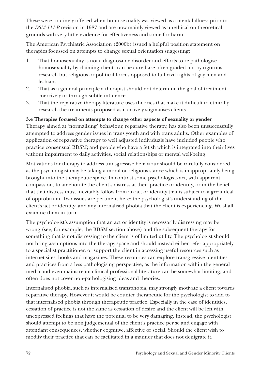These were routinely offered when homosexuality was viewed as a mental illness prior to the *DSM-111-R* revision in 1987 and are now mainly viewed as unethical on theoretical grounds with very little evidence for effectiveness and some for harm.

The American Psychiatric Association (2000b) issued a helpful position statement on therapies focussed on attempts to change sexual orientation suggesting:

- 1. That homosexuality is not a diagnosable disorder and efforts to re-pathologise homosexuality by claiming clients can be cured are often guided not by rigorous research but religious or political forces opposed to full civil rights of gay men and lesbians.
- 2. That as a general principle a therapist should not determine the goal of treatment coercively or through subtle influence.
- 3. That the reparative therapy literature uses theories that make it difficult to ethically research the treatments proposed as it actively stigmatises clients.

### **3.4 Therapies focused on attempts to change other aspects of sexuality or gender**

Therapy aimed at 'normalising' behaviour, reparative therapy, has also been unsuccessfully attempted to address gender issues in trans youth and with trans adults. Other examples of application of reparative therapy to well adjusted individuals have included people who practice consensual BDSM; and people who have a fetish which is integrated into their lives without impairment to daily activities, social relationships or mental well-being.

Motivations for therapy to address transgressive behaviour should be carefully considered, as the psychologist may be taking a moral or religious stance which is inappropriately being brought into the therapeutic space. In contrast some psychologists act, with apparent compassion, to ameliorate the client's distress at their practice or identity, or in the belief that that distress must inevitably follow from an act or identity that is subject to a great deal of opprobrium. Two issues are pertinent here: the psychologist's understanding of the client's act or identity; and any internalised phobia that the client is experiencing. We shall examine them in turn.

The psychologist's assumption that an act or identity is necessarily distressing may be wrong (see, for example, the BDSM section above) and the subsequent therapy for something that is not distressing to the client is of limited utility. The psychologist should not bring assumptions into the therapy space and should instead either refer appropriately to a specialist practitioner, or support the client in accessing useful resources such as internet sites, books and magazines. These resources can explore transgressive identities and practices from a less pathologising perspective, as the information within the general media and even mainstream clinical professional literature can be somewhat limiting, and often does not cover non-pathologising ideas and theories.

Internalised phobia, such as internalised transphobia, may strongly motivate a client towards reparative therapy. However it would be counter therapeutic for the psychologist to add to that internalised phobia through therapeutic practice. Especially in the case of identities, cessation of practice is not the same as cessation of desire and the client will be left with unexpressed feelings that have the potential to be very damaging. Instead, the psychologist should attempt to be non judgemental of the client's practice per se and engage with attendant consequences, whether cognitive, affective or social. Should the client wish to modify their practice that can be facilitated in a manner that does not denigrate it.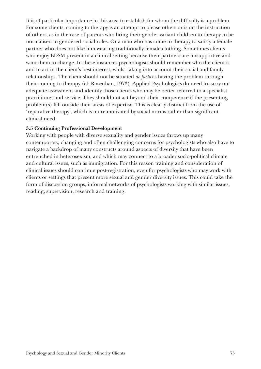It is of particular importance in this area to establish for whom the difficulty is a problem. For some clients, coming to therapy is an attempt to please others or is on the instruction of others, as in the case of parents who bring their gender variant children to therapy to be normalised to gendered social roles. Or a man who has come to therapy to satisfy a female partner who does not like him wearing traditionally female clothing. Sometimes clients who enjoy BDSM present in a clinical setting because their partners are unsupportive and want them to change. In these instances psychologists should remember who the client is and to act in the client's best interest, whilst taking into account their social and family relationships. The client should not be situated *de facto* as having the problem through their coming to therapy (cf. Rosenhan, 1973). Applied Psychologists do need to carry out adequate assessment and identify those clients who may be better referred to a specialist practitioner and service. They should not act beyond their competence if the presenting problem(s) fall outside their areas of expertise. This is clearly distinct from the use of 'reparative therapy', which is more motivated by social norms rather than significant clinical need.

#### **3.5 Continuing Professional Development**

Working with people with diverse sexuality and gender issues throws up many contemporary, changing and often challenging concerns for psychologists who also have to navigate a backdrop of many constructs around aspects of diversity that have been entrenched in heterosexism, and which may connect to a broader socio-political climate and cultural issues, such as immigration. For this reason training and consideration of clinical issues should continue post-registration, even for psychologists who may work with clients or settings that present more sexual and gender diversity issues. This could take the form of discussion groups, informal networks of psychologists working with similar issues, reading, supervision, research and training.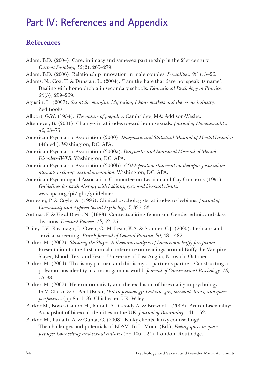# **Part IV: References and Appendix**

## **References**

- Adam, B.D. (2004). Care, intimacy and same-sex partnership in the 21st century. *Current Sociology, 52*(2), 265–279.
- Adam, B.D. (2006). Relationship innovation in male couples. *Sexualities, 9*(1), 5–26.
- Adams, N., Cox, T. & Dunstan, L. (2004). 'I am the hate that dare not speak its name': Dealing with homophobia in secondary schools. *Educational Psychology in Practice, 20*(3), 259–269.
- Agustin, L. (2007). *Sex at the margins: Migration, labour markets and the rescue industry.*  Zed Books.
- Allport, G.W. (1954). *The nature of prejudice.* Cambridge, MA: Addison-Wesley.
- Altemeyer, B. (2001). Changes in attitudes toward homosexuals. *Journal of Homosexuality, 42*, 63–75.
- American Psychiatric Association (2000). *Diagnostic and Statistical Manual of Mental Disorders* (4th ed.). Washington, DC: APA.
- American Psychiatric Association (2000a). *Diagnostic and Statistical Manual of Mental Disorders-IV-TR.* Washington, DC: APA.
- American Psychiatric Association (2000b). *COPP position statement on therapies focussed on attempts to change sexual orientation.* Washington, DC: APA.
- American Psychological Association Committee on Lesbian and Gay Concerns (1991). *Guidelines for psychotherapy with lesbians, gay, and bisexual clients.* www.apa.org/pi/lgbc/guidelines.
- Annesley, P. & Coyle, A. (1995). Clinical psychologists' attitudes to lesbians. *Journal of Community and Applied Social Psychology, 5*, 327–331.
- Anthias, F. & Yuval-Davis, N. (1983). Contextualising feminism: Gender-ethnic and class divisions. *Feminist Review, 15*, 62–75.
- Bailey, J.V., Kavanagh, J., Owen, C., McLean, K.A. & Skinner, C.J. (2000). Lesbians and cervical screening. *British Journal of General Practice, 50*, 481–482.

Barker, M. (2002). *Slashing the Slayer: A thematic analysis of homo-erotic Buffy fan fiction.* Presentation to the first annual conference on readings around Buffy the Vampire Slayer, Blood, Text and Fears, University of East Anglia, Norwich, October.

Barker, M. (2004). This is my partner, and this is my … partner's partner: Constructing a polyamorous identity in a monogamous world. *Journal of Constructivist Psychology, 18*, 75–88.

- Barker, M. (2007). Heteronormativity and the exclusion of bisexuality in psychology. In V. Clarke & E. Peel (Eds.), *Out in psychology: Lesbian, gay, bisexual, trans, and queer perspectives* (pp.86–118). Chichester, UK: Wiley.
- Barker M., Bowes-Catton H., Iantaffi A., Cassidy A. & Brewer L. (2008). British bisexuality: A snapshot of bisexual identities in the UK. *Journal of Bisexuality*, 141–162.

Barker, M., Iantaffi, A. & Gupta, C. (2008). Kinky clients, kinky counselling? The challenges and potentials of BDSM. In L. Moon (Ed.), *Feeling queer or queer feelings: Counselling and sexual cultures* (pp.106–124). London: Routledge.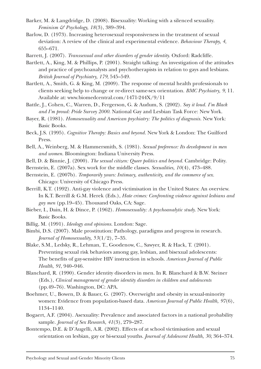- Barker, M. & Langdridge, D. (2008). Bisexuality: Working with a silenced sexuality. *Feminism & Psychology, 18*(3), 389–394.
- Barlow, D. (1973). Increasing heterosexual responsiveness in the treatment of sexual deviation: A review of the clinical and experimental evidence. *Behaviour Therapy, 4*, 655–671.
- Barrett, J. (2007). *Transsexual and other disorders of gender identity.* Oxford: Radcliffe.
- Bartlett, A., King, M. & Phillips, P. (2001). Straight talking: An investigation of the attitudes and practice of psychoanalysts and psychotherapists in relation to gays and lesbians. *British Journal of Psychiatry, 179*, 545–549.
- Bartlett, A., Smith, G. & King, M. (2009). The response of mental health professionals to clients seeking help to change or re-direct same-sex orientation. *BMC Psychiatry, 9*, 11. Available at: www.biomedcentral.com/1471-244X/9/11
- Battle, J., Cohen, C., Warren, D., Fergerson, G. & Audum, S. (2002). *Say it loud. I'm Black and I'm proud: Pride Survey 2000.* National Gay and Lesbian Task Force: New York.
- Bayer, R. (1981). *Homosexuality and American psychiatry: The politics of diagnosis.* New York: Basic Books.
- Beck, J.S. (1995). *Cognitive Therapy: Basics and beyond.* New York & London: The Guilford Press.
- Bell, A., Weinberg, M. & Hammersmith, S. (1981). *Sexual preference: Its development in men and women.* Bloomington: Indiana University Press.
- Bell, D. & Binnie, J. (2000). *The sexual citizen: Queer politics and beyond.* Cambridge: Polity.
- Bernstein, E. (2007a). Sex work for the middle classes. *Sexualities, 10*(4), 473–488.
- Bernstein, E. (2007b). *Temporarily yours: Intimacy, authenticity, and the commerce of sex.* Chicago: University of Chicago Press.
- Berrill, K.T. (1992). Anti-gay violence and victimisation in the United States: An overview. In K.T. Berrill & G.M. Herek (Eds.), *Hate crimes: Confronting violence against lesbians and gay men* (pp.19–45). Thousand Oaks, CA: Sage.
- Bieber, I., Dain, H. & Dince, P. (1962). *Homosexuality: A psychoanalytic study.* New York: Basic Books.
- Billig, M. (1991). *Ideology and opinions.* London: Sage.
- Bimbi, D.S. (2007). Male prostitution: Pathology, paradigms and progress in research. *Journal of Homosexuality, 53*(1/2), 7–35.
- Blake, S.M., Ledsky, R., Lehman, T., Goodenow, C., Sawyer, R. & Hack, T. (2001). Preventing sexual risk behaviors among gay, lesbian, and bisexual adolescents: The benefits of gay-sensitive HIV instruction in schools. *American Journal of Public Health, 91*, 940–946.
- Blanchard, R. (1990). Gender identity disorders in men. In R. Blanchard & B.W. Steiner (Eds.), *Clinical management of gender identity disorders in children and adolescents* (pp.49–76). Washington, DC: APA.
- Boehmer, U., Bowen, D. & Bauer, G. (2007). Overweight and obesity in sexual-minority women: Evidence from population-based data. *American Journal of Public Health, 97*(6), 1134–1140.
- Bogaert, A.F. (2004). Asexuality: Prevalence and associated factors in a national probability sample. *Journal of Sex Research, 41*(3), 279–287.
- Bontempo, D.E. & D'Augelli, A.R. (2002). Effects of at school victimisation and sexual orientation on lesbian, gay or bi-sexual youths. *Journal of Adolescent Health, 30*, 364–374.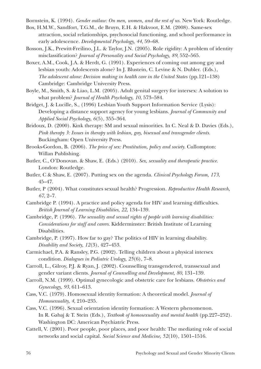Bornstein, K. (1994). *Gender outlaw: On men, women, and the rest of us.* New York: Routledge.

- Bos, H.M.W., Sandfort, T.G.M., de Bruyn, E.H. & Hakvoot, E.M. (2008). Same-sex attraction, social relationships, psychosocial functioning, and school performance in early adolescence. *Developmental Psychology, 44*, 59–68.
- Bosson, J.K., Prewitt-Freilino, J.L. & Taylor, J.N. (2005). Role rigidity: A problem of identity misclassification? *Journal of Personality and Social Psychology, 89*, 552–565.
- Boxer, A.M., Cook, J.A. & Herdt, G. (1991). Experiences of coming out among gay and lesbian youth: Adolescents alone? In J. Blustein, C. Levine & N. Dubler. (Eds.), *The adolescent alone: Decision making in health care in the United States* (pp.121–138) Cambridge: Cambridge University Press.
- Boyle, M., Smith, S. & Liao, L.M. (2005). Adult genital surgery for intersex: A solution to what problem? *Journal of Health Psychology, 10*, 573–584.
- Bridget, J. & Lucille, S., (1996) Lesbian Youth Support Information Service (Lysis): Developing a distance support agency for young lesbians. *Journal of Community and Applied Social Psychology, 6*(5), 355–364.
- Bridoux, D. (2000). Kink therapy: SM and sexual minorities. In C. Neal & D. Davies (Eds.), *Pink therapy 3: Issues in therapy with lesbian, gay, bisexual and transgender clients.* Buckingham: Open University Press.
- Brooks-Gordon, B. (2006). *The price of sex: Prostitution, policy and society.* Cullompton: Willan Publishing.
- Butler, C., O'Donovan. & Shaw, E. (Eds.) (2010). *Sex, sexuality and therapeutic practice.* London: Routledge.
- Butler, C & Shaw, E. (2007). Putting sex on the agenda. *Clinical Psychology Forum, 173*, 45–47.
- Butler, P (2004). What constitutes sexual health? Progression. *Reproductive Health Research, 67*, 2–7.
- Cambridge P. (1994). A practice and policy agenda for HIV and learning difficulties. *British Journal of Learning Disabilities, 22*, 134–139.
- Cambridge, P. (1996). *The sexuality and sexual rights of people with learning disabilities: Considerations for staff and carers.* Kidderminster: British Institute of Learning Disabilities.
- Cambridge, P. (1997). How far to gay? The politics of HIV in learning disability. *Disability and Society, 12*(3), 427–453.
- Carmichael, P.A. & Ransley, P.G. (2002). Telling children about a physical intersex condition. *Dialogues in Pediatric Urology, 25*(6), 7–8.
- Carroll, L., Gilroy, P.J. & Ryan, J. (2002). Counselling transgendered, transsexual and gender variant clients. *Journal of Counselling and Development, 80*, 131–139.
- Carroll, N.M. (1999). Optimal gynecologic and obstetric care for lesbians. *Obstetrics and Gynecology, 93*, 611–613.
- Cass, V.C. (1979). Homosexual identity formation: A theoretical model. *Journal of Homosexuality, 4*, 210–235.
- Cass, V.C. (1996). Sexual orientation identity formation: A Western phenomenon. In R. Gabaj & T. Stein (Eds.), *Textbook of homosexuality and mental health* (pp.227–252). Washington DC: American Psychiatric Press.
- Cattell, V. (2001). Poor people, poor places, and poor health: The mediating role of social networks and social capital. *Social Science and Medicine, 52*(10), 1501–1516.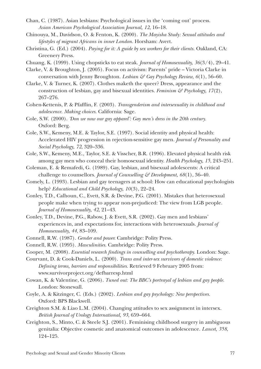- Chan, C. (1987). Asian lesbians: Psychological issues in the 'coming out' process. *Asian American Psychological Association Journal, 12*, 16–18.
- Chinouya, M., Davidson, O. & Fenton, K. (2000). *The Mayisha Study: Sexual attitudes and lifestyles of migrant Africans in inner London.* Horsham: Avert.
- Christina, G. (Ed.) (2004). *Paying for it: A guide by sex workers for their clients.* Oakland, CA: Greenery Press.
- Chuang, K. (1999). Using chopsticks to eat steak. *Journal of Homosexuality, 36*(3/4), 29–41.
- Clarke, V. & Broughton, J. (2005). Focus on activism: Parents' pride Victoria Clarke in conversation with Jenny Broughton. *Lesbian & Gay Psychology Review, 6*(1), 56–60.
- Clarke, V. & Turner, K. (2007). Clothes maketh the queer? Dress, appearance and the construction of lesbian, gay and bisexual identities. *Feminism & Psychology, 17*(2), 267–276.
- Cohen-Kettenis, P. & Pfafflin, F. (2003). *Transgenderism and intersexuality in childhood and adolescence. Making choices.* California: Sage.
- Cole, S.W. (2000). *'Don we now our gay apparel': Gay men's dress in the 20th century.*  Oxford: Berg.
- Cole, S.W., Kemeny, M.E. & Taylor, S.E. (1997). Social identity and physical health: Accelerated HIV progression in rejection-sensitive gay men. *Journal of Personality and Social Psychology, 72*, 320–336.
- Cole, S.W., Kemeny, M.E., Taylor, S.E. & Visscher, B.R. (1996). Elevated physical health risk among gay men who conceal their homosexual identity. *Health Psychology, 15*, 243–251.
- Coleman, E. & Remafedi, G. (1989). Gay, lesbian, and bisexual adolescents: A critical challenge to counsellors. *Journal of Counselling & Development, 68*(1), 36–40.
- Comely, L. (1993). Lesbian and gay teenagers at school: How can educational psychologists help? *Educational and Child Psychology, 10*(3), 22–24.
- Conley, T.D., Calhoun, C., Evett, S.R. & Devine, P.G. (2001). Mistakes that heterosexual people make when trying to appear non-prejudiced: The view from LGB people. *Journal of Homosexuality, 42*, 21–43.
- Conley, T.D., Devine, P.G., Rabow, J. & Evett, S.R. (2002). Gay men and lesbians' experiences in, and expectations for, interactions with heterosexuals. *Journal of Homosexuality, 44*, 83–109.
- Connell, R.W. (1987). *Gender and power.* Cambridge: Polity Press.
- Connell, R.W. (1995). *Masculinities.* Cambridge: Polity Press.
- Cooper, M. (2008). *Essential research findings in counselling and psychotherapy.* London: Sage.

Courvant, D. & Cook-Daniels, L. (2000). *Trans and inter-sex survivors of domestic violence: Defining terms, barriers and responsibilities.* Retrieved 9 February 2005 from: www.survivorproject.org/defbarresp.html

- Cowan, K. & Valentine, G. (2006). *Tuned out: The BBC's portrayal of lesbian and gay people.* London: Stonewall.
- Coyle, A. & Kitzinger, C. (Eds.) (2002). *Lesbian and gay psychology: New perspectives.* Oxford: BPS Blackwell.
- Creighton S.M. & Liao L.M. (2004). Changing attitudes to sex assignment in intersex. *British Journal of Urology International, 93,* 659–664.
- Creighton, S., Minto, C. & Steele S.J. (2001). Feminising childhood surgery in ambiguous genitalia: Objective cosmetic and anatomical outcomes in adolescence. *Lancet, 358*, 124–125.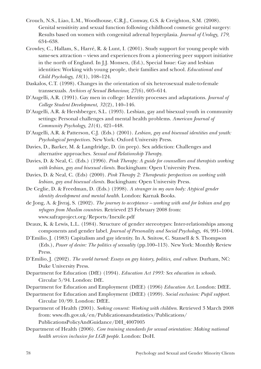- Crouch, N.S., Liao, L.M., Woodhouse, C.R.J., Conway, G.S. & Creighton, S.M. (2008). Genital sensitivity and sexual function following childhood cosmetic genital surgery: Results based on women with congenital adrenal hyperplasia. *Journal of Urology, 179*, 634–638.
- Crowley, C., Hallam, S., Harré, R. & Lunt, I. (2001). Study support for young people with same-sex attraction – views and experiences from a pioneering peer support initiative in the north of England. In J.J. Monsen, (Ed.), Special Issue: Gay and lesbian identities: Working with young people, their families and school. *Educational and Child Psychology, 18*(1), 108–124.
- Daskalos, C.T. (1998). Changes in the orientation of six heterosexual male-to-female transsexuals. *Archives of Sexual Behaviour, 27*(6), 605–614.
- D'Augelli, A.R. (1991). Gay men in college: Identity processes and adaptations. *Journal of College Student Development, 32*(2), 140–146.
- D'Augelli, A.R. & Hershberger, S.L. (1993). Lesbian, gay and bisexual youth in community settings: Personal challenges and mental health problems. *American Journal of Community Psychology, 21*(4), 421–448.
- D'Augelli, A.R. & Patterson, C.J. (Eds.) (2001). *Lesbian, gay and bisexual identities and youth: Psychological perspectives.* New York: Oxford University Press.
- Davies, D., Barker, M. & Langdridge, D. (in prep). Sex addiction: Challenges and alternative approaches. *Sexual and Relationship Therapy.*
- Davies, D. & Neal, C. (Eds.) (1996). *Pink Therapy: A guide for counsellors and therapists working with lesbian, gay and bisexual clients.* Buckingham: Open University Press.
- Davies, D. & Neal, C. (Eds) (2000). *Pink Therapy 2: Therapeutic perspectives on working with lesbian, gay and bisexual clients.* Buckingham: Open University Press.
- De Ceglie, D. & Freedman, D. (Eds.) (1998). *A stranger in my own body: Atypical gender identity development and mental health.* London: Karnak Books.
- de Jong, A. & Jivraj, S. (2002). *The journey to acceptance working with and for lesbian and gay refugees from Muslim countries.* Retrieved 23 February 2008 from: www.safraproject.org/Reports/Inexile.pdf
- Deaux, K. & Lewis, L.L. (1984). Structure of gender stereotypes: Inter-relationships among components and gender label. *Journal of Personality and Social Psychology, 46*, 991–1004.
- D'Emilio, J. (1983) Capitalism and gay identity. In A. Snitow, C. Stansell & S. Thompson (Eds.), *Power of desire: The politics of sexuality* (pp.100–113). New York: Monthly Review Press.
- D'Emilio, J. (2002). *The world turned: Essays on gay history, politics, and culture.* Durham, NC: Duke University Press.
- Department for Education (DfE) (1994). *Education Act 1993: Sex education in schools.* Circular 5/94. London: DfE.
- Department for Education and Employment (DfEE) (1996) *Education Act.* London: DfEE.
- Department for Education and Employment (DfEE) (1999). *Social exclusion: Pupil support.* Circular 10/99. London: DfEE.
- Department of Health (2001). *Seeking consent: Working with children*. Retrieved 3 March 2008 from: www.dh.gov.uk/en/Publicationsandstatistics/Publications/ PublicationsPolicyAndGuidance/DH\_4007005
- Department of Health (2006). *Core training standards for sexual orientation: Making national health services inclusive for LGB people.* London: DoH.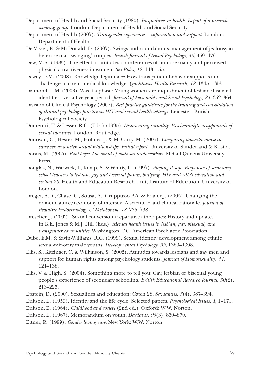- Department of Health and Social Security (1980). *Inequalities in health: Report of a research working group.* London: Department of Health and Social Security.
- Department of Health (2007). *Transgender experiences information and support.* London: Department of Health.
- De Visser, R. & McDonald, D. (2007). Swings and roundabouts: management of jealousy in heterosexual 'swinging' couples. *British Journal of Social Psychology, 46*, 459–476.
- Dew, M.A. (1985). The effect of attitudes on inferences of homosexuality and perceived physical attractiveness in women. *Sex Roles, 12*, 143–155.
- Dewey, D.M. (2008). Knowledge legitimacy: How trans-patient behavior supports and challenges current medical knowledge. *Qualitative Health Research, 18*, 1345–1355.
- Diamond, L.M. (2003). Was it a phase? Young women's relinquishment of lesbian/bisexual identities over a five-year period. *Journal of Personality and Social Psychology, 84*, 352–364.
- Division of Clinical Psychology (2007). *Best practice guidelines for the training and consolidation of clinical psychology practice in HIV and sexual health settings.* Leicester: British Psychological Society.
- Domenici, T. & Lesser, R.C. (Eds.) (1995). *Disorienting sexuality: Psychoanalytic reappraisals of sexual identities.* London: Routledge.
- Donovan, C., Hester, M., Holmes, J. & McCarry, M. (2006). *Comparing domestic abuse in same-sex and heterosexual relationships. Initial report.* University of Sunderland & Bristol.
- Dorais, M. (2005). *Rent-boys: The world of male sex trade workers.* McGill-Queens University Press.
- Douglas, N., Warwick, I., Kemp, S. & Whitty, G. (1997). *Playing it safe: Responses of secondary school teachers to lesbian, gay and bisexual pupils, bullying, HIV and AIDS education and section 28.* Health and Education Research Unit, Institute of Education, University of London.
- Dreger, A.D., Chase, C., Sousa, A., Gruppusso P.A. & Frader J. (2005). Changing the nomenclature/taxonomy of intersex: A scientific and clinical rationale. *Journal of Pediatric Endocrinology & Metabolism, 18*, 735–738.
- Drescher, J. (2002). Sexual conversion (reparative) therapies: History and update. In B.E. Jones & M.J. Hill (Eds.), *Mental health issues in lesbian, gay, bisexual, and transgender communities*. Washington, DC: American Psychiatric Association.
- Dube, E.M. & Savin-Williams, R.C. (1999). Sexual identity development among ethnic sexual-minority male youths. *Developmental Psychology, 35*, 1389–1398.
- Ellis, S., Kitzinger, C. & Wilkinson, S. (2002). Attitudes towards lesbians and gay men and support for human rights among psychology students. *Journal of Homosexuality, 44*, 121–138.
- Ellis, V. & High, S. (2004). Something more to tell you: Gay, lesbian or bisexual young people's experience of secondary schooling. *British Educational Research Journal, 30*(2), 213–225.
- Epstein, D. (2000). Sexualities and education: Catch 28. *Sexualities, 3*(4), 387–394.
- Erikson, E. (1959). Identity and the life cycle: Selected papers. *Psychological Issues, 1*, 1–171.
- Erikson, E. (1964). *Childhood and society* (2nd ed.). Oxford: W.W. Norton.
- Erikson, E. (1967). Memorandum on youth. *Daedalus, 96*(3), 860–870.
- Ettner, R. (1999). *Gender loving care.* New York: W.W. Norton.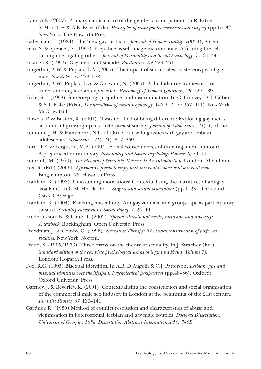- Eyler, A.E. (2007). Primary medical care of the gender-variant patient. In R. Ettner, S. Monstrey & A.E. Eyler (Eds), *Principles of transgender medicine and surgery* (pp.15–32). New York: The Haworth Press.
- Faderman, L. (1984). The 'new gay' lesbians. *Journal of Homosexuality, 10*(3-4), 85–95.
- Fein, S. & Spencer, S. (1997). Prejudice as self-image maintenance: Affirming the self through derogating others. *Journal of Personality and Social Psychology, 73*, 31–44.

Fikar, C.R. (1992). Gay teens and suicide. *Paediatrics, 89*, 229–251.

- Fingerhut, A.W. & Peplau, L.A. (2006). The impact of social roles on stereotypes of gay men. *Sex Roles, 55*, 273–278.
- Fingerhut, A.W., Peplau, L.A. & Ghavami, N. (2005). A dual-identity framework for understanding lesbian experience. *Psychology of Women Quarterly, 29*, 129–139.
- Fiske, S.T. (1998). Stereotyping, prejudice, and discrimination. In G. Lindzey, D.T. Gilbert, & S.T. Fiske (Eds.), *The handbook of social psychology, Vols 1–2* (pp.357–411). New York: McGraw-Hill.
- Flowers, P. & Buston, K. (2001). 'I was terrified of being different': Exploring gay men's accounts of growing up in a heterosexist society. *Journal of Adolescence, 24*(1), 51–65.
- Fontaine, J.H. & Hammond, N.L. (1996). Counselling issues with gay and lesbian adolescents. *Adolescence, 31*(124), 817–830.
- Ford, T.E. & Ferguson, M.A. (2004). Social consequences of disparagement humour: A prejudiced norm theory. *Personality and Social Psychology Review, 8*, 79–94.
- Foucault, M. (1979). *The History of Sexuality, Volume 1: An introduction.* London: Allen Lane.
- Fox, R. (Ed.) (2006). *Affirmative psychotherapy with bisexual women and bisexual men.* Binghampton, NY: Haworth Press.
- Franklin, K. (1998). Unassuming motivations: Contextualising the narratives of antigay assailants. In G.M. Herek (Ed.), *Stigma and sexual orientation* (pp.1–23). Thousand Oaks, CA: Sage.
- Franklin, K. (2004). Enacting masculinity: Antigay violence and group rape as participatory theatre. *Sexuality Research & Social Policy, 1*, 25–40.
- Frederickson, N. & Cline, T. (2002). *Special educational needs, inclusion and diversity: A textbook.* Buckingham: Open University Press.
- Freedman, J. & Combs, G. (1996). *Narrative Therapy: The social construction of preferred realities.* New York: Norton.
- Freud, S. (1905/1953). Three essays on the theory of sexuality. In J. Strachey (Ed.), *Standard edition of the complete psychological works of Sigmund Freud (Volume 7).* London: Hogarth Press.
- Fox, R.C. (1995) Bisexual identities. In A.R. D'Augelli & C.J. Patterson, *Lesbian, gay and bisexual identities over the lifespan: Psychological perspectives* (pp.48–86). Oxford: Oxford University Press.
- Gaffney, J. & Beverley, K. (2001). Contextualising the construction and social organisation of the commercial male sex industry in London at the beginning of the 21st century. *Feminist Review, 67*, 133–141.
- Gardner, R. (1989) Method of conflict resolution and characteristics of abuse and victimisation in heterosexual, lesbian and gay male couples. *Doctoral Dissertation: University of Georgia, 1988: Dissertation Abstracts International 50, 746B.*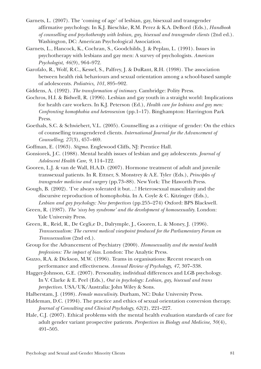- Garnets, L. (2007). The 'coming of age' of lesbian, gay, bisexual and transgender affirmative psychology. In K.J. Bieschke, R.M. Perez & K.A. DeBord (Eds.), *Handbook of counselling and psychotherapy with lesbian, gay, bisexual and transgender clients* (2nd ed.). Washington, DC: American Psychological Association.
- Garnets, L., Hancock, K., Cochran, S., Goodchilds, J. & Peplau, L. (1991). Issues in psychotherapy with lesbians and gay men: A survey of psychologists. *American Psychologist, 46*(9), 964–972.
- Garofalo, R., Wolf, R.C., Kessel, S., Palfrey, J. & DuRant, R.H. (1998). The association between health risk behaviours and sexual orientation among a school-based sample of adolescents. *Pediatrics, 101*, 895–902.
- Giddens, A. (1992). *The transformation of intimacy.* Cambridge: Polity Press.
- Gochros, H.I. & Bidwell, R. (1996). Lesbian and gay youth in a straight world: Implications for health care workers. In K.J. Peterson (Ed.), *Health care for lesbians and gay men: Confronting homophobia and heterosexism* (pp.1–17). Binghampton: Harrington Park Press.
- Goethals, S.C. & Schwiebert, V.L. (2005). Counselling as a critique of gender: On the ethics of counselling transgendered clients. *International Journal for the Advancement of Counselling, 27*(3), 457–469.
- Goffman, E. (1963). *Stigma.* Englewood Cliffs, NJ: Prentice Hall.
- Gonsiorek, J.C. (1988). Mental health issues of lesbian and gay adolescents. *Journal of Adolescent Health Care, 9*, 114–122.
- Gooren, L.J. & van de Wall, H.A.D. (2007). Hormone treatment of adult and juvenile transsexual patients. In R. Ettner, S. Monstrey & A.E. Tyler (Eds.), *Principles of transgender medicine and surgery* (pp.73–88). New York: The Haworth Press.
- Gough, B. (2002). 'I've always tolerated it but…! Heterosexual masculinity and the discursive reproduction of homophobia. In A. Coyle & C. Kitzinger (Eds.), *Lesbian and gay psychology: New perspectives* (pp.255–274) Oxford: BPS Blackwell.
- Green, R. (1987). *The 'sissy boy syndrome' and the development of homosexuality.* London: Yale University Press.
- Green, R., Reid, R., De Cegli,e D., Dalrymple, J., Gooren, L. & Money, J. (1996). *Transsexualism: The current medical viewpoint produced for the Parliamentary Forum on Transsexualism* (2nd ed.).
- Group for the Advancement of Psychiatry (2000). *Homosexuality and the mental health professions: The impact of bias.* London: The Analytic Press.
- Guzzo, R.A. & Dickson, M.W. (1996). Teams in organisations: Recent research on performance and effectiveness. *Annual Review of Psychology, 47*, 307–338.
- Hagger-Johnson, G.E. (2007). Personality, individual differences and LGB psychology. In V. Clarke & E. Peel (Eds.), *Out in psychology: Lesbian, gay, bisexual and trans perspectives.* USA/UK/Australia: John Wiley & Sons.
- Halberstam, J. (1998). *Female masculinity.* Durham, NC: Duke University Press.
- Haldeman, D.C. (1994). The practice and ethics of sexual orientation conversion therapy. *Journal of Consulting and Clinical Psychology, 62*(2), 221–227.
- Hale, C.J. (2007). Ethical problems with the mental health evaluation standards of care for adult gender variant prospective patients. *Perspectives in Biology and Medicine, 50*(4), 491–505.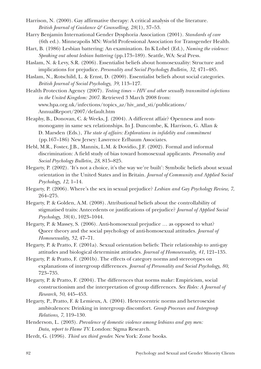- Harrison, N. (2000). Gay affirmative therapy: A critical analysis of the literature. *British Journal of Guidance & Counselling, 28*(1), 37–53.
- Harry Benjamin International Gender Dysphoria Association (2001). *Standards of care* (6th ed.). Minneapolis MN: World Professional Association for Transgender Health.
- Hart, B. (1986) Lesbian battering: An examination. In K Lobel (Ed.), *Naming the violence: Speaking out about lesbian battering* (pp.173–189). Seattle, WA: Seal Press.
- Haslam, N. & Levy, S.R. (2006). Essentialist beliefs about homosexuality: Structure and implications for prejudice. *Personality and Social Psychology Bulletin, 32*, 471–485.

Haslam, N., Rotschild, L. & Ernst, D. (2000). Essentialist beliefs about social categories. *British Journal of Social Psychology, 39*, 113–127.

Health Protection Agency (2007). *Testing times – HIV and other sexually transmitted infections in the United Kingdom: 2007.* Retrieved 3 March 2008 from: www.hpa.org.uk/infections/topics\_az/hiv\_and\_sti/publications/ AnnualReport/2007/default.htm

Heaphy, B., Donovan, C. & Weeks, J. (2004). A different affair? Openness and nonmonogamy in same sex relationships. In J. Duncombe, K. Harrison, G. Allan & D. Marsden (Eds.), *The state of affairs: Explorations in infidelity and commitment* (pp.167–186) New Jersey: Lawrence Erlbaum Associates.

Hebl, M.R., Foster, J.B., Mannix, L.M. & Dovidio, J.F. (2002). Formal and informal discrimination: A field study of bias toward homosexual applicants. *Personality and Social Psychology Bulletin, 28*, 815–825.

Hegarty, P. (2002). 'It's not a choice, it's the way we're built': Symbolic beliefs about sexual orientation in the United States and in Britain. *Journal of Community and Applied Social Psychology, 12*, 1–14.

Hegarty, P. (2006). Where's the sex in sexual prejudice? *Lesbian and Gay Psychology Review, 7*, 264–275.

Hegarty, P. & Golden, A.M. (2008). Attributional beliefs about the controllability of stigmatised traits: Antecedents or justifications of prejudice? *Journal of Applied Social Psychology, 38*(4), 1023–1044.

Hegarty, P. & Massey, S. (2006). Anti-homosexual prejudice … as opposed to what? Queer theory and the social psychology of anti-homosexual attitudes. *Journal of Homosexuality, 52*, 47–71.

Hegarty, P. & Pratto, F. (2001a). Sexual orientation beliefs: Their relationship to anti-gay attitudes and biological determinist attitudes. *Journal of Homosexuality, 41*, 121–135.

Hegarty, P. & Pratto, F. (2001b). The effects of category norms and stereotypes on explanations of intergroup differences. *Journal of Personality and Social Psychology, 80*, 723–735.

Hegarty, P. & Pratto, F. (2004). The differences that norms make: Empiricism, social constructionism and the interpretation of group differences. *Sex Roles: A Journal of Research, 50*, 445–453.

Hegarty, P., Pratto, F. & Lemieux, A. (2004). Heterocentric norms and heterosexist ambivalences: Drinking in intergroup discomfort. *Group Processes and Intergroup Relations, 7*, 119–130.

Henderson, L. (2003). *Prevalence of domestic violence among lesbians and gay men: Data, report to Flame TV.* London: Sigma Research.

Herdt, G. (1996). *Third sex third gender.* New York: Zone books.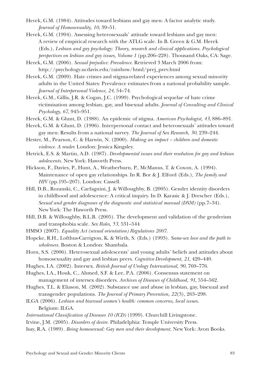- Herek, G.M. (1984). Attitudes toward lesbians and gay men: A factor analytic study. *Journal of Homosexuality, 10*, 39–51.
- Herek, G.M. (1994). Assessing heterosexuals' attitude toward lesbians and gay men: A review of empirical research with the ATLG scale. In B. Green & G.M. Herek (Eds.), *Lesbian and gay psychology: Theory, research and clinical applications. Psychological perspectives on lesbian and gay issues, Volume 1* (pp.206–228). Thousand Oaks, CA: Sage.
- Herek, G.M. (2006). *Sexual prejudice: Prevalence.* Retrieved 3 March 2006 from: http://psychology.ucdavis.edu/rainbow/html/prej\_prev.html
- Herek, G.M. (2009). Hate crimes and stigma-related experiences among sexual minority adults in the United States: Prevalence estimates from a national probability sample. *Journal of Interpersonal Violence, 24*, 54–74.
- Herek, G.M., Gillis, J.R. & Cogan, J.C. (1999). Psychological sequelae of hate crime victimisation among lesbian, gay, and bisexual adults. *Journal of Consulting and Clinical Psychology, 67*, 945–951.
- Herek, G.M. & Glunt, D. (1988). An epidemic of stigma. *American Psychologist, 43*, 886–891.
- Herek, G.M. & Glunt, D. (1996). Interpersonal contact and heterosexuals' attitudes toward gay men: Results from a national survey. *The Journal of Sex Research, 30*, 239–244.
- Hester, M., Pearson, C. & Harwin, N. (2000). *Making an impact children and domestic violence. A reader.* London: Jessica Kingsley.
- Hetrick, E.S. & Martin, A.D. (1987). *Developmental issues and their resolution for gay and lesbian adolescents.* New York: Haworth Press.
- Hickson, F., Davies, P., Hunt, A., Weatherburn, P., McManus, T. & Coxon, A. (1994). Maintenance of open gay relationships. In R. Bor & J. Elford (Eds.), *The family and HIV* (pp.195–207). London: Cassell.
- Hill, D.B., Rozanski, C., Carfagnini, J. & Willoughby, B. (2005). Gender identity disorders in childhood and adolescence: A critical inquiry. In D. Karasic & J. Drescher (Eds.), *Sexual and gender diagnoses of the diagnostic and statistical manual (DSM)* (pp.7–34). New York: The Haworth Press.
- Hill, D.B. & Willoughby, B.L.B. (2005). The development and validation of the genderism and transphobia scale. *Sex Roles, 53*, 531–544
- HMSO (2007). *Equality Act (sexual orientation) Regulations 2007.*
- Hopcke, R.H., Lofthus-Carrigton, K. & Wirth, S. (Eds.) (1993). *Same-sex love and the path to wholeness.* Boston & London: Shambala.
- Horn, S.S. (2006). Heterosexual adolescents' and young adults' beliefs and attitudes about homosexuality and gay and lesbian peers. *Cognitive Development, 21*, 420–440.
- Hughes, I.A. (2002). Intersex. *British Journal of Urology International, 90*, 769–776.
- Hughes, I.A., Houk, C., Ahmed, S.F. & Lee, P.A. (2006). Consensus statement on management of intersex disorders. *Archives of Diseases of Childhood, 91*, 554–562.
- Hughes, T.L. & Eliason, M. (2002). Substance use and abuse in lesbian, gay, bisexual and transgender populations. *The Journal of Primary Prevention, 22*(3), 263–298.
- ILGA (2006). *Lesbian and bisexual women's health: common concerns, local issues.* Belgium: ILGA.
- *International Classification of Diseases 10 (ICD)* (1999). Churchill Livingstone.
- Irvine, J.M. (2005). *Disorders of desire.* Philadelphia: Temple University Press.
- Isay, R.A. (1989). *Being homosexual: Gay men and their development.* New York: Avon Books.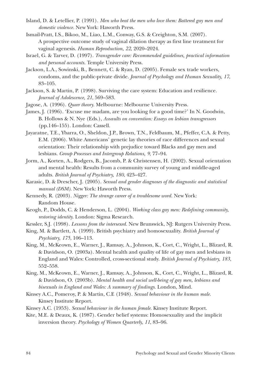- Island, D. & Letellier, P. (1991). *Men who beat the men who love them: Battered gay men and domestic violence.* New York: Haworth Press.
- Ismail-Pratt, I.S., Bikoo, M., Liao, L.M., Conway, G.S. & Creighton, S.M. (2007). A prospective outcome study of vaginal dilation therapy as first line treatment for vaginal agenesis. *Human Reproduction, 22*, 2020–2024.
- Israel, G. & Tarver, D. (1997). *Transgender care: Recommended guidelines, practical information and personal accounts.* Temple University Press.
- Jackson, L.A., Sowinski, B., Bennett, C. & Ryan, D. (2005). Female sex trade workers, condoms, and the public-private divide. *Journal of Psychology and Human Sexuality, 17*, 83–105.
- Jackson, S. & Martin, P. (1998). Surviving the care system: Education and resilience. *Journal of Adolescence, 21*, 569–583.
- Jagose, A. (1996). *Queer theory.* Melbourne: Melbourne University Press.
- James, J. (1996). 'Excuse me madam, are you looking for a good time?' In N. Goodwin, B. Hollows & N. Nye (Eds.), *Assaults on convention: Essays on lesbian transgressors* (pp.146–155). London: Cassell.
- Jayaratne, T.E., Ybarra, O., Sheldon, J.P., Brown, T.N., Feldbaum, M., Pfeffer, C.A. & Petty, E.M. (2006). White Americans' genetic lay theories of race differences and sexual orientation: Their relationship with prejudice toward Blacks and gay men and lesbians. *Group Processes and Intergroup Relations, 9*, 77–94.
- Jorm, A., Korten, A., Rodgers, B., Jacomb, P. & Christensen, H. (2002). Sexual orientation and mental health: Results from a community survey of young and middle-aged adults. *British Journal of Psychiatry, 180*, 423–427.
- Karasic, D. & Drescher, J. (2005). *Sexual and gender diagnoses of the diagnostic and statistical manual (DSM).* New York: Haworth Press.
- Kennedy, R. (2003). *Nigger: The strange career of a troublesome word.* New York: Random House.
- Keogh, P., Dodds, C. & Henderson, L. (2004). *Working class gay men: Redefining community, restoring identity.* London: Sigma Research.
- Kessler, S.J. (1998). *Lessons from the intersexed.* New Brunswick, NJ: Rutgers University Press.
- King, M. & Bartlett, A. (1999). British psychiatry and homosexuality. *British Journal of Psychiatry, 175*, 106–113.
- King, M., McKeown, E., Warner, J., Ramsay, A., Johnson, K., Cort, C., Wright, L., Blizard, R. & Davidson, O. (2003a). Mental health and quality of life of gay men and lesbians in England and Wales: Controlled, cross-sectional study. *British Journal of Psychiatry, 183*, 552–558.
- King, M., McKeown, E., Warner, J., Ramsay, A., Johnson, K., Cort, C., Wright, L., Blizard, R. & Davidson, O. (2003b). *Mental health and social well-being of gay men, lesbians and bisexuals in England and Wales: A summary of findings.* London, Mind.
- Kinsey A.C., Pomeroy, P. & Martin, C.E (1948). *Sexual behaviour in the human male.* Kinsey Institute Report.
- Kinsey A.C. (1953). *Sexual behaviour in the human female.* Kinsey Institute Report.
- Kite, M.E. & Deaux, K. (1987). Gender belief systems: Homosexuality and the implicit inversion theory. *Psychology of Women Quarterly, 11*, 83–96.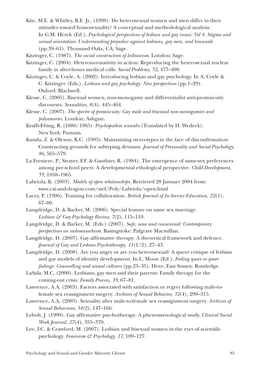- Kite, M.E. & Whitley, B.E. Jr., (1998). Do heterosexual women and men differ in their attitudes toward homosexuality? A conceptual and methodological analysis. In G.M. Herek (Ed.), *Psychological perspectives of lesbian and gay issues: Vol 4. Stigma and sexual orientation: Understanding prejudice against lesbians, gay men, and bisexuals* (pp.39–61). Thousand Oaks, CA; Sage.
- Kitzinger, C. (1987). *The social construction of lesbianism.* London: Sage.
- Kitzinger, C. (2004). Heteronormativity in action: Reproducing the heterosexual nuclear family in after-hours medical calls. *Social Problems, 52*, 477–498.
- Kitzinger, C. & Coyle, A. (2002). Introducing lesbian and gay psychology. In A. Coyle & C. Kitzinger (Eds.), *Lesbian and gay psychology: New perspectives* (pp.1–29). Oxford: Blackwell.
- Klesse, C. (2005). Bisexual women, non-monogamy and differentialist anti-promiscuity discourses. *Sexualities, 8*(4), 445–464.
- Klesse, C. (2007). *The spectre of promiscuity: Gay male and bisexual non-monogamies and polyamories.* London: Ashgate.
- Krafft-Ebing, R. (1886/1965). *Psychopathia sexualis* (Translated by H. Wedeck). New York: Putnam.
- Kunda, Z. & Oleson, K.C. (1995). Maintaining stereotypes in the face of disconfirmation: Constructing grounds for subtyping deviants. *Journal of Personality and Social Psychology, 86*, 565–579.
- La Freniere, P., Strayer, F.F. & Gauthier, R. (1984). The emergence of same-sex preferences among pre-school peers: A developmental ethological perspective. *Child Development, 55*, 1958–1965.
- Labriola, K. (2003). *Models of open relationships.* Retrieved 28 January 2004 from: www.cat-and-dragon.com/stef/Poly/Labriola/open.html
- Lacey, P. (1996). Training for collaboration. *British Journal of In-Service Education, 22*(1), 67–80.
- Langdridge, D. & Barker, M. (2006). Special feature on same sex marriage. *Lesbian & Gay Psychology Review, 7*(2), 115–119.
- Langdridge, D. & Barker, M. (Eds.) (2007). *Safe, sane and consensual: Contemporary perspectives on sadomasochism.* Basingstoke: Palgrave Macmillan.
- Langdridge, D. (2007). Gay affirmative therapy: A theoretical framework and defence. *Journal of Gay and Lesbian Psychotherapy, 11*(1/2), 27–43.
- Langdridge, D. (2008). Are you angry or are you heterosexual? A queer critique of lesbian and gay models of identity development. In L. Moon (Ed.), *Feeling queer or queer feelings: Counselling and sexual cultures* (pp.23–35). Hove, East Sussex: Routledge.
- LaSala, M.C. (2000). Lesbians, gay men and their parents: Family therapy for the coming-out crisis. *Family Process, 39*, 67–81.
- Lawrence, A.A. (2003). Factors associated with satisfaction or regret following male-tofemale sex reassignment surgery. *Archives of Sexual Behavior, 32*(4), 299–315.
- Lawrence, A.A. (2005). Sexuality after male-to-female sex reassignment surgery. *Archives of Sexual Behaviour, 34*(2), 147–166.
- Lebolt, J. (1999). Gay affirmative psychotherapy: A phenomenological study. *Clinical Social Work Journal, 27*(4), 355–370.
- Lee, I-C. & Crawford, M. (2007). Lesbian and bisexual women in the eyes of scientific psychology. *Feminism & Psychology, 17*, 109–127.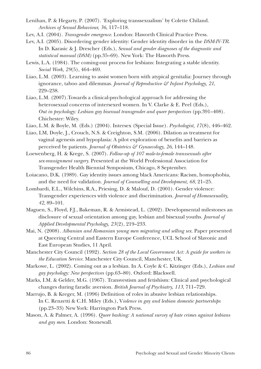- Lenihan, P. & Hegarty, P. (2007). 'Exploring transsexualism' by Colette Chiland. *Archives of Sexual Behaviour, 36*, 117–118.
- Lev, A.I. (2004). *Transgender emergence.* London: Haworth Clinical Practice Press.
- Lev, A.I. (2005). Disordering gender identity: Gender identity disorder in the *DSM-IV-TR*. In D. Karasic & J. Drescher (Eds.), *Sexual and gender diagnoses of the diagnostic and statistical manual (DSM)* (pp.35–69). New York: The Haworth Press.
- Lewis, L.A. (1984). The coming-out process for lesbians: Integrating a stable identity. *Social Work, 29*(5), 464–469.
- Liao, L.M. (2003). Learning to assist women born with atypical genitalia: Journey through ignorance, taboo and dilemmas. *Journal of Reproductive & Infant Psychology, 21*, 229–238.
- Liao, L.M. (2007).Towards a clinical-psychological approach for addressing the heterosexual concerns of intersexed women. In V. Clarke & E. Peel (Eds.), *Out in psychology: Lesbian gay bisexual transgender and queer perspectives* (pp.391–408). Chichester: Wiley.
- Liao, L.M. & Boyle, M. (Eds.) (2004). Intersex (Special Issue). *Psychologist, 17*(8), 446–462.
- Liao, LM, Doyle, J., Crouch, N.S. & Creighton, S.M. (2006). Dilation as treatment for vaginal agenesis and hypoplasia: A pilot exploration of benefits and barriers as perceived by patients. *Journal of Obstetrics & Gynaecology, 26*, 144–148.
- Loewenberg, H. & Krege, S. (2007). *Follow-up of 107 male-to-female transsexuals after sex-reassignment surgery.* Presented at the World Professional Association for Transgender Health Biennial Symposium, Chicago, 8 September.
- Loiacano, D.K. (1989). Gay identity issues among black Americans: Racism, homophobia, and the need for validation. *Journal of Counselling and Development, 68*, 21–25.
- Lombardi, E.L., Wilchins, R.A., Priesing, D. & Malouf, D. (2001). Gender violence: Transgender experiences with violence and discrimination. *Journal of Homosexuality, 42*, 89–101.
- Maguen, S., Floyd, F.J., Bakeman, R. & Armistead, L. (2002). Developmental milestones an disclosure of sexual orientation among gay, lesbian and bisexual youths. *Journal of Applied Developmental Psychology, 23*(2), 219–233.
- Mai, N. (2008). *Albanian and Romanian young men migrating and selling sex.* Paper presented at Queering Central and Eastern Europe Conference, UCL School of Slavonic and East European Studies, 11 April.
- Manchester City Council (1992). *Section 28 of the Local Government Act: A guide for workers in the Education Service.* Manchester City Council, Manchester, UK.
- Markowe, L. (2002). Coming out as a lesbian. In A. Coyle & C. Kitzinger (Eds.), *Lesbian and gay psychology: New perspectives* (pp.63–80). Oxford: Blackwell.
- Marks, I.M. & Gelder, M.G. (1967). Transvestism and fetishism: Clinical and psychological changes during faradic aversion. *British Journal of Psychiatry, 113*, 711–729.
- Marrujo, B. & Kreger, M. (1996) Definition of roles in abusive lesbian relationships. In C. Renzetti & C.H. Miley (Eds.), V*iolence in gay and lesbian domestic partnerships* (pp.23–33) New York: Harrington Park Press.
- Mason, A. & Palmer, A. (1996). *Queer bashing: A national survey of hate crimes against lesbians and gay men.* London: Stonewall.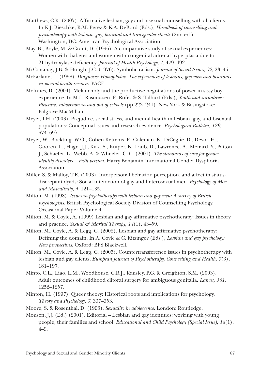- Matthews, C.R. (2007). Affirmative lesbian, gay and bisexual counselling with all clients. In K.J. Bieschke, R.M. Perez & K.A. DeBord (Eds.), *Handbook of counselling and psychotherapy with lesbian, gay, bisexual and transgender clients* (2nd ed.). Washington, DC: American Psychological Association.
- May, B., Boyle, M. & Grant, D. (1996). A comparative study of sexual experiences: Women with diabetes and women with congenital adrenal hyperplasia due to 21-hydroxylase deficiency. *Journal of Health Psychology, 1*, 479–492.
- McConahay, J.B. & Hough, J.C. (1976). Symbolic racism. *Journal of Social Issues, 32*, 23–45.
- McFarlane, L. (1998). *Diagnosis: Homophobic. The experiences of lesbians, gay men and bisexuals in mental health services.* PACE.
- McInnes, D. (2004). Melancholy and the productive negotiations of power in sissy boy experience. In M.L. Rasmussen, E. Rofes & S. Talburt (Eds.), *Youth and sexualities: Pleasure, subversion in and out of schools* (pp.223–241). New York & Basingstoke: Palgrave MacMillan.
- Meyer, I.H. (2003). Prejudice, social stress, and mental health in lesbian, gay, and bisexual populations: Conceptual issues and research evidence. *Psychological Bulletin, 129*, 674–697.
- Meyer, W., Bockting. W.O., Cohen-Kettenis. P., Coleman. E., DiCeglie. D., Devor. H., Gooren. L., Hage. J.J., Kirk. S., Kuiper. B., Laub. D., Lawrence. A., Menard. Y., Patton. J., Schaefer. L., Webb. A. & Wheeler. C. C. (2001). *The standards of care for gender identity disorders – sixth version.* Harry Benjamin International Gender Dysphoria Association.
- Miller, S. & Malloy, T.E. (2003). Interpersonal behavior, perception, and affect in statusdiscrepant dyads: Social interaction of gay and heterosexual men. *Psychology of Men and Masculinity, 4*, 121–135.
- Milton. M. (1998). *Issues in psychotherapy with lesbian and gay men: A survey of British psychologists.* British Psychological Society Division of Counselling Psychology, Occasional Paper Volume 4.
- Milton, M. & Coyle, A. (1999) Lesbian and gay affirmative psychotherapy: Issues in theory and practice. *Sexual*  $\mathcal{F}$  *Marital Therapy*, 14(1), 43–59.
- Milton, M., Coyle, A. & Legg, C. (2002). Lesbian and gay affirmative psychotherapy: Defining the domain. In A. Coyle & C. Kitzinger (Eds.), *Lesbian and gay psychology: New perspectives.* Oxford: BPS Blackwell.
- Milton. M., Coyle, A. & Legg, C. (2005). Countertransference issues in psychotherapy with lesbian and gay clients. *European Journal of Psychotherapy, Counselling and Health, 7*(3), 181–197.
- Minto, C.L., Liao, L.M., Woodhouse, C.R.J., Ransley, P.G. & Creighton, S.M. (2003). Adult outcomes of childhood clitoral surgery for ambiguous genitalia. *Lancet, 361*, 1252–1257.
- Minton, H. (1997). Queer theory: Historical roots and implications for psychology. *Theory and Psychology, 7*, 337–353.
- Moore, S. & Rosenthal, D. (1993). *Sexuality in adolescence.* London: Routledge.
- Monsen, J.J. (Ed.) (2001). Editorial Lesbian and gay identities: working with young people, their families and school. *Educational and Child Psychology (Special Issue), 18*(1), 4–9.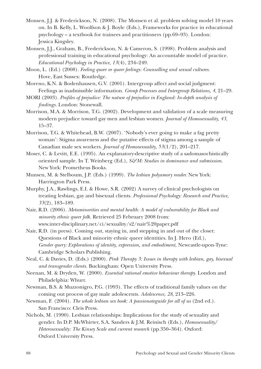- Monsen, J.J. & Frederickson, N. (2008). The Monsen et al. problem solving model 10 years on. In B. Kelly, L. Woolfson & J. Boyle (Eds.), Frameworks for practice in educational psychology – a textbook for trainees and practitioners (pp.69–93). London: Jessica Kingsley.
- Monsen, J.J., Graham, B., Frederickson, N. & Cameron, S. (1998). Problem analysis and professional training in educational psychology: An accountable model of practice. *Educational Psychology in Practice, 13*(4), 234–249.
- Moon, L. (Ed.) (2008). *Feeling queer or queer feelings: Counselling and sexual cultures.* Hove, East Sussex: Routledge.
- Moreno, K.N. & Bodenhausen, G.V. (2001). Intergroup affect and social judgment: Feelings as inadmissible information. *Group Processes and Intergroup Relations, 4*, 21–29.
- MORI (2003). *Profiles of prejudice: The nature of prejudice in England: In-depth analysis of findings.* London: Stonewall.
- Morrison, M.A. & Morrison, T.G. (2002). Development and validation of a scale measuring modern prejudice toward gay men and lesbian women. *Journal of Homosexuality, 43*, 15–37.
- Morrison, T.G. & Whitehead, B.W. (2007). 'Nobody's ever going to make a fag pretty woman': Stigma awareness and the putative effects of stigma among a sample of Canadian male sex workers. *Journal of Homosexuality, 53*(1/2), 201–217.
- Moser, C. & Levitt, E.E. (1995). An explanatory-descriptive study of a sadomasochistically oriented sample. In T. Weinberg (Ed.), *S&M: Studies in dominance and submission*. New York: Prometheus Books.
- Munsen, M. & Stelboum, J.P. (Eds.) (1999). *The lesbian polyamory reader.* New York: Harrington Park Press.
- Murphy, J.A., Rawlings, E.I. & Howe, S.R. (2002) A survey of clinical psychologists on treating lesbian, gay and bisexual clients. *Professional Psychology: Research and Practice, 33*(2), 183–189.
- Nair, R.D. (2006). *Metaminorities and mental health: A model of vulnerability for Black and minority ethnic queer folk.* Retrieved 25 February 2008 from: www.inter-disciplinary.net/ci/sexuality/s2/nair%20paper.pdf
- Nair, R.D. (in press). Coming out, staying in, and stepping in and out of the closet: Questions of Black and minority ethnic queer identities. In J. Hero (Ed.), *Gender query: Explorations of identity, expression, and embodiment,* Newcastle-upon-Tyne: Cambridge Scholars Publishing.
- Neal, C. & Davies, D. (Eds.) (2000). *Pink Therapy 3: Issues in therapy with lesbian, gay, bisexual and transgender clients.* Buckingham: Open University Press.
- Neenan, M. & Dryden, W. (2000). *Essential rational emotive behaviour therapy.* London and Philadelphia: Whurr.
- Newman, B.S. & Muzzonigro, P.G. (1993). The effects of traditional family values on the coming out process of gay male adolescents. *Adolescence, 28*, 213–226.
- Newman, F. (2004). *The whole lesbian sex book: A passionateguide for all of us* (2nd ed.). San Francisco: Cleis Press.
- Nichols, M. (1990). Lesbian relationships: Implications for the study of sexuality and gender. In D.P. McWhirter, S.A. Sanders & J.M. Reinisch (Eds.), *Homosexuality/ Heterosexuality: The Kinsey Scale and current research* (pp.350–364). Oxford: Oxford University Press.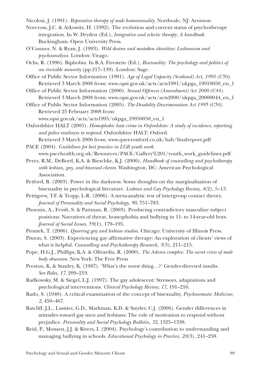Nicolosi, J. (1991). *Reparative therapy of male homosexuality.* Northvale, NJ: Aronson.

- Norcross, J.C. & Arkowitz, H. (1992). The evolution and current status of psychotherapy integration. In W. Dryden (Ed.), *Integrative and eclectic therapy: A handbook.* Buckingham. Open University Press.
- O'Connor, N. & Ryan, J. (1993). *Wild desires and mistaken identities: Lesbianism and psychoanalysis.* London: Virago.
- Ochs, R. (1996). Biphobia. In B.A. Firestein (Ed.), *Bisexuality: The psychology and politics of an invisible minority* (pp.217–139). London: Sage.
- Office of Public Sector Information (1991). *Age of Legal Capacity (Scotland) Act, 1991 (C50).* Retrieved 3 March 2008 from: www.opsi.gov.uk/acts/acts1991/ukpga\_19910050\_en\_1
- Office of Public Sector Information (2000). *Sexual Offences (Amendment) Act 2000 (C44).* Retrieved 3 March 2008 from: www.opsi.gov.uk/acts/acts2000/ukpga\_20000044\_en\_1

Office of Public Sector Information (2005). *The Disability Discrimination Act 1995 (C50).* Retrieved 25 February 2008 from:

www.opsi.gov.uk/acts/acts1995/ukpga\_19950050\_en\_1

Oxfordshire HALT (2005). *Homophobic hate crime in Oxfordshire: A study of incidence, reporting and police readiness to respond.* Oxfordshire HALT: Oxford.

Retrieved 3 March 2006 from: www.queeroxford.co.uk/halt/finalreport.pdf PACE (2004). *Guidelines for best practice in LGB youth work.*

www.pacehealth.org.uk/Resources/PACE/Gallery%201/youth\_work\_guidelines.pdf

Perez, R.M., DeBord, K.A. & Bieschke, K.J. (2000), *Handbook of counselling and psychotherapy with lesbian, gay, and bisexual clients.* Washington, DC: American Psychological Association.

- Petford, B. (2003). Power in the darkness: Some thoughts on the marginalisation of bisexuality in psychological literature. *Lesbian and Gay Psychology Review, 4*(2), 5–13.
- Pettigrew, T.F. & Tropp, L.R. (2006). A meta-analytic test of intergroup contact theory. *Journal of Personality and Social Psychology, 90*, 751–783.
- Phoenix, A., Frosh, S. & Pattman, R. (2003). Producing contradictory masculine subject positions: Narratives of threat, homophobia and bullying in 11- to 14-year-old boys. *Journal of Social Issues, 59*(1), 179–195.
- Piontek, T. (2006). *Queering gay and lesbian studies.* Chicago: University of Illinois Press.
- Pixton, S. (2003). Experiencing gay affirmative therapy: An exploration of clients' views of what is helpful. *Counselling and Psychotherapy Research, 3*(3), 211–215.
- Pope, H.G.J., Phillips, K.A. & Olivardia, R. (2000). *The Adonis complex: The secret crisis of male body obsession.* New York: The Free Press

Preston, K. & Stanley, K. (1987). 'What's the worst thing…?' Gender-directed insults. *Sex Roles, 17*, 209–219.

- Radkowsky, M. & Siegel, L.J. (1997). The gay adolescent: Stressors, adaptations and psychological interventions. *Clinical Psychology Review, 17*, 191–216.
- Rado, S. (1940). A critical examination of the concept of bisexuality. *Psychosomatic Medicine, 2*, 459–467.
- Ratcliff, J.L., Lassiter, G.D., Markman, K.D. & Snyder, C.J. (2006). Gender differences in attitudes toward gay men and lesbians: The role of motivation to respond without prejudice. *Personality and Social Psychology Bulletin, 32*, 1325–1338.
- Reid, P., Monsen, J.J. & Rivers, I. (2004). Psychology's contribution to understanding and managing bullying in schools. *Educational Psychology in Practice, 20*(3), 241–258.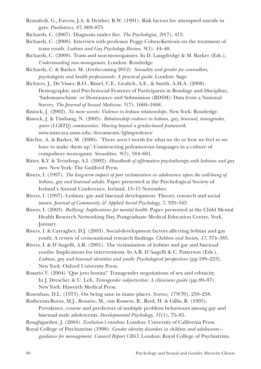- Remafedi, G., Farrow, J.A. & Deisher, R.W. (1991). Risk factors for attempted suicide in gays. *Paediatrics, 87*, 869–875.
- Richards, C. (2007). Diagnosis under fire. *The Psychologist, 20*(7), 413.
- Richards, C. (2008). Interview with professor Peggy Cohen-Kettenis on the treatment of trans youth. *Lesbian and Gay Psychology Review, 9*(1), 44–48.
- Richards, C. (2009). Trans and non-monogamies. In D. Langdridge & M. Barker (Eds.), *Understanding non-monogamies.* London: Routledge.
- Richards, C. & Barker. M. (forthcoming 2012). *Sexuality and gender for counsellors, psychologists and health professionals: A practical guide.* London: Sage.
- Richters, J., De Visser, R.O., Rissel, C.E., Grulich, A.E., & Smith, A.M.A. (2008). Demographic and Psychosocial Features of Participants in Bondage and Discipline, 'Sadomasochism' or Dominance and Submission (BDSM): Data from a National Survey. *The Journal of Sexual Medicine, 5*(7), 1660–1668.
- Ristock, J. (2002). *No more secrets: Violence in lesbian relationships.* New York: Routledge.

Ristock, J. & Timbang, N. (2005). *Relationship violence in lesbian, gay, bisexual, transgender, queer (LGBTQ) communities: Moving beyond a gender-based framework.* www.mincava.umn.edu/documents/lgbtqviolence

- Ritchie, A. & Barker, M. (2006). 'There aren't words for what we do or how we feel so we have to make them up': Constructing polyamorous languages in a culture of compulsory monogamy. *Sexualities, 9*(5), 584–601.
- Ritter, K.Y. & Terndrup, A.I. (2002). *Handbook of affirmative psychotherapy with lesbians and gay men.* New York: The Guilford Press.
- Rivers, I. (1997). *The long-term impact of peer victimisation in adolescence upon the well-being of lesbian, gay and bisexual adults.* Paper presented at the Psychological Society of Ireland's Annual Conference, Ireland, 13–15 November.
- Rivers, I. (1997). Lesbian, gay and bisexual development: Theory, research and social issues. *Journal of Community & Applied Social Psychology, 7*, 329–343.
- Rivers, I. (2003). *Bullying: Implications for mental health.* Paper presented at the Child Mental Health Research Networking Day, Postgraduate Medical Education Centre, York, January.
- Rivers, I. & Carragher, D.J. (2003). Social-development factors affecting lesbian and gay youth: A review of cross-national research findings. *Children and Society, 17*, 374–385.
- Rivers, I. & D'Augelli, A.R. (2001). The victimisation of lesbian and gay and bisexual youths: Implications for interventions. In A.R. D'Augelli & C. Patterson (Eds.), *Lesbian, gay and bisexual identities and youth: Psychological perspectives* (pp.199–223). New York: Oxford University Press.
- Rosario V. (2004) 'Que joto bonita!' Transgender negotiations of sex and ethnicity. In J. Drescher & U. Leli, *Transgender subjectivities: A clinicians guide* (pp.89–97). New York: Haworth Medical Press.
- Rosenhan, D.L. (1973). On being sane in inane places. *Science, 179*(70), 250–258.
- Rotheram-Borus, M.J., Rosario, M., van Rossem, R., Reid, H. & Gillis, R. (1995). Prevalence, course and predictors of multiple problem behaviours among gay and bisexual male adolescents. *Developmental Psychology, 31*(1), 75–85.
- Roughgarden, J. (2004). *Evolution's rainbow.* London: University of California Press.
- Royal College of Psychiatrists (1998). *Gender identity disorders in children and adolescents guidance for management. Council Report CR63.* London: Royal College of Psychiatrists.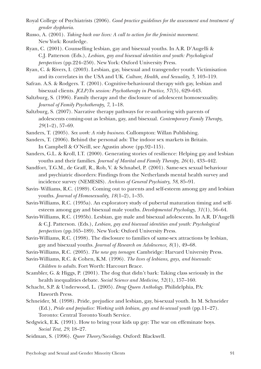- Royal College of Psychiatrists (2006). *Good practice guidelines for the assessment and treatment of gender dysphoria.*
- Russo, A. (2001). *Taking back our lives: A call to action for the feminist movement.*  New York: Routledge.
- Ryan, C. (2001). Counselling lesbian, gay and bisexual youths. In A.R. D'Augelli & C.J. Patterson (Eds.), *Lesbian, gay and bisexual identities and youth: Psychological perspectives* (pp.224–250). New York: Oxford University Press.
- Ryan, C. & Rivers, I. (2003). Lesbian, gay, bisexual and transgender youth: Victimisation and its correlates in the USA and UK. *Culture, Health, and Sexuality, 5*, 103–119.
- Safran. A.S. & Rodgers. T. (2001). Cognitive-behavioural therapy with gay, lesbian and bisexual clients. *JCLP/In session: Psychotherapy in Practice, 57*(5), 629–643.
- Saltzburg, S. (1996). Family therapy and the disclosure of adolescent homosexuality. *Journal of Family Psychotherapy, 7*, 1–18.
- Saltzburg, S. (2007). Narrative therapy pathways for re-authoring with parents of adolescents coming-out as lesbian, gay, and bisexual. *Contemporary Family Therapy, 29*(1–2), 57–69.
- Sanders, T. (2005). *Sex work: A risky business.* Cullompton: Willan Publishing.
- Sanders, T. (2006). Behind the personal ads: The indoor sex markets in Britain. In Campbell & O'Neill, see Agustin above (pp.92–115).
- Sanders, G.L. & Kroll, I.T. (2000). Generating stories of resilience: Helping gay and lesbian youths and their families. *Journal of Marital and Family Therapy, 26*(4), 433–442.
- Sandfort, T.G.M., de Graff, R., Rob, V. & Schnabel, P. (2001). Same-sex sexual behaviour and psychiatric disorders: Findings from the Netherlands mental health survey and incidence survey (NEMESIS). *Archives of General Psychiatry, 58*, 85–91.
- Savin- Williams, R.C. (1989). Coming out to parents and self-esteem among gay and lesbian youths. *Journal of Homosexuality, 18*(1–2), 1–35.
- Savin-Williams, R.C. (1995a). An exploratory study of pubertal maturation timing and selfesteem among gay and bisexual male youths. *Developmental Psychology, 31*(1), 56–64.
- Savin-Williams, R.C. (1995b). Lesbian, gay male and bisexual adolescents. In A.R. D'Augelli & C.J. Patterson. (Eds.), *Lesbian, gay and bisexual identities and youth: Psychological perspectives* (pp.165–189). New York: Oxford University Press.
- Savin-Williams, R.C. (1998). The disclosure to families of same-sex attractions by lesbian, gay and bisexual youths. *Journal of Research on Adolescence, 8*(1), 49–68.
- Savin-Williams, R.C. (2005). *The new gay teenager.* Cambridge: Harvard University Press.
- Savin-Williams, R.C. & Cohen, K.M. (1996). *The lives of lesbians, gays, and bisexuals: Children to adults.* Fort Worth: Harcourt Brace.
- Scambler, G. & Higgs, P. (2001). The dog that didn't bark: Taking class seriously in the health inequalities debate. *Social Science and Medicine, 52*(1), 157–160.
- Schacht, S.P. & Underwood, L. (2005). *Drag Queen Anthology.* Philidelphia, PA: Haworth Press.
- Schneider, M. (1998). Pride, prejudice and lesbian, gay, bi-sexual youth. In M. Schneider (Ed.), *Pride and prejudice: Working with lesbian, gay and bi-sexual youth* (pp.11–27). Toronto: Central Toronto Youth Service.
- Sedgwick, E.K. (1991). How to bring your kids up gay: The war on effeminate boys. *Social Text, 29*, 18–27.
- Seidman, S. (1996). *Queer Theory/Sociology.* Oxford: Blackwell.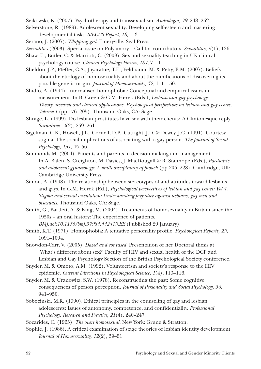Seikowski, K. (2007). Psychotherapy and transsexualism. *Andrologia, 39*, 248–252.

Selverstone, R. (1989). Adolescent sexuality: Developing self-esteem and mastering developmental tasks. *SIECUS Report, 18*, 1–3.

Serano, J. (2007). *Whipping girl.* Emeryville: Seal Press.

*Sexualities* (2003). Special issue on Polyamory – Call for contributors. *Sexualities, 6*(1), 126.

- Shaw, E., Butler, C. & Marriott, C. (2008). Sex and sexuality teaching in UK clinical psychology course. *Clinical Psychology Forum, 187*, 7–11.
- Sheldon, J.P., Pfeffer, C.A., Jayaratne, T.E., Feldbaum, M. & Petty, E.M. (2007). Beliefs about the etiology of homosexuality and about the ramifications of discovering its possible genetic origin. *Journal of Homosexuality, 52*, 111–150.
- Shidlo, A. (1994). Internalised homophobia: Conceptual and empirical issues in measurement. In B. Green & G.M. Herek (Eds.), *Lesbian and gay psychology: Theory, research and clinical applications. Psychological perspectives on lesbian and gay issues, Volume 1* (pp.176–205). Thousand Oaks, CA: Sage.
- Shrage, L. (1999). Do lesbian prostitutes have sex with their clients? A Clintonesque reply. *Sexualities, 2*(2), 259–261.
- Sigelman, C.K., Howell, J.L., Cornell, D.P., Cutright, J.D. & Dewey, J.C. (1991). Courtesy stigma: The social implications of associating with a gay person. *The Journal of Social Psychology, 131*, 45–56.
- Simmonds M. (2004). Patients and parents in decision making and management. In A. Balen, S. Creighton, M. Davies, J. MacDougall & R. Stanhope (Eds.), *Paediatric and adolescent gynaecology: A multi-disciplinary approach* (pp.205–228). Cambridge, UK: Cambridge University Press.
- Simon, A. (1998). The relationship between stereotypes of and attitudes toward lesbians and gays. In G.M. Herek (Ed.), *Psychological perspectives of lesbian and gay issues: Vol 4. Stigma and sexual orientation: Understanding prejudice against lesbians, gay men and bisexuals.* Thousand Oaks, CA: Sage.
- Smith, G., Bartlett, A. & King, M. (2004). Treatments of homosexuality in Britain since the 1950s – an oral history: The experience of patients. *BMJ,doi:10.1136/bmj.37984.442419.EE* (Published 29 January).

Smith, K.T. (1971). Homophobia: A tentative personality profile. *Psychological Reports, 29*, 1091–1094.

Snowdon-Carr, V. (2005). *Dazed and confused.* Presentation of her Doctoral thesis at 'What's different about sex?' Faculty of HIV and sexual health of the DCP and Lesbian and Gay Psychology Section of the British Psychological Society conference.

Snyder, M. & Omoto, A.M. (1992). Volunteerism and society's response to the HIV epidemic. *Current Directions in Psychological Science, 1*(4), 113–116.

Snyder, M. & Uranowitz, S.W. (1978). Reconstructing the past: Some cognitive consequences of person perception. *Journal of Personality and Social Psychology, 36*, 941–950.

Sobocinski, M.R. (1990). Ethical principles in the counseling of gay and lesbian adolescents: Issues of autonomy, competence, and confidentiality. *Professional Psychology: Research and Practice, 21*(4), 240–247.

Socarides, C. (1965). *The overt homosexual.* New York: Grune & Stratton.

Sophie, J. (1986). A critical examination of stage theories of lesbian identity development. *Journal of Homosexuality, 12*(2), 39–51.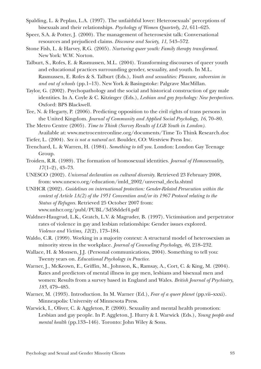- Spalding, L. & Peplau, L.A. (1997). The unfaithful lover: Heterosexuals' perceptions of bisexuals and their relationships. *Psychology of Women Quarterly, 21*, 611–625.
- Speer, S.A. & Potter, J. (2000). The management of heterosexist talk: Conversational resources and prejudiced claims. *Discourse and Society, 11*, 543–572.
- Stone Fish, L. & Harvey, R.G. (2005). *Nurturing queer youth: Family therapy transformed.* New York: W.W. Norton.
- Talburt, S., Rofes, E. & Rasmussen, M.L. (2004). Transforming discourses of queer youth and educational practices surrounding gender, sexuality, and youth. In M.L. Rasmussen, E. Rofes & S. Talburt (Eds.), *Youth and sexualities: Pleasure, subversion in and out of schools* (pp.1–13). New York & Basingstoke: Palgrave MacMillan.
- Taylor, G. (2002). Psychopathology and the social and historical construction of gay male identities. In A. Coyle & C. Kitzinger (Eds.), *Lesbian and gay psychology: New perspectives.* Oxford: BPS Blackwell.
- Tee, N. & Hegarty, P. (2006). Predicting opposition to the civil rights of trans persons in the United Kingdom. *Journal of Community and Applied Social Psychology, 16*, 70–80.
- The Metro Centre (2005). *Time to Think (Survey Results of LGB Youth in London).* Available at: www.metrocentreonline.org/documents/Time To Think Research.doc
- Tiefer, L. (2004). *Sex is not a natural act.* Boulder, CO: Westview Press Inc.
- Trenchard, L. & Warren, H. (1984). *Something to tell you.* London: London Gay Teenage Group.
- Troiden, R.R. (1989). The formation of homosexual identities. *Journal of Homosexuality, 17*(1–2), 43–73.
- UNESCO (2002). *Universal declaration on cultural diversity.* Retrieved 23 February 2008, from: www.unesco.org/education/imld\_2002/unversal\_decla.shtml
- UNHCR (2002). *Guidelines on international protection: Gender-Related Persecution within the context of Article 1A(2) of the 1951 Convention and/or its 1967 Protocol relating to the Status of Refugees.* Retrieved 25 October 2007 from: www.unhcr.org/publ/PUBL/3d58ddef4.pdf
- Waldner-Haugrud, L.K., Gratch, L.V. & Magruder, B. (1997). Victimisation and perpetrator rates of violence in gay and lesbian relationships: Gender issues explored. *Violence and Victims, 12*(2), 173–184.
- Waldo, C.R. (1999). Working in a majority context: A structural model of heterosexism as minority stress in the workplace. *Journal of Counseling Psychology, 46*, 218–232.
- Wallace, H. & Monsen, J.J. (Personal communications, 2004). Something to tell you: Twenty years on. *Educational Psychology in Practice.*
- Warner, J., McKeown, E., Griffin, M., Johnson, K., Ramsay, A., Cort, C. & King, M. (2004). Rates and predictors of mental illness in gay men, lesbians and bisexual men and women: Results from a survey based in England and Wales. *British Journal of Psychiatry, 185*, 479–485.
- Warner, M. (1993). Introduction. In M. Warner (Ed.), *Fear of a queer planet* (pp.vii–xxxi). Minneapolis: University of Minnesota Press.
- Warwick, I., Oliver, C. & Aggleton, P. (2000). Sexuality and mental health promotion: Lesbian and gay people. In P. Aggleton, J. Hurry & I. Warwick (Eds.), *Young people and mental health* (pp.133–146). Toronto: John Wiley & Sons.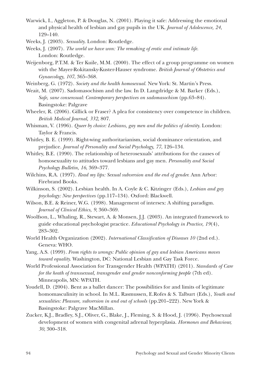Warwick, I., Aggleton, P. & Douglas, N. (2001). Playing it safe: Addressing the emotional and physical health of lesbian and gay pupils in the UK. *Journal of Adolescence, 24*, 129–140.

Weeks, J. (2003). *Sexuality*. London: Routledge.

Weeks, J. (2007). *The world we have won: The remaking of erotic and intimate life.* London: Routledge.

- Weijenborg, P.T.M. & Ter Kuile, M.M. (2000). The effect of a group programme on women with the Mayer-Rokitansky-Kuster-Hauser syndrome. *British Journal of Obstetrics and Gynaecology, 107*, 365–368.
- Weinberg, G. (1972). *Society and the health homosexual.* New York: St. Martin's Press.
- Weait, M. (2007). Sadomasochism and the law. In D. Langdridge & M. Barker (Eds.), *Safe, sane consensual: Contemporary perspectives on sadomasochism* (pp.63–84). Basingstoke: Palgrave
- Wheeler, R. (2006). Gillick or Fraser? A plea for consistency over competence in children. *British Medical Journal, 332*, 807.
- Whisman, V. (1996). *Queer by choice: Lesbians, gay men and the politics of identity.* London: Taylor & Francis.
- Whitley, B. E. (1999). Right-wing authoritarianism, social dominance orientation, and prejudice. *Journal of Personality and Social Psychology, 77*, 126–134.
- Whitley, B.E. (1990). The relationship of heterosexuals' attributions for the causes of homosexuality to attitudes toward lesbians and gay men. *Personality and Social Psychology Bulletin, 16*, 369–377.
- Wilchins, R.A. (1997). *Read my lips: Sexual subversion and the end of gender.* Ann Arbor: Firebrand Books.
- Wilkinson, S. (2002). Lesbian health. In A. Coyle & C. Kitzinger (Eds.), *Lesbian and gay psychology: New perspectives* (pp.117–134). Oxford: Blackwell.
- Wilson, B.E. & Reiner, W.G. (1998). Management of intersex: A shifting paradigm. *Journal of Clinical Ethics, 9*, 360–369.
- Woolfson, L., Whaling, R., Stewart, A. & Monsen, J.J. (2003). An integrated framework to guide educational psychologist practice. *Educational Psychology in Practice, 19*(4), 283–302.
- World Health Organization (2002). *International Classification of Diseases 10* (2nd ed.). Geneva: WHO.
- Yang, A.S. (1999). *From rights to wrongs: Public opinion of gay and lesbian Americans moves toward equality.* Washington, DC: National Lesbian and Gay Task Force.
- World Professional Association for Transgender Health (WPATH) (2011). *Standards of Care for the heath of transsexual, transgender and gender nonconforming people* (7th ed). Minneapolis, MN: WPATH.
- Youdell, D. (2004). Bent as a ballet dancer: The possibilities for and limits of legitimate homomasculinity in school. In M.L. Rasmussen, E.Rofes & S. Talburt (Eds.), *Youth and sexualities: Pleasure, subversion in and out of schools* (pp.201–222). New York & Basingstoke: Palgrave MacMillan.
- Zucker, K.J., Bradley, S.J., Oliver, G., Blake, J., Fleming, S. & Hood, J. (1996). Psychosexual development of women with congenital adrenal hyperplasia. *Hormones and Behaviour, 30*, 300–318.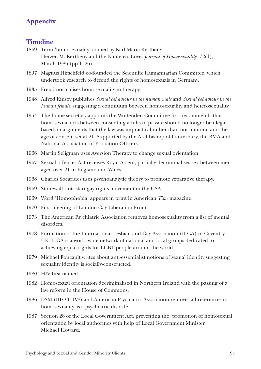## **Appendix**

## **Timeline**

- 1869 Term 'homosexuality' coined by Karl-Maria Kertbeny Herzer, M. Kertbeny and the Nameless Love. *Journal of Homosexuality, 12*(1), March 1986 (pp.1–26).
- 1897 Magnus Hirschfeld co-founded the Scientific Humanitarian Committee, which undertook research to defend the rights of homosexuals in Germany.
- 1935 Freud normalises homosexuality in therapy.
- 1948 Alfred Kinsey publishes *Sexual behaviour in the human male* and *Sexual behaviour in the human female*, suggesting a continuum between homosexuality and heterosexuality.
- 1954 The home secretary appoints the Wolfenden Committee first recommends that homosexual acts between consenting adults in private should no longer be illegal based on arguments that the law was impractical rather than not immoral and the age of consent set at 21. Supported by the Archbishop of Canterbury, the BMA and National Association of Probation Officers.
- 1966 Martin Seligman uses Aversion Therapy to change sexual orientation.
- 1967 Sexual offences Act receives Royal Assent, partially decriminalises sex between men aged over 21 in England and Wales.
- 1968 Charles Socarides uses psychoanalytic theory to promote reparative therapy.
- 1969 Stonewall riots start gay rights movement in the USA.
- 1969 Word 'Homophobia' appears in print in American *Time* magazine.
- 1970 First meeting of London Gay Liberation Front.
- 1973 The American Psychiatric Association removes homosexuality from a list of mental disorders.
- 1978 Formation of the International Lesbian and Gay Association (ILGA) in Coventry, UK. ILGA is a world-wide network of national and local groups dedicated to achieving equal rights for LGBT people around the world.
- 1979 Michael Foucault writes about anti-essentialist notions of sexual identity suggesting sexuality identity is socially-constructed.
- 1980 HIV first named.
- 1982 Homosexual orientation decriminalised in Northern Ireland with the passing of a law reform in the House of Commons.
- 1986 DSM (III? Or IV?) and American Psychiatric Association removes all references to homosexuality as a psychiatric disorder.
- 1987 Section 28 of the Local Government Act, preventing the 'promotion of homosexual orientation by local authorities with help of Local Government Minister Michael Howard.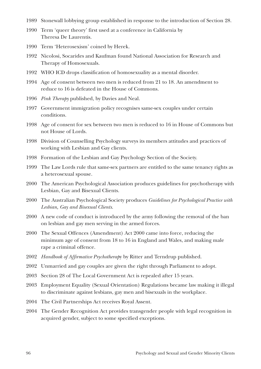- 1989 Stonewall lobbying group established in response to the introduction of Section 28.
- 1990 Term 'queer theory' first used at a conference in California by Theresa De Laurentis.
- 1990 Term 'Heterosexism' coined by Herek.
- 1992 Nicolosi, Socarides and Kaufman found National Association for Research and Therapy of Homosexuals.
- 1992 WHO ICD drops classification of homosexuality as a mental disorder.
- 1994 Age of consent between two men is reduced from 21 to 18. An amendment to reduce to 16 is defeated in the House of Commons.
- 1996 *Pink Therapy* published, by Davies and Neal.
- 1997 Government immigration policy recognises same-sex couples under certain conditions.
- 1998 Age of consent for sex between two men is reduced to 16 in House of Commons but not House of Lords.
- 1998 Division of Counselling Psychology surveys its members attitudes and practices of working with Lesbian and Gay clients.
- 1998 Formation of the Lesbian and Gay Psychology Section of the Society.
- 1999 The Law Lords rule that same-sex partners are entitled to the same tenancy rights as a heterosexual spouse.
- 2000 The American Psychological Association produces guidelines for psychotherapy with Lesbian, Gay and Bisexual Clients.
- 2000 The Australian Psychological Society produces *Guidelines for Psychological Practice with Lesbian, Gay and Bisexual Clients*.
- 2000 A new code of conduct is introduced by the army following the removal of the ban on lesbian and gay men serving in the armed forces.
- 2000 The Sexual Offences (Amendment) Act 2000 came into force, reducing the minimum age of consent from 18 to 16 in England and Wales, and making male rape a criminal offence.
- 2002 *Handbook of Affirmative Psychotherap*y by Ritter and Terndrup published.
- 2002 Unmarried and gay couples are given the right through Parliament to adopt.
- 2003 Section 28 of The Local Government Act is repealed after 15 years.
- 2003 Employment Equality (Sexual Orientation) Regulations became law making it illegal to discriminate against lesbians, gay men and bisexuals in the workplace.
- 2004 The Civil Partnerships Act receives Royal Assent.
- 2004 The Gender Recognition Act provides transgender people with legal recognition in acquired gender, subject to some specified exceptions.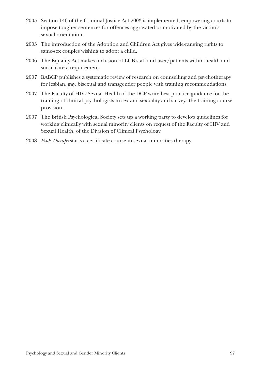- 2005 Section 146 of the Criminal Justice Act 2003 is implemented, empowering courts to impose tougher sentences for offences aggravated or motivated by the victim's sexual orientation.
- 2005 The introduction of the Adoption and Children Act gives wide-ranging rights to same-sex couples wishing to adopt a child.
- 2006 The Equality Act makes inclusion of LGB staff and user/patients within health and social care a requirement.
- 2007 BABCP publishes a systematic review of research on counselling and psychotherapy for lesbian, gay, bisexual and transgender people with training recommendations.
- 2007 The Faculty of HIV/Sexual Health of the DCP write best practice guidance for the training of clinical psychologists in sex and sexuality and surveys the training course provision.
- 2007 The British Psychological Society sets up a working party to develop guidelines for working clinically with sexual minority clients on request of the Faculty of HIV and Sexual Health, of the Division of Clinical Psychology.
- 2008 *Pink Therapy* starts a certificate course in sexual minorities therapy.